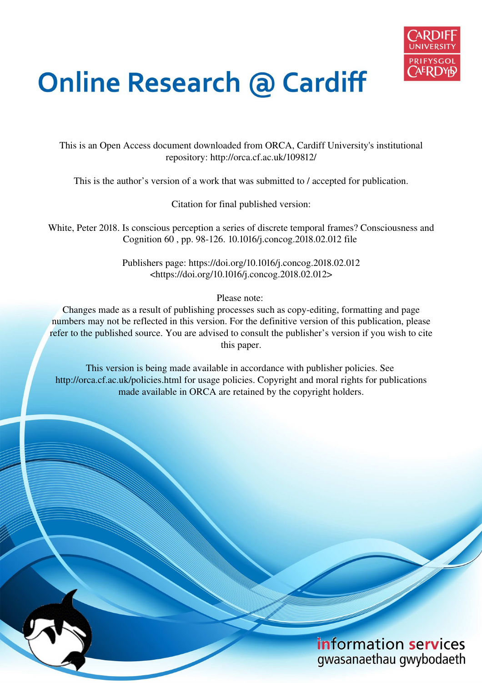

# **Online Research @ Cardiff**

This is an Open Access document downloaded from ORCA, Cardiff University's institutional repository: http://orca.cf.ac.uk/109812/

This is the author's version of a work that was submitted to / accepted for publication.

Citation for final published version:

White, Peter 2018. Is conscious perception a series of discrete temporal frames? Consciousness and Cognition 60 , pp. 98-126. 10.1016/j.concog.2018.02.012 file

> Publishers page: https://doi.org/10.1016/j.concog.2018.02.012 <https://doi.org/10.1016/j.concog.2018.02.012>

> > Please note:

Changes made as a result of publishing processes such as copy-editing, formatting and page numbers may not be reflected in this version. For the definitive version of this publication, please refer to the published source. You are advised to consult the publisher's version if you wish to cite this paper.

This version is being made available in accordance with publisher policies. See http://orca.cf.ac.uk/policies.html for usage policies. Copyright and moral rights for publications made available in ORCA are retained by the copyright holders.

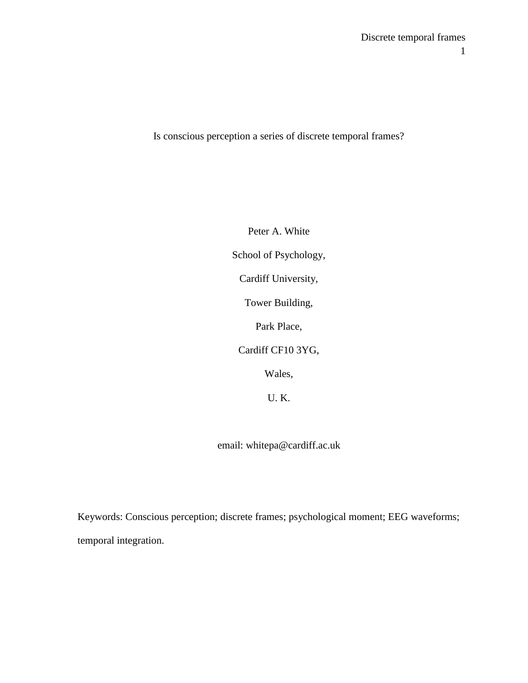Is conscious perception a series of discrete temporal frames?

Peter A. White School of Psychology, Cardiff University, Tower Building, Park Place, Cardiff CF10 3YG, Wales, U. K.

email: whitepa@cardiff.ac.uk

Keywords: Conscious perception; discrete frames; psychological moment; EEG waveforms; temporal integration.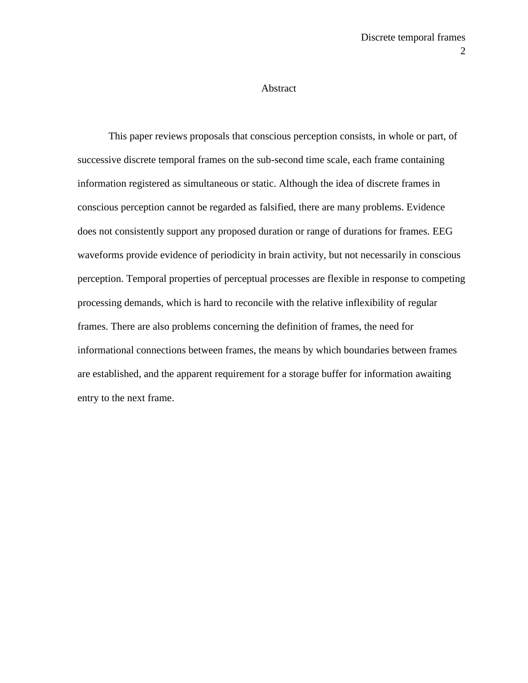## Abstract

 This paper reviews proposals that conscious perception consists, in whole or part, of successive discrete temporal frames on the sub-second time scale, each frame containing information registered as simultaneous or static. Although the idea of discrete frames in conscious perception cannot be regarded as falsified, there are many problems. Evidence does not consistently support any proposed duration or range of durations for frames. EEG waveforms provide evidence of periodicity in brain activity, but not necessarily in conscious perception. Temporal properties of perceptual processes are flexible in response to competing processing demands, which is hard to reconcile with the relative inflexibility of regular frames. There are also problems concerning the definition of frames, the need for informational connections between frames, the means by which boundaries between frames are established, and the apparent requirement for a storage buffer for information awaiting entry to the next frame.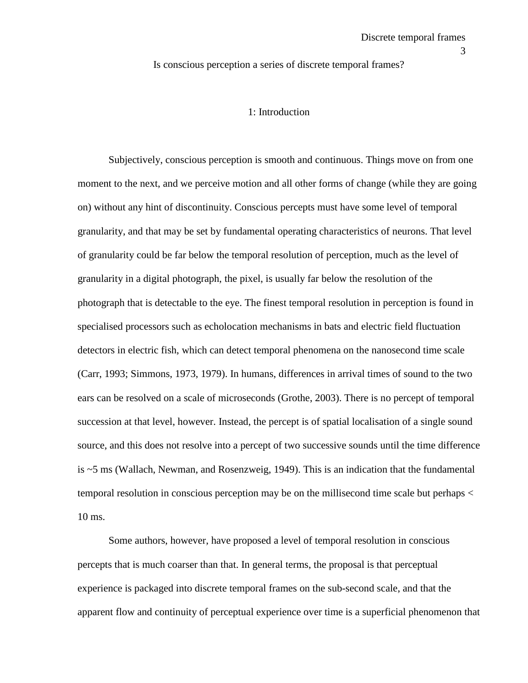Is conscious perception a series of discrete temporal frames?

## 1: Introduction

 Subjectively, conscious perception is smooth and continuous. Things move on from one moment to the next, and we perceive motion and all other forms of change (while they are going on) without any hint of discontinuity. Conscious percepts must have some level of temporal granularity, and that may be set by fundamental operating characteristics of neurons. That level of granularity could be far below the temporal resolution of perception, much as the level of granularity in a digital photograph, the pixel, is usually far below the resolution of the photograph that is detectable to the eye. The finest temporal resolution in perception is found in specialised processors such as echolocation mechanisms in bats and electric field fluctuation detectors in electric fish, which can detect temporal phenomena on the nanosecond time scale (Carr, 1993; Simmons, 1973, 1979). In humans, differences in arrival times of sound to the two ears can be resolved on a scale of microseconds (Grothe, 2003). There is no percept of temporal succession at that level, however. Instead, the percept is of spatial localisation of a single sound source, and this does not resolve into a percept of two successive sounds until the time difference is ~5 ms (Wallach, Newman, and Rosenzweig, 1949). This is an indication that the fundamental temporal resolution in conscious perception may be on the millisecond time scale but perhaps < 10 ms.

 Some authors, however, have proposed a level of temporal resolution in conscious percepts that is much coarser than that. In general terms, the proposal is that perceptual experience is packaged into discrete temporal frames on the sub-second scale, and that the apparent flow and continuity of perceptual experience over time is a superficial phenomenon that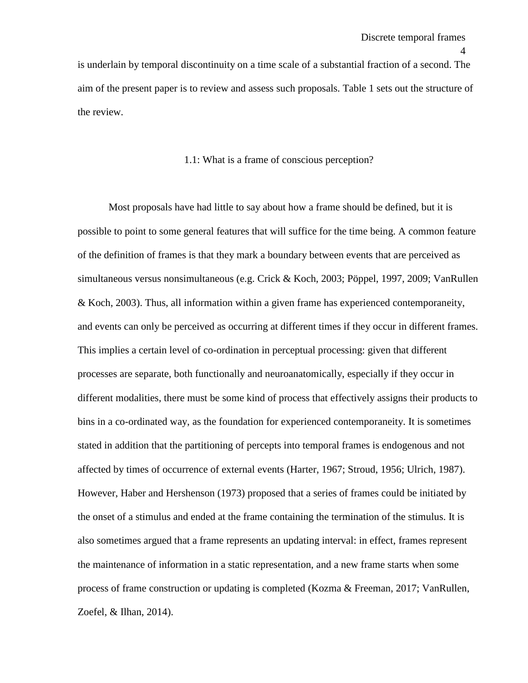is underlain by temporal discontinuity on a time scale of a substantial fraction of a second. The aim of the present paper is to review and assess such proposals. Table 1 sets out the structure of the review.

## 1.1: What is a frame of conscious perception?

 Most proposals have had little to say about how a frame should be defined, but it is possible to point to some general features that will suffice for the time being. A common feature of the definition of frames is that they mark a boundary between events that are perceived as simultaneous versus nonsimultaneous (e.g. Crick & Koch, 2003; Pöppel, 1997, 2009; VanRullen & Koch, 2003). Thus, all information within a given frame has experienced contemporaneity, and events can only be perceived as occurring at different times if they occur in different frames. This implies a certain level of co-ordination in perceptual processing: given that different processes are separate, both functionally and neuroanatomically, especially if they occur in different modalities, there must be some kind of process that effectively assigns their products to bins in a co-ordinated way, as the foundation for experienced contemporaneity. It is sometimes stated in addition that the partitioning of percepts into temporal frames is endogenous and not affected by times of occurrence of external events (Harter, 1967; Stroud, 1956; Ulrich, 1987). However, Haber and Hershenson (1973) proposed that a series of frames could be initiated by the onset of a stimulus and ended at the frame containing the termination of the stimulus. It is also sometimes argued that a frame represents an updating interval: in effect, frames represent the maintenance of information in a static representation, and a new frame starts when some process of frame construction or updating is completed (Kozma & Freeman, 2017; VanRullen, Zoefel, & Ilhan, 2014).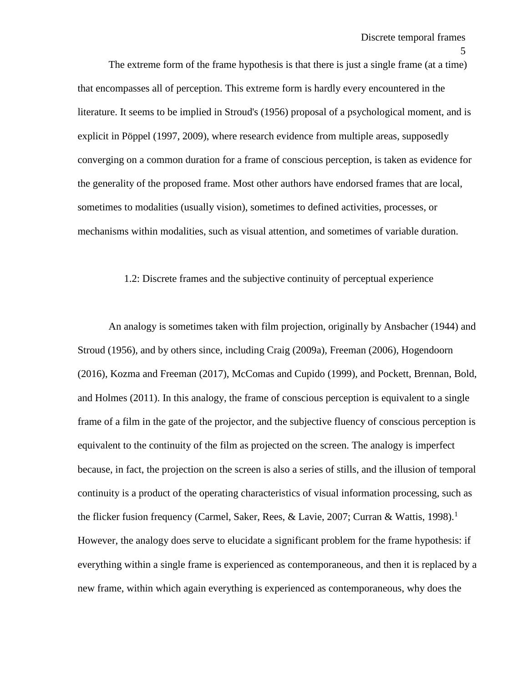The extreme form of the frame hypothesis is that there is just a single frame (at a time) that encompasses all of perception. This extreme form is hardly every encountered in the literature. It seems to be implied in Stroud's (1956) proposal of a psychological moment, and is explicit in Pöppel (1997, 2009), where research evidence from multiple areas, supposedly converging on a common duration for a frame of conscious perception, is taken as evidence for the generality of the proposed frame. Most other authors have endorsed frames that are local, sometimes to modalities (usually vision), sometimes to defined activities, processes, or mechanisms within modalities, such as visual attention, and sometimes of variable duration.

## 1.2: Discrete frames and the subjective continuity of perceptual experience

 An analogy is sometimes taken with film projection, originally by Ansbacher (1944) and Stroud (1956), and by others since, including Craig (2009a), Freeman (2006), Hogendoorn (2016), Kozma and Freeman (2017), McComas and Cupido (1999), and Pockett, Brennan, Bold, and Holmes (2011). In this analogy, the frame of conscious perception is equivalent to a single frame of a film in the gate of the projector, and the subjective fluency of conscious perception is equivalent to the continuity of the film as projected on the screen. The analogy is imperfect because, in fact, the projection on the screen is also a series of stills, and the illusion of temporal continuity is a product of the operating characteristics of visual information processing, such as the flicker fusion frequency (Carmel, Saker, Rees, & Lavie, 2007; Curran & Wattis, 1998).<sup>1</sup> However, the analogy does serve to elucidate a significant problem for the frame hypothesis: if everything within a single frame is experienced as contemporaneous, and then it is replaced by a new frame, within which again everything is experienced as contemporaneous, why does the

<sup>5</sup>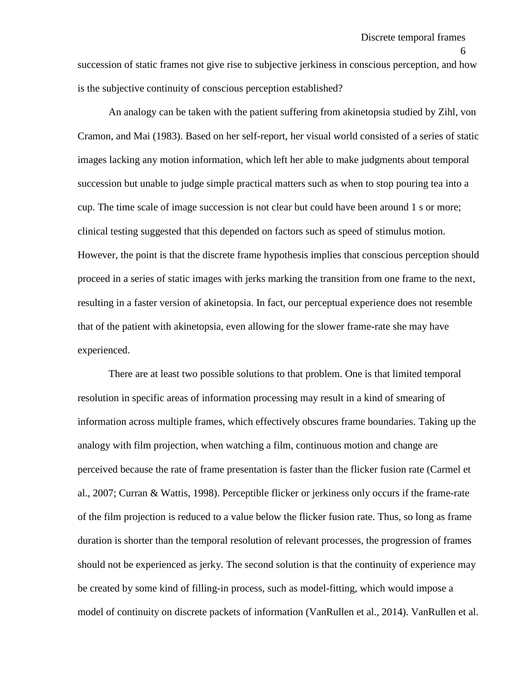6

succession of static frames not give rise to subjective jerkiness in conscious perception, and how is the subjective continuity of conscious perception established?

 An analogy can be taken with the patient suffering from akinetopsia studied by Zihl, von Cramon, and Mai (1983). Based on her self-report, her visual world consisted of a series of static images lacking any motion information, which left her able to make judgments about temporal succession but unable to judge simple practical matters such as when to stop pouring tea into a cup. The time scale of image succession is not clear but could have been around 1 s or more; clinical testing suggested that this depended on factors such as speed of stimulus motion. However, the point is that the discrete frame hypothesis implies that conscious perception should proceed in a series of static images with jerks marking the transition from one frame to the next, resulting in a faster version of akinetopsia. In fact, our perceptual experience does not resemble that of the patient with akinetopsia, even allowing for the slower frame-rate she may have experienced.

 There are at least two possible solutions to that problem. One is that limited temporal resolution in specific areas of information processing may result in a kind of smearing of information across multiple frames, which effectively obscures frame boundaries. Taking up the analogy with film projection, when watching a film, continuous motion and change are perceived because the rate of frame presentation is faster than the flicker fusion rate (Carmel et al., 2007; Curran & Wattis, 1998). Perceptible flicker or jerkiness only occurs if the frame-rate of the film projection is reduced to a value below the flicker fusion rate. Thus, so long as frame duration is shorter than the temporal resolution of relevant processes, the progression of frames should not be experienced as jerky. The second solution is that the continuity of experience may be created by some kind of filling-in process, such as model-fitting, which would impose a model of continuity on discrete packets of information (VanRullen et al., 2014). VanRullen et al.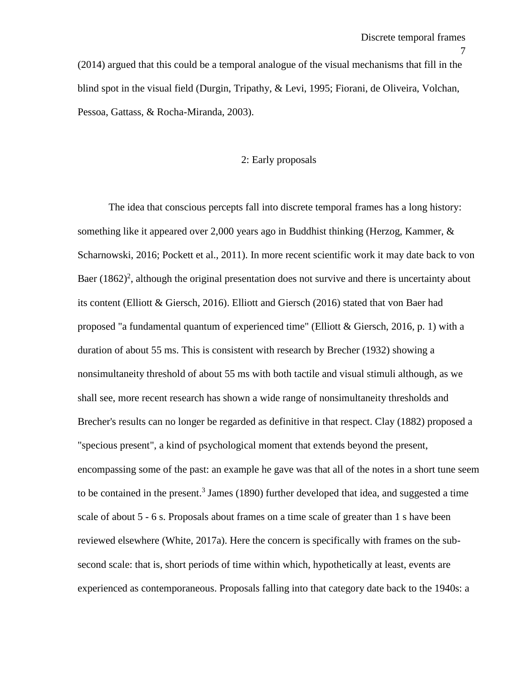7

(2014) argued that this could be a temporal analogue of the visual mechanisms that fill in the blind spot in the visual field (Durgin, Tripathy, & Levi, 1995; Fiorani, de Oliveira, Volchan, Pessoa, Gattass, & Rocha-Miranda, 2003).

## 2: Early proposals

 The idea that conscious percepts fall into discrete temporal frames has a long history: something like it appeared over 2,000 years ago in Buddhist thinking (Herzog, Kammer,  $\&$ Scharnowski, 2016; Pockett et al., 2011). In more recent scientific work it may date back to von Baer  $(1862)^2$ , although the original presentation does not survive and there is uncertainty about its content (Elliott & Giersch, 2016). Elliott and Giersch (2016) stated that von Baer had proposed "a fundamental quantum of experienced time" (Elliott & Giersch, 2016, p. 1) with a duration of about 55 ms. This is consistent with research by Brecher (1932) showing a nonsimultaneity threshold of about 55 ms with both tactile and visual stimuli although, as we shall see, more recent research has shown a wide range of nonsimultaneity thresholds and Brecher's results can no longer be regarded as definitive in that respect. Clay (1882) proposed a "specious present", a kind of psychological moment that extends beyond the present, encompassing some of the past: an example he gave was that all of the notes in a short tune seem to be contained in the present.<sup>3</sup> James (1890) further developed that idea, and suggested a time scale of about 5 - 6 s. Proposals about frames on a time scale of greater than 1 s have been reviewed elsewhere (White, 2017a). Here the concern is specifically with frames on the subsecond scale: that is, short periods of time within which, hypothetically at least, events are experienced as contemporaneous. Proposals falling into that category date back to the 1940s: a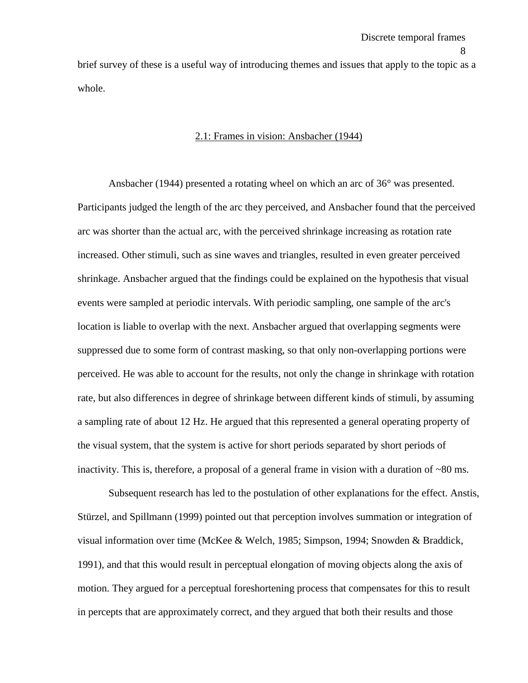brief survey of these is a useful way of introducing themes and issues that apply to the topic as a whole.

## 2.1: Frames in vision: Ansbacher (1944)

 Ansbacher (1944) presented a rotating wheel on which an arc of 36° was presented. Participants judged the length of the arc they perceived, and Ansbacher found that the perceived arc was shorter than the actual arc, with the perceived shrinkage increasing as rotation rate increased. Other stimuli, such as sine waves and triangles, resulted in even greater perceived shrinkage. Ansbacher argued that the findings could be explained on the hypothesis that visual events were sampled at periodic intervals. With periodic sampling, one sample of the arc's location is liable to overlap with the next. Ansbacher argued that overlapping segments were suppressed due to some form of contrast masking, so that only non-overlapping portions were perceived. He was able to account for the results, not only the change in shrinkage with rotation rate, but also differences in degree of shrinkage between different kinds of stimuli, by assuming a sampling rate of about 12 Hz. He argued that this represented a general operating property of the visual system, that the system is active for short periods separated by short periods of inactivity. This is, therefore, a proposal of a general frame in vision with a duration of  $\sim 80$  ms.

 Subsequent research has led to the postulation of other explanations for the effect. Anstis, Stürzel, and Spillmann (1999) pointed out that perception involves summation or integration of visual information over time (McKee & Welch, 1985; Simpson, 1994; Snowden & Braddick, 1991), and that this would result in perceptual elongation of moving objects along the axis of motion. They argued for a perceptual foreshortening process that compensates for this to result in percepts that are approximately correct, and they argued that both their results and those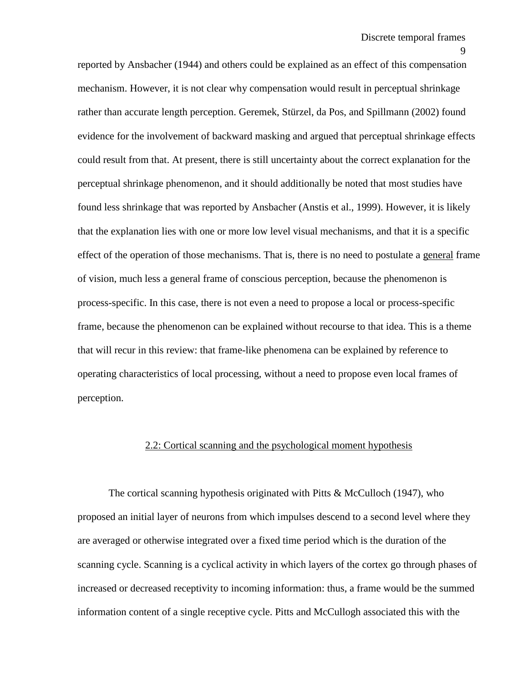reported by Ansbacher (1944) and others could be explained as an effect of this compensation mechanism. However, it is not clear why compensation would result in perceptual shrinkage rather than accurate length perception. Geremek, Stürzel, da Pos, and Spillmann (2002) found evidence for the involvement of backward masking and argued that perceptual shrinkage effects could result from that. At present, there is still uncertainty about the correct explanation for the perceptual shrinkage phenomenon, and it should additionally be noted that most studies have found less shrinkage that was reported by Ansbacher (Anstis et al., 1999). However, it is likely that the explanation lies with one or more low level visual mechanisms, and that it is a specific effect of the operation of those mechanisms. That is, there is no need to postulate a general frame of vision, much less a general frame of conscious perception, because the phenomenon is process-specific. In this case, there is not even a need to propose a local or process-specific frame, because the phenomenon can be explained without recourse to that idea. This is a theme that will recur in this review: that frame-like phenomena can be explained by reference to operating characteristics of local processing, without a need to propose even local frames of perception.

## 2.2: Cortical scanning and the psychological moment hypothesis

 The cortical scanning hypothesis originated with Pitts & McCulloch (1947), who proposed an initial layer of neurons from which impulses descend to a second level where they are averaged or otherwise integrated over a fixed time period which is the duration of the scanning cycle. Scanning is a cyclical activity in which layers of the cortex go through phases of increased or decreased receptivity to incoming information: thus, a frame would be the summed information content of a single receptive cycle. Pitts and McCullogh associated this with the

<sup>9</sup>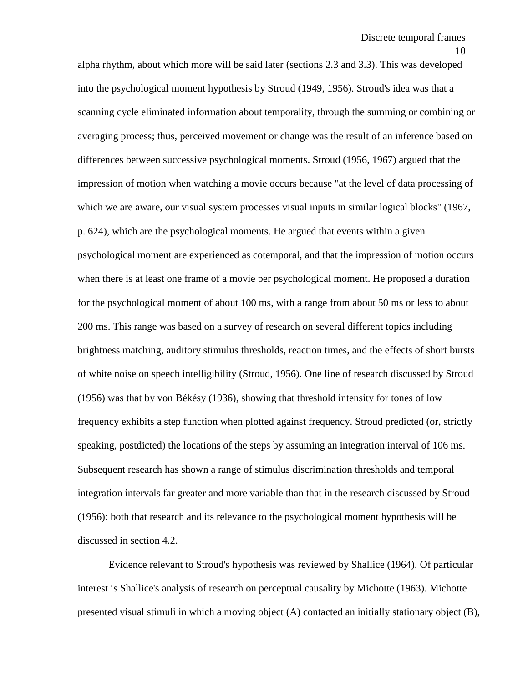alpha rhythm, about which more will be said later (sections 2.3 and 3.3). This was developed into the psychological moment hypothesis by Stroud (1949, 1956). Stroud's idea was that a scanning cycle eliminated information about temporality, through the summing or combining or averaging process; thus, perceived movement or change was the result of an inference based on differences between successive psychological moments. Stroud (1956, 1967) argued that the impression of motion when watching a movie occurs because "at the level of data processing of which we are aware, our visual system processes visual inputs in similar logical blocks" (1967, p. 624), which are the psychological moments. He argued that events within a given psychological moment are experienced as cotemporal, and that the impression of motion occurs when there is at least one frame of a movie per psychological moment. He proposed a duration for the psychological moment of about 100 ms, with a range from about 50 ms or less to about 200 ms. This range was based on a survey of research on several different topics including brightness matching, auditory stimulus thresholds, reaction times, and the effects of short bursts of white noise on speech intelligibility (Stroud, 1956). One line of research discussed by Stroud (1956) was that by von Békésy (1936), showing that threshold intensity for tones of low frequency exhibits a step function when plotted against frequency. Stroud predicted (or, strictly speaking, postdicted) the locations of the steps by assuming an integration interval of 106 ms. Subsequent research has shown a range of stimulus discrimination thresholds and temporal integration intervals far greater and more variable than that in the research discussed by Stroud (1956): both that research and its relevance to the psychological moment hypothesis will be discussed in section 4.2.

 Evidence relevant to Stroud's hypothesis was reviewed by Shallice (1964). Of particular interest is Shallice's analysis of research on perceptual causality by Michotte (1963). Michotte presented visual stimuli in which a moving object (A) contacted an initially stationary object (B),

<sup>10</sup>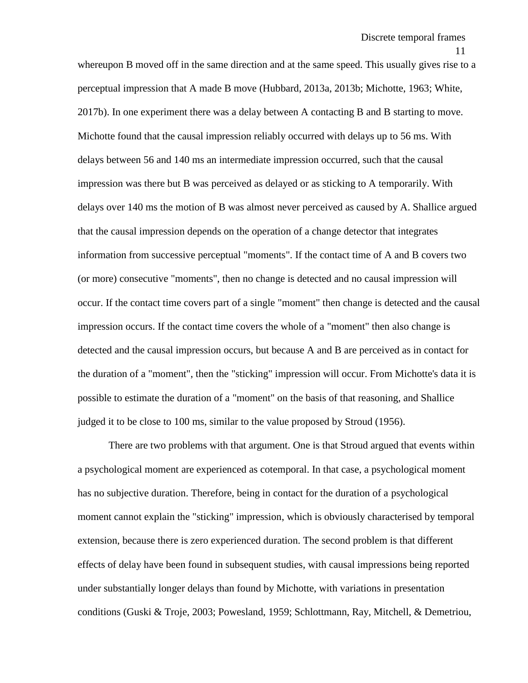whereupon B moved off in the same direction and at the same speed. This usually gives rise to a perceptual impression that A made B move (Hubbard, 2013a, 2013b; Michotte, 1963; White, 2017b). In one experiment there was a delay between A contacting B and B starting to move. Michotte found that the causal impression reliably occurred with delays up to 56 ms. With delays between 56 and 140 ms an intermediate impression occurred, such that the causal impression was there but B was perceived as delayed or as sticking to A temporarily. With delays over 140 ms the motion of B was almost never perceived as caused by A. Shallice argued that the causal impression depends on the operation of a change detector that integrates information from successive perceptual "moments". If the contact time of A and B covers two (or more) consecutive "moments", then no change is detected and no causal impression will occur. If the contact time covers part of a single "moment" then change is detected and the causal impression occurs. If the contact time covers the whole of a "moment" then also change is detected and the causal impression occurs, but because A and B are perceived as in contact for the duration of a "moment", then the "sticking" impression will occur. From Michotte's data it is possible to estimate the duration of a "moment" on the basis of that reasoning, and Shallice judged it to be close to 100 ms, similar to the value proposed by Stroud (1956).

 There are two problems with that argument. One is that Stroud argued that events within a psychological moment are experienced as cotemporal. In that case, a psychological moment has no subjective duration. Therefore, being in contact for the duration of a psychological moment cannot explain the "sticking" impression, which is obviously characterised by temporal extension, because there is zero experienced duration. The second problem is that different effects of delay have been found in subsequent studies, with causal impressions being reported under substantially longer delays than found by Michotte, with variations in presentation conditions (Guski & Troje, 2003; Powesland, 1959; Schlottmann, Ray, Mitchell, & Demetriou,

<sup>11</sup>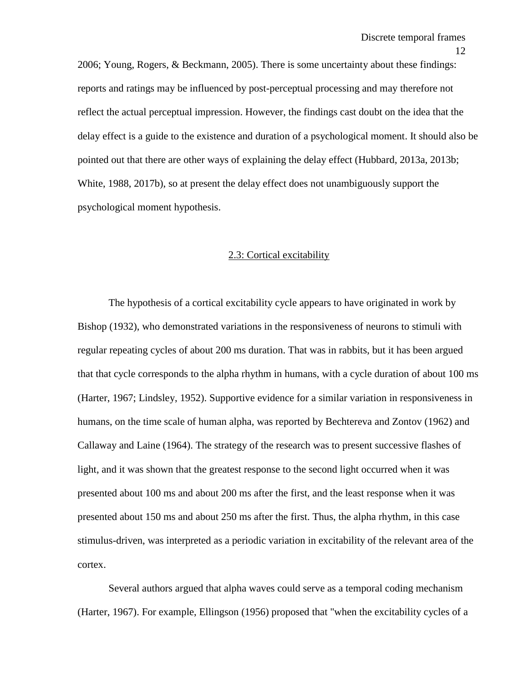2006; Young, Rogers, & Beckmann, 2005). There is some uncertainty about these findings: reports and ratings may be influenced by post-perceptual processing and may therefore not reflect the actual perceptual impression. However, the findings cast doubt on the idea that the delay effect is a guide to the existence and duration of a psychological moment. It should also be pointed out that there are other ways of explaining the delay effect (Hubbard, 2013a, 2013b; White, 1988, 2017b), so at present the delay effect does not unambiguously support the psychological moment hypothesis.

## 2.3: Cortical excitability

 The hypothesis of a cortical excitability cycle appears to have originated in work by Bishop (1932), who demonstrated variations in the responsiveness of neurons to stimuli with regular repeating cycles of about 200 ms duration. That was in rabbits, but it has been argued that that cycle corresponds to the alpha rhythm in humans, with a cycle duration of about 100 ms (Harter, 1967; Lindsley, 1952). Supportive evidence for a similar variation in responsiveness in humans, on the time scale of human alpha, was reported by Bechtereva and Zontov (1962) and Callaway and Laine (1964). The strategy of the research was to present successive flashes of light, and it was shown that the greatest response to the second light occurred when it was presented about 100 ms and about 200 ms after the first, and the least response when it was presented about 150 ms and about 250 ms after the first. Thus, the alpha rhythm, in this case stimulus-driven, was interpreted as a periodic variation in excitability of the relevant area of the cortex.

 Several authors argued that alpha waves could serve as a temporal coding mechanism (Harter, 1967). For example, Ellingson (1956) proposed that "when the excitability cycles of a

<sup>12</sup>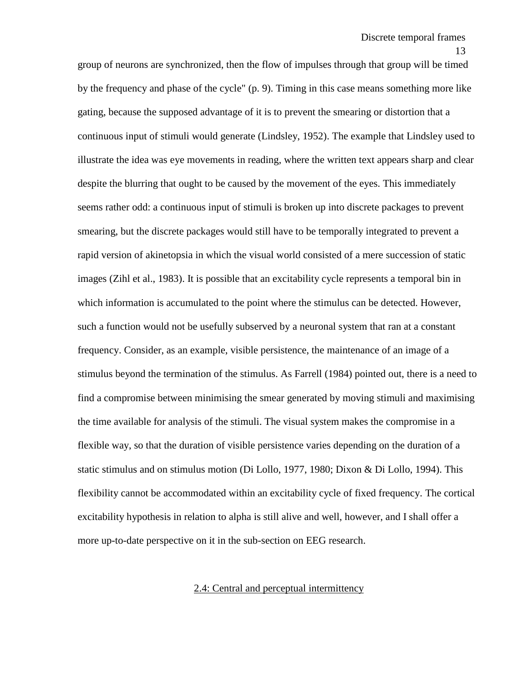group of neurons are synchronized, then the flow of impulses through that group will be timed by the frequency and phase of the cycle" (p. 9). Timing in this case means something more like gating, because the supposed advantage of it is to prevent the smearing or distortion that a continuous input of stimuli would generate (Lindsley, 1952). The example that Lindsley used to illustrate the idea was eye movements in reading, where the written text appears sharp and clear despite the blurring that ought to be caused by the movement of the eyes. This immediately seems rather odd: a continuous input of stimuli is broken up into discrete packages to prevent smearing, but the discrete packages would still have to be temporally integrated to prevent a rapid version of akinetopsia in which the visual world consisted of a mere succession of static images (Zihl et al., 1983). It is possible that an excitability cycle represents a temporal bin in which information is accumulated to the point where the stimulus can be detected. However, such a function would not be usefully subserved by a neuronal system that ran at a constant frequency. Consider, as an example, visible persistence, the maintenance of an image of a stimulus beyond the termination of the stimulus. As Farrell (1984) pointed out, there is a need to find a compromise between minimising the smear generated by moving stimuli and maximising the time available for analysis of the stimuli. The visual system makes the compromise in a flexible way, so that the duration of visible persistence varies depending on the duration of a static stimulus and on stimulus motion (Di Lollo, 1977, 1980; Dixon & Di Lollo, 1994). This flexibility cannot be accommodated within an excitability cycle of fixed frequency. The cortical excitability hypothesis in relation to alpha is still alive and well, however, and I shall offer a more up-to-date perspective on it in the sub-section on EEG research.

# 2.4: Central and perceptual intermittency

<sup>13</sup>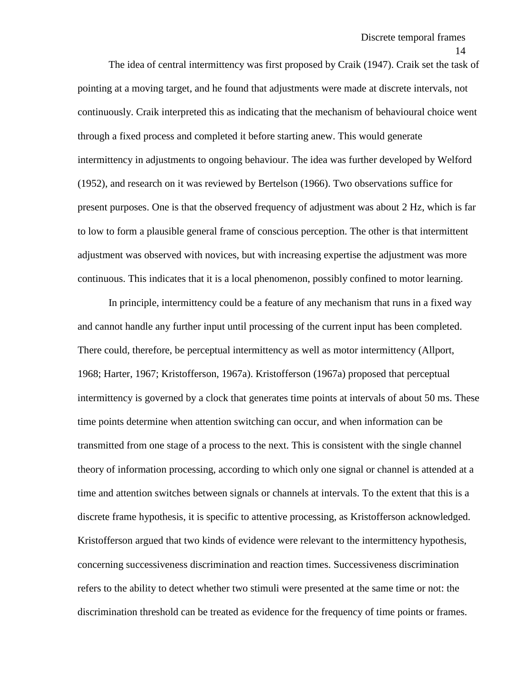The idea of central intermittency was first proposed by Craik (1947). Craik set the task of pointing at a moving target, and he found that adjustments were made at discrete intervals, not continuously. Craik interpreted this as indicating that the mechanism of behavioural choice went through a fixed process and completed it before starting anew. This would generate intermittency in adjustments to ongoing behaviour. The idea was further developed by Welford (1952), and research on it was reviewed by Bertelson (1966). Two observations suffice for present purposes. One is that the observed frequency of adjustment was about 2 Hz, which is far to low to form a plausible general frame of conscious perception. The other is that intermittent adjustment was observed with novices, but with increasing expertise the adjustment was more continuous. This indicates that it is a local phenomenon, possibly confined to motor learning.

 In principle, intermittency could be a feature of any mechanism that runs in a fixed way and cannot handle any further input until processing of the current input has been completed. There could, therefore, be perceptual intermittency as well as motor intermittency (Allport, 1968; Harter, 1967; Kristofferson, 1967a). Kristofferson (1967a) proposed that perceptual intermittency is governed by a clock that generates time points at intervals of about 50 ms. These time points determine when attention switching can occur, and when information can be transmitted from one stage of a process to the next. This is consistent with the single channel theory of information processing, according to which only one signal or channel is attended at a time and attention switches between signals or channels at intervals. To the extent that this is a discrete frame hypothesis, it is specific to attentive processing, as Kristofferson acknowledged. Kristofferson argued that two kinds of evidence were relevant to the intermittency hypothesis, concerning successiveness discrimination and reaction times. Successiveness discrimination refers to the ability to detect whether two stimuli were presented at the same time or not: the discrimination threshold can be treated as evidence for the frequency of time points or frames.

<sup>14</sup>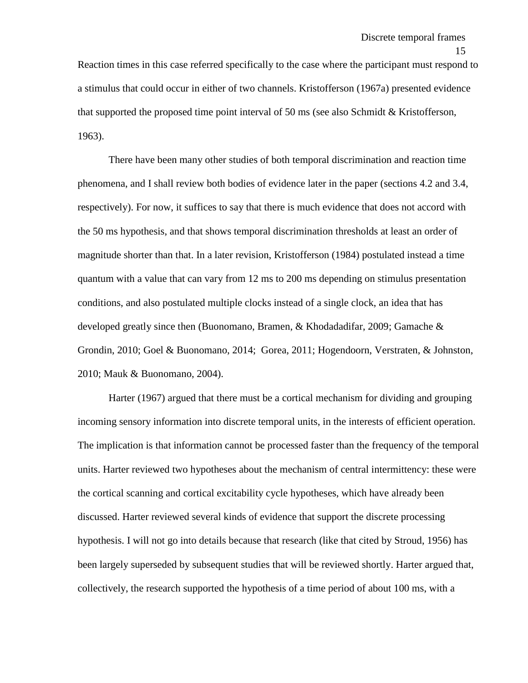Reaction times in this case referred specifically to the case where the participant must respond to a stimulus that could occur in either of two channels. Kristofferson (1967a) presented evidence that supported the proposed time point interval of 50 ms (see also Schmidt & Kristofferson, 1963).

 There have been many other studies of both temporal discrimination and reaction time phenomena, and I shall review both bodies of evidence later in the paper (sections 4.2 and 3.4, respectively). For now, it suffices to say that there is much evidence that does not accord with the 50 ms hypothesis, and that shows temporal discrimination thresholds at least an order of magnitude shorter than that. In a later revision, Kristofferson (1984) postulated instead a time quantum with a value that can vary from 12 ms to 200 ms depending on stimulus presentation conditions, and also postulated multiple clocks instead of a single clock, an idea that has developed greatly since then (Buonomano, Bramen, & Khodadadifar, 2009; Gamache & Grondin, 2010; Goel & Buonomano, 2014; Gorea, 2011; Hogendoorn, Verstraten, & Johnston, 2010; Mauk & Buonomano, 2004).

 Harter (1967) argued that there must be a cortical mechanism for dividing and grouping incoming sensory information into discrete temporal units, in the interests of efficient operation. The implication is that information cannot be processed faster than the frequency of the temporal units. Harter reviewed two hypotheses about the mechanism of central intermittency: these were the cortical scanning and cortical excitability cycle hypotheses, which have already been discussed. Harter reviewed several kinds of evidence that support the discrete processing hypothesis. I will not go into details because that research (like that cited by Stroud, 1956) has been largely superseded by subsequent studies that will be reviewed shortly. Harter argued that, collectively, the research supported the hypothesis of a time period of about 100 ms, with a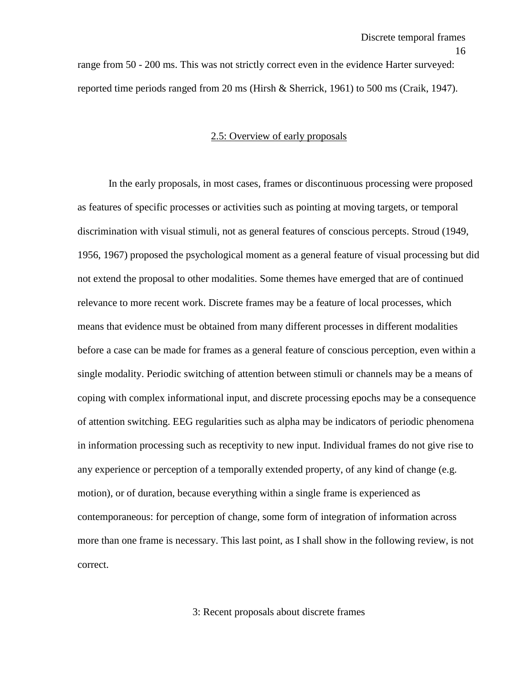range from 50 - 200 ms. This was not strictly correct even in the evidence Harter surveyed: reported time periods ranged from 20 ms (Hirsh & Sherrick, 1961) to 500 ms (Craik, 1947).

## 2.5: Overview of early proposals

 In the early proposals, in most cases, frames or discontinuous processing were proposed as features of specific processes or activities such as pointing at moving targets, or temporal discrimination with visual stimuli, not as general features of conscious percepts. Stroud (1949, 1956, 1967) proposed the psychological moment as a general feature of visual processing but did not extend the proposal to other modalities. Some themes have emerged that are of continued relevance to more recent work. Discrete frames may be a feature of local processes, which means that evidence must be obtained from many different processes in different modalities before a case can be made for frames as a general feature of conscious perception, even within a single modality. Periodic switching of attention between stimuli or channels may be a means of coping with complex informational input, and discrete processing epochs may be a consequence of attention switching. EEG regularities such as alpha may be indicators of periodic phenomena in information processing such as receptivity to new input. Individual frames do not give rise to any experience or perception of a temporally extended property, of any kind of change (e.g. motion), or of duration, because everything within a single frame is experienced as contemporaneous: for perception of change, some form of integration of information across more than one frame is necessary. This last point, as I shall show in the following review, is not correct.

## 3: Recent proposals about discrete frames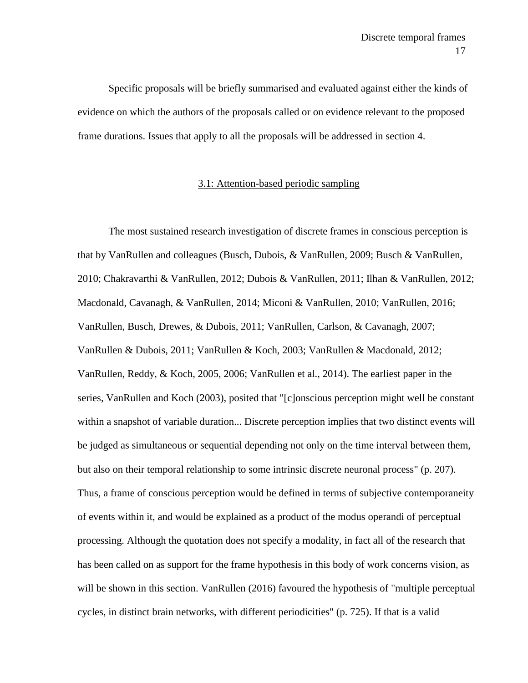Specific proposals will be briefly summarised and evaluated against either the kinds of evidence on which the authors of the proposals called or on evidence relevant to the proposed frame durations. Issues that apply to all the proposals will be addressed in section 4.

## 3.1: Attention-based periodic sampling

 The most sustained research investigation of discrete frames in conscious perception is that by VanRullen and colleagues (Busch, Dubois, & VanRullen, 2009; Busch & VanRullen, 2010; Chakravarthi & VanRullen, 2012; Dubois & VanRullen, 2011; Ilhan & VanRullen, 2012; Macdonald, Cavanagh, & VanRullen, 2014; Miconi & VanRullen, 2010; VanRullen, 2016; VanRullen, Busch, Drewes, & Dubois, 2011; VanRullen, Carlson, & Cavanagh, 2007; VanRullen & Dubois, 2011; VanRullen & Koch, 2003; VanRullen & Macdonald, 2012; VanRullen, Reddy, & Koch, 2005, 2006; VanRullen et al., 2014). The earliest paper in the series, VanRullen and Koch (2003), posited that "[c]onscious perception might well be constant within a snapshot of variable duration... Discrete perception implies that two distinct events will be judged as simultaneous or sequential depending not only on the time interval between them, but also on their temporal relationship to some intrinsic discrete neuronal process" (p. 207). Thus, a frame of conscious perception would be defined in terms of subjective contemporaneity of events within it, and would be explained as a product of the modus operandi of perceptual processing. Although the quotation does not specify a modality, in fact all of the research that has been called on as support for the frame hypothesis in this body of work concerns vision, as will be shown in this section. VanRullen (2016) favoured the hypothesis of "multiple perceptual cycles, in distinct brain networks, with different periodicities" (p. 725). If that is a valid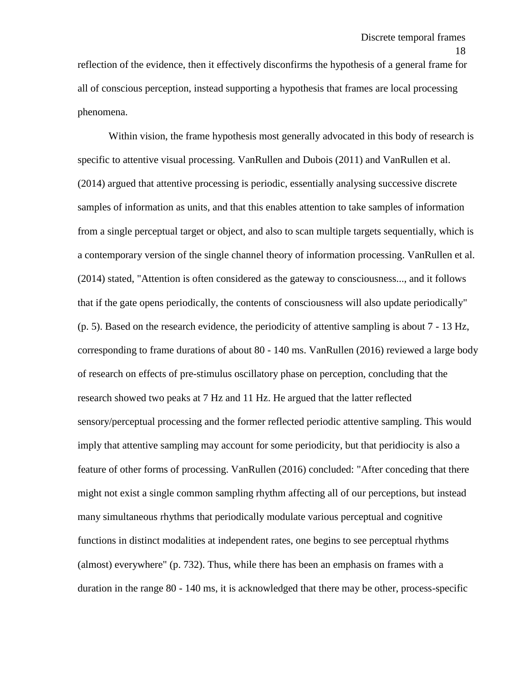reflection of the evidence, then it effectively disconfirms the hypothesis of a general frame for all of conscious perception, instead supporting a hypothesis that frames are local processing phenomena.

 Within vision, the frame hypothesis most generally advocated in this body of research is specific to attentive visual processing. VanRullen and Dubois (2011) and VanRullen et al. (2014) argued that attentive processing is periodic, essentially analysing successive discrete samples of information as units, and that this enables attention to take samples of information from a single perceptual target or object, and also to scan multiple targets sequentially, which is a contemporary version of the single channel theory of information processing. VanRullen et al. (2014) stated, "Attention is often considered as the gateway to consciousness..., and it follows that if the gate opens periodically, the contents of consciousness will also update periodically" (p. 5). Based on the research evidence, the periodicity of attentive sampling is about 7 - 13 Hz, corresponding to frame durations of about 80 - 140 ms. VanRullen (2016) reviewed a large body of research on effects of pre-stimulus oscillatory phase on perception, concluding that the research showed two peaks at 7 Hz and 11 Hz. He argued that the latter reflected sensory/perceptual processing and the former reflected periodic attentive sampling. This would imply that attentive sampling may account for some periodicity, but that peridiocity is also a feature of other forms of processing. VanRullen (2016) concluded: "After conceding that there might not exist a single common sampling rhythm affecting all of our perceptions, but instead many simultaneous rhythms that periodically modulate various perceptual and cognitive functions in distinct modalities at independent rates, one begins to see perceptual rhythms (almost) everywhere" (p. 732). Thus, while there has been an emphasis on frames with a duration in the range 80 - 140 ms, it is acknowledged that there may be other, process-specific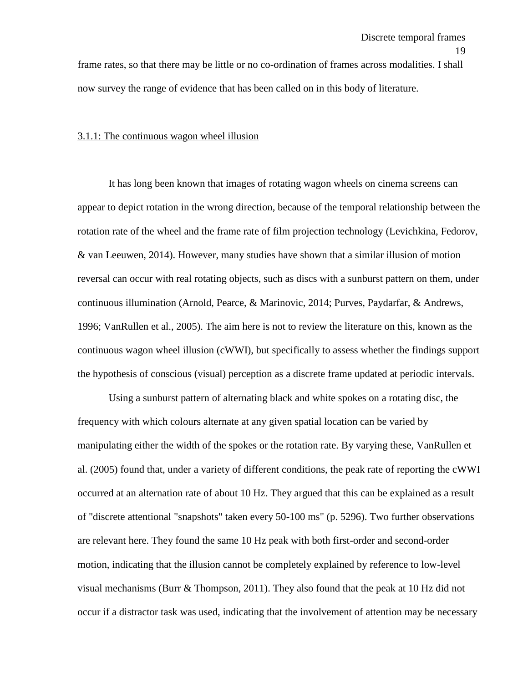frame rates, so that there may be little or no co-ordination of frames across modalities. I shall now survey the range of evidence that has been called on in this body of literature.

## 3.1.1: The continuous wagon wheel illusion

 It has long been known that images of rotating wagon wheels on cinema screens can appear to depict rotation in the wrong direction, because of the temporal relationship between the rotation rate of the wheel and the frame rate of film projection technology (Levichkina, Fedorov, & van Leeuwen, 2014). However, many studies have shown that a similar illusion of motion reversal can occur with real rotating objects, such as discs with a sunburst pattern on them, under continuous illumination (Arnold, Pearce, & Marinovic, 2014; Purves, Paydarfar, & Andrews, 1996; VanRullen et al., 2005). The aim here is not to review the literature on this, known as the continuous wagon wheel illusion (cWWI), but specifically to assess whether the findings support the hypothesis of conscious (visual) perception as a discrete frame updated at periodic intervals.

 Using a sunburst pattern of alternating black and white spokes on a rotating disc, the frequency with which colours alternate at any given spatial location can be varied by manipulating either the width of the spokes or the rotation rate. By varying these, VanRullen et al. (2005) found that, under a variety of different conditions, the peak rate of reporting the cWWI occurred at an alternation rate of about 10 Hz. They argued that this can be explained as a result of "discrete attentional "snapshots" taken every 50-100 ms" (p. 5296). Two further observations are relevant here. They found the same 10 Hz peak with both first-order and second-order motion, indicating that the illusion cannot be completely explained by reference to low-level visual mechanisms (Burr & Thompson, 2011). They also found that the peak at 10 Hz did not occur if a distractor task was used, indicating that the involvement of attention may be necessary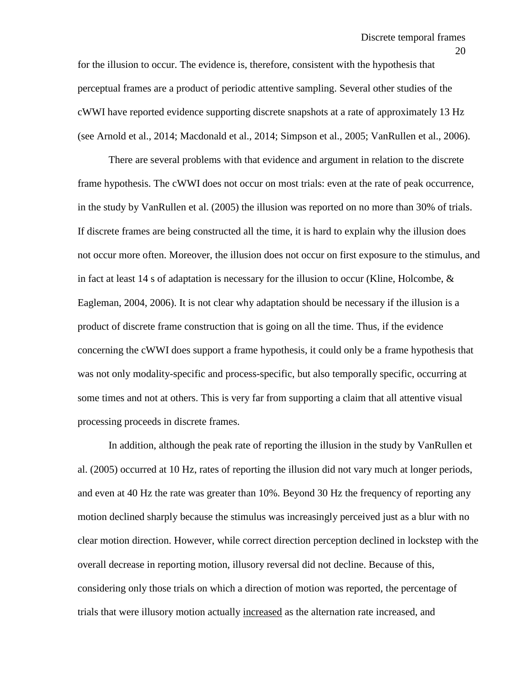for the illusion to occur. The evidence is, therefore, consistent with the hypothesis that perceptual frames are a product of periodic attentive sampling. Several other studies of the cWWI have reported evidence supporting discrete snapshots at a rate of approximately 13 Hz (see Arnold et al., 2014; Macdonald et al., 2014; Simpson et al., 2005; VanRullen et al., 2006).

 There are several problems with that evidence and argument in relation to the discrete frame hypothesis. The cWWI does not occur on most trials: even at the rate of peak occurrence, in the study by VanRullen et al. (2005) the illusion was reported on no more than 30% of trials. If discrete frames are being constructed all the time, it is hard to explain why the illusion does not occur more often. Moreover, the illusion does not occur on first exposure to the stimulus, and in fact at least 14 s of adaptation is necessary for the illusion to occur (Kline, Holcombe, & Eagleman, 2004, 2006). It is not clear why adaptation should be necessary if the illusion is a product of discrete frame construction that is going on all the time. Thus, if the evidence concerning the cWWI does support a frame hypothesis, it could only be a frame hypothesis that was not only modality-specific and process-specific, but also temporally specific, occurring at some times and not at others. This is very far from supporting a claim that all attentive visual processing proceeds in discrete frames.

 In addition, although the peak rate of reporting the illusion in the study by VanRullen et al. (2005) occurred at 10 Hz, rates of reporting the illusion did not vary much at longer periods, and even at 40 Hz the rate was greater than 10%. Beyond 30 Hz the frequency of reporting any motion declined sharply because the stimulus was increasingly perceived just as a blur with no clear motion direction. However, while correct direction perception declined in lockstep with the overall decrease in reporting motion, illusory reversal did not decline. Because of this, considering only those trials on which a direction of motion was reported, the percentage of trials that were illusory motion actually increased as the alternation rate increased, and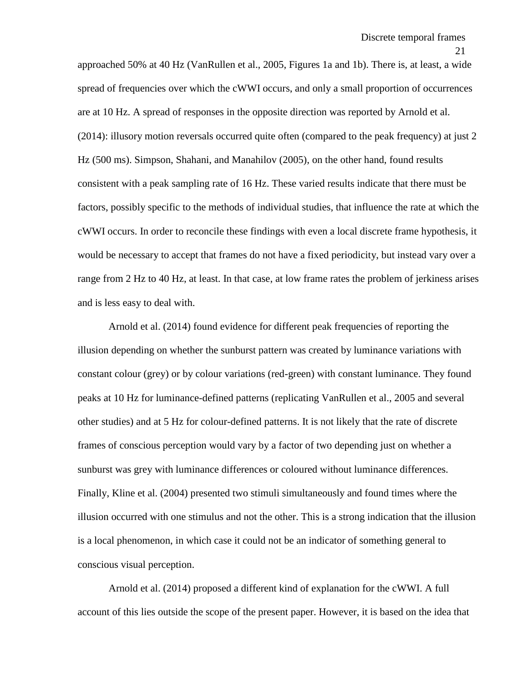approached 50% at 40 Hz (VanRullen et al., 2005, Figures 1a and 1b). There is, at least, a wide spread of frequencies over which the cWWI occurs, and only a small proportion of occurrences are at 10 Hz. A spread of responses in the opposite direction was reported by Arnold et al. (2014): illusory motion reversals occurred quite often (compared to the peak frequency) at just 2 Hz (500 ms). Simpson, Shahani, and Manahilov (2005), on the other hand, found results consistent with a peak sampling rate of 16 Hz. These varied results indicate that there must be factors, possibly specific to the methods of individual studies, that influence the rate at which the cWWI occurs. In order to reconcile these findings with even a local discrete frame hypothesis, it would be necessary to accept that frames do not have a fixed periodicity, but instead vary over a range from 2 Hz to 40 Hz, at least. In that case, at low frame rates the problem of jerkiness arises and is less easy to deal with.

 Arnold et al. (2014) found evidence for different peak frequencies of reporting the illusion depending on whether the sunburst pattern was created by luminance variations with constant colour (grey) or by colour variations (red-green) with constant luminance. They found peaks at 10 Hz for luminance-defined patterns (replicating VanRullen et al., 2005 and several other studies) and at 5 Hz for colour-defined patterns. It is not likely that the rate of discrete frames of conscious perception would vary by a factor of two depending just on whether a sunburst was grey with luminance differences or coloured without luminance differences. Finally, Kline et al. (2004) presented two stimuli simultaneously and found times where the illusion occurred with one stimulus and not the other. This is a strong indication that the illusion is a local phenomenon, in which case it could not be an indicator of something general to conscious visual perception.

 Arnold et al. (2014) proposed a different kind of explanation for the cWWI. A full account of this lies outside the scope of the present paper. However, it is based on the idea that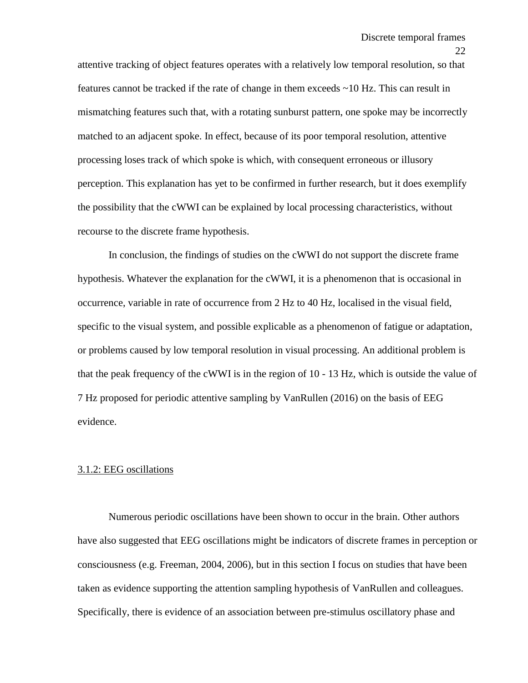attentive tracking of object features operates with a relatively low temporal resolution, so that features cannot be tracked if the rate of change in them exceeds ~10 Hz. This can result in mismatching features such that, with a rotating sunburst pattern, one spoke may be incorrectly matched to an adjacent spoke. In effect, because of its poor temporal resolution, attentive processing loses track of which spoke is which, with consequent erroneous or illusory perception. This explanation has yet to be confirmed in further research, but it does exemplify the possibility that the cWWI can be explained by local processing characteristics, without recourse to the discrete frame hypothesis.

 In conclusion, the findings of studies on the cWWI do not support the discrete frame hypothesis. Whatever the explanation for the cWWI, it is a phenomenon that is occasional in occurrence, variable in rate of occurrence from 2 Hz to 40 Hz, localised in the visual field, specific to the visual system, and possible explicable as a phenomenon of fatigue or adaptation, or problems caused by low temporal resolution in visual processing. An additional problem is that the peak frequency of the cWWI is in the region of 10 - 13 Hz, which is outside the value of 7 Hz proposed for periodic attentive sampling by VanRullen (2016) on the basis of EEG evidence.

## 3.1.2: EEG oscillations

 Numerous periodic oscillations have been shown to occur in the brain. Other authors have also suggested that EEG oscillations might be indicators of discrete frames in perception or consciousness (e.g. Freeman, 2004, 2006), but in this section I focus on studies that have been taken as evidence supporting the attention sampling hypothesis of VanRullen and colleagues. Specifically, there is evidence of an association between pre-stimulus oscillatory phase and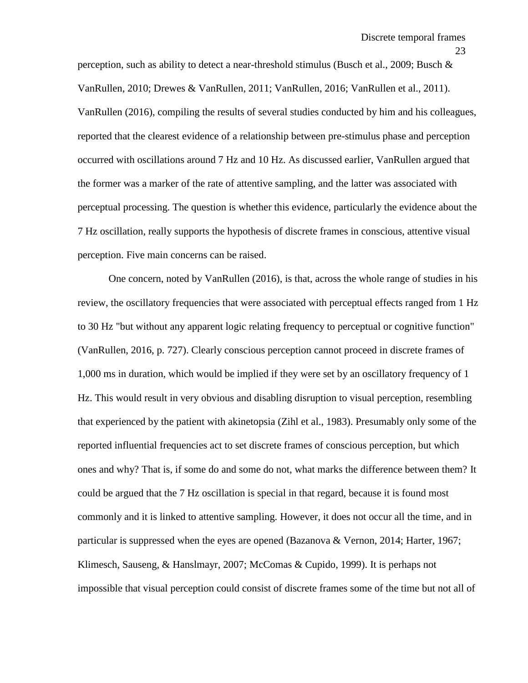perception, such as ability to detect a near-threshold stimulus (Busch et al., 2009; Busch & VanRullen, 2010; Drewes & VanRullen, 2011; VanRullen, 2016; VanRullen et al., 2011). VanRullen (2016), compiling the results of several studies conducted by him and his colleagues, reported that the clearest evidence of a relationship between pre-stimulus phase and perception occurred with oscillations around 7 Hz and 10 Hz. As discussed earlier, VanRullen argued that the former was a marker of the rate of attentive sampling, and the latter was associated with perceptual processing. The question is whether this evidence, particularly the evidence about the 7 Hz oscillation, really supports the hypothesis of discrete frames in conscious, attentive visual perception. Five main concerns can be raised.

 One concern, noted by VanRullen (2016), is that, across the whole range of studies in his review, the oscillatory frequencies that were associated with perceptual effects ranged from 1 Hz to 30 Hz "but without any apparent logic relating frequency to perceptual or cognitive function" (VanRullen, 2016, p. 727). Clearly conscious perception cannot proceed in discrete frames of 1,000 ms in duration, which would be implied if they were set by an oscillatory frequency of 1 Hz. This would result in very obvious and disabling disruption to visual perception, resembling that experienced by the patient with akinetopsia (Zihl et al., 1983). Presumably only some of the reported influential frequencies act to set discrete frames of conscious perception, but which ones and why? That is, if some do and some do not, what marks the difference between them? It could be argued that the 7 Hz oscillation is special in that regard, because it is found most commonly and it is linked to attentive sampling. However, it does not occur all the time, and in particular is suppressed when the eyes are opened (Bazanova & Vernon, 2014; Harter, 1967; Klimesch, Sauseng, & Hanslmayr, 2007; McComas & Cupido, 1999). It is perhaps not impossible that visual perception could consist of discrete frames some of the time but not all of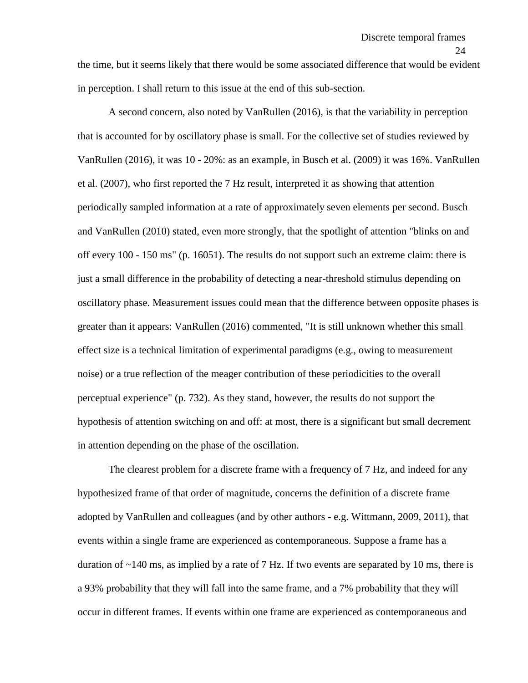in perception. I shall return to this issue at the end of this sub-section.

 A second concern, also noted by VanRullen (2016), is that the variability in perception that is accounted for by oscillatory phase is small. For the collective set of studies reviewed by VanRullen (2016), it was 10 - 20%: as an example, in Busch et al. (2009) it was 16%. VanRullen et al. (2007), who first reported the 7 Hz result, interpreted it as showing that attention periodically sampled information at a rate of approximately seven elements per second. Busch and VanRullen (2010) stated, even more strongly, that the spotlight of attention "blinks on and off every 100 - 150 ms" (p. 16051). The results do not support such an extreme claim: there is just a small difference in the probability of detecting a near-threshold stimulus depending on oscillatory phase. Measurement issues could mean that the difference between opposite phases is greater than it appears: VanRullen (2016) commented, "It is still unknown whether this small effect size is a technical limitation of experimental paradigms (e.g., owing to measurement noise) or a true reflection of the meager contribution of these periodicities to the overall perceptual experience" (p. 732). As they stand, however, the results do not support the hypothesis of attention switching on and off: at most, there is a significant but small decrement in attention depending on the phase of the oscillation.

 The clearest problem for a discrete frame with a frequency of 7 Hz, and indeed for any hypothesized frame of that order of magnitude, concerns the definition of a discrete frame adopted by VanRullen and colleagues (and by other authors - e.g. Wittmann, 2009, 2011), that events within a single frame are experienced as contemporaneous. Suppose a frame has a duration of  $\sim$ 140 ms, as implied by a rate of 7 Hz. If two events are separated by 10 ms, there is a 93% probability that they will fall into the same frame, and a 7% probability that they will occur in different frames. If events within one frame are experienced as contemporaneous and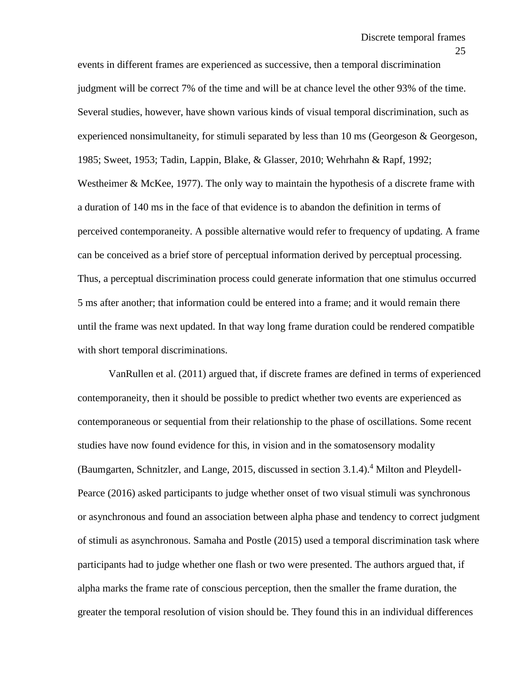25

events in different frames are experienced as successive, then a temporal discrimination judgment will be correct 7% of the time and will be at chance level the other 93% of the time. Several studies, however, have shown various kinds of visual temporal discrimination, such as experienced nonsimultaneity, for stimuli separated by less than 10 ms (Georgeson  $\&$  Georgeson, 1985; Sweet, 1953; Tadin, Lappin, Blake, & Glasser, 2010; Wehrhahn & Rapf, 1992; Westheimer & McKee, 1977). The only way to maintain the hypothesis of a discrete frame with a duration of 140 ms in the face of that evidence is to abandon the definition in terms of perceived contemporaneity. A possible alternative would refer to frequency of updating. A frame can be conceived as a brief store of perceptual information derived by perceptual processing. Thus, a perceptual discrimination process could generate information that one stimulus occurred 5 ms after another; that information could be entered into a frame; and it would remain there until the frame was next updated. In that way long frame duration could be rendered compatible with short temporal discriminations.

 VanRullen et al. (2011) argued that, if discrete frames are defined in terms of experienced contemporaneity, then it should be possible to predict whether two events are experienced as contemporaneous or sequential from their relationship to the phase of oscillations. Some recent studies have now found evidence for this, in vision and in the somatosensory modality (Baumgarten, Schnitzler, and Lange, 2015, discussed in section 3.1.4).<sup>4</sup> Milton and Pleydell-Pearce (2016) asked participants to judge whether onset of two visual stimuli was synchronous or asynchronous and found an association between alpha phase and tendency to correct judgment of stimuli as asynchronous. Samaha and Postle (2015) used a temporal discrimination task where participants had to judge whether one flash or two were presented. The authors argued that, if alpha marks the frame rate of conscious perception, then the smaller the frame duration, the greater the temporal resolution of vision should be. They found this in an individual differences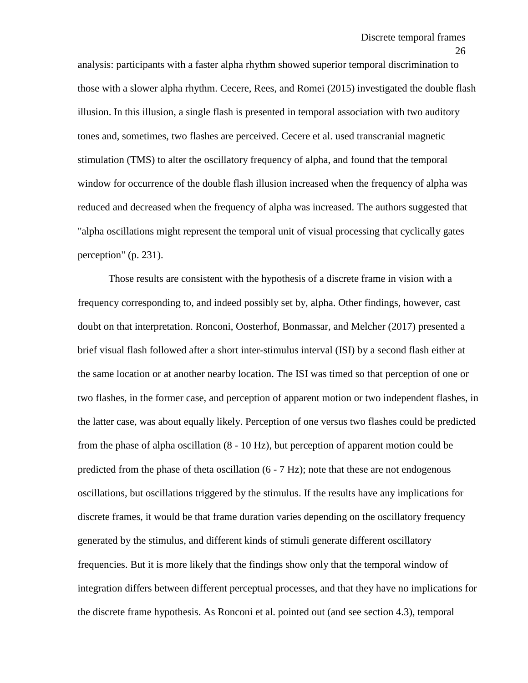analysis: participants with a faster alpha rhythm showed superior temporal discrimination to those with a slower alpha rhythm. Cecere, Rees, and Romei (2015) investigated the double flash illusion. In this illusion, a single flash is presented in temporal association with two auditory tones and, sometimes, two flashes are perceived. Cecere et al. used transcranial magnetic stimulation (TMS) to alter the oscillatory frequency of alpha, and found that the temporal window for occurrence of the double flash illusion increased when the frequency of alpha was reduced and decreased when the frequency of alpha was increased. The authors suggested that "alpha oscillations might represent the temporal unit of visual processing that cyclically gates perception" (p. 231).

 Those results are consistent with the hypothesis of a discrete frame in vision with a frequency corresponding to, and indeed possibly set by, alpha. Other findings, however, cast doubt on that interpretation. Ronconi, Oosterhof, Bonmassar, and Melcher (2017) presented a brief visual flash followed after a short inter-stimulus interval (ISI) by a second flash either at the same location or at another nearby location. The ISI was timed so that perception of one or two flashes, in the former case, and perception of apparent motion or two independent flashes, in the latter case, was about equally likely. Perception of one versus two flashes could be predicted from the phase of alpha oscillation (8 - 10 Hz), but perception of apparent motion could be predicted from the phase of theta oscillation (6 - 7 Hz); note that these are not endogenous oscillations, but oscillations triggered by the stimulus. If the results have any implications for discrete frames, it would be that frame duration varies depending on the oscillatory frequency generated by the stimulus, and different kinds of stimuli generate different oscillatory frequencies. But it is more likely that the findings show only that the temporal window of integration differs between different perceptual processes, and that they have no implications for the discrete frame hypothesis. As Ronconi et al. pointed out (and see section 4.3), temporal

<sup>26</sup>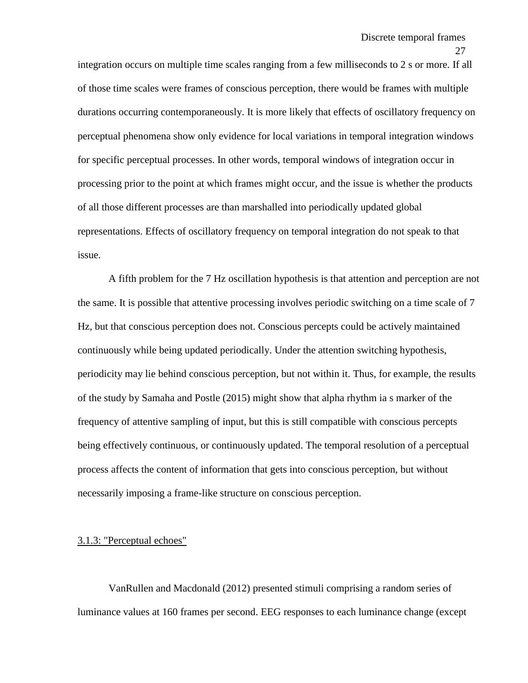integration occurs on multiple time scales ranging from a few milliseconds to 2 s or more. If all of those time scales were frames of conscious perception, there would be frames with multiple durations occurring contemporaneously. It is more likely that effects of oscillatory frequency on perceptual phenomena show only evidence for local variations in temporal integration windows for specific perceptual processes. In other words, temporal windows of integration occur in processing prior to the point at which frames might occur, and the issue is whether the products of all those different processes are than marshalled into periodically updated global representations. Effects of oscillatory frequency on temporal integration do not speak to that issue.

A fifth problem for the 7 Hz oscillation hypothesis is that attention and perception are not the same. It is possible that attentive processing involves periodic switching on a time scale of 7 Hz, but that conscious perception does not. Conscious percepts could be actively maintained continuously while being updated periodically. Under the attention switching hypothesis, periodicity may lie behind conscious perception, but not within it. Thus, for example, the results of the study by Samaha and Postle (2015) might show that alpha rhythm ia s marker of the frequency of attentive sampling of input, but this is still compatible with conscious percepts being effectively continuous, or continuously updated. The temporal resolution of a perceptual process affects the content of information that gets into conscious perception, but without necessarily imposing a frame-like structure on conscious perception.

# 3.1.3: "Perceptual echoes"

 VanRullen and Macdonald (2012) presented stimuli comprising a random series of luminance values at 160 frames per second. EEG responses to each luminance change (except

<sup>27</sup>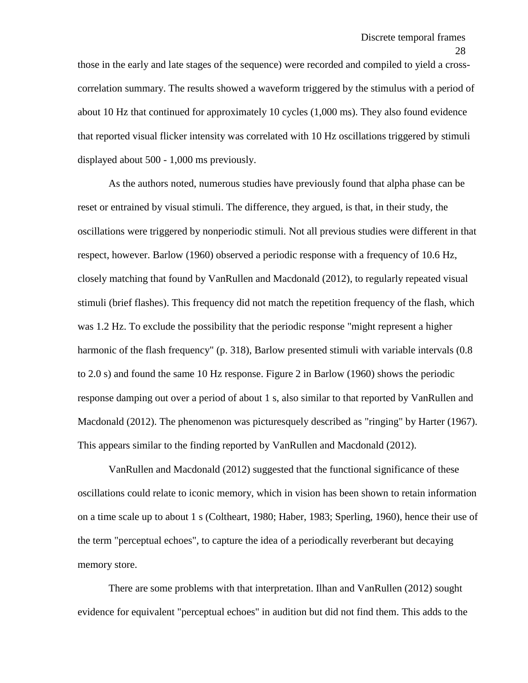those in the early and late stages of the sequence) were recorded and compiled to yield a crosscorrelation summary. The results showed a waveform triggered by the stimulus with a period of about 10 Hz that continued for approximately 10 cycles (1,000 ms). They also found evidence that reported visual flicker intensity was correlated with 10 Hz oscillations triggered by stimuli displayed about 500 - 1,000 ms previously.

 As the authors noted, numerous studies have previously found that alpha phase can be reset or entrained by visual stimuli. The difference, they argued, is that, in their study, the oscillations were triggered by nonperiodic stimuli. Not all previous studies were different in that respect, however. Barlow (1960) observed a periodic response with a frequency of 10.6 Hz, closely matching that found by VanRullen and Macdonald (2012), to regularly repeated visual stimuli (brief flashes). This frequency did not match the repetition frequency of the flash, which was 1.2 Hz. To exclude the possibility that the periodic response "might represent a higher harmonic of the flash frequency" (p. 318), Barlow presented stimuli with variable intervals (0.8) to 2.0 s) and found the same 10 Hz response. Figure 2 in Barlow (1960) shows the periodic response damping out over a period of about 1 s, also similar to that reported by VanRullen and Macdonald (2012). The phenomenon was picturesquely described as "ringing" by Harter (1967). This appears similar to the finding reported by VanRullen and Macdonald (2012).

 VanRullen and Macdonald (2012) suggested that the functional significance of these oscillations could relate to iconic memory, which in vision has been shown to retain information on a time scale up to about 1 s (Coltheart, 1980; Haber, 1983; Sperling, 1960), hence their use of the term "perceptual echoes", to capture the idea of a periodically reverberant but decaying memory store.

 There are some problems with that interpretation. Ilhan and VanRullen (2012) sought evidence for equivalent "perceptual echoes" in audition but did not find them. This adds to the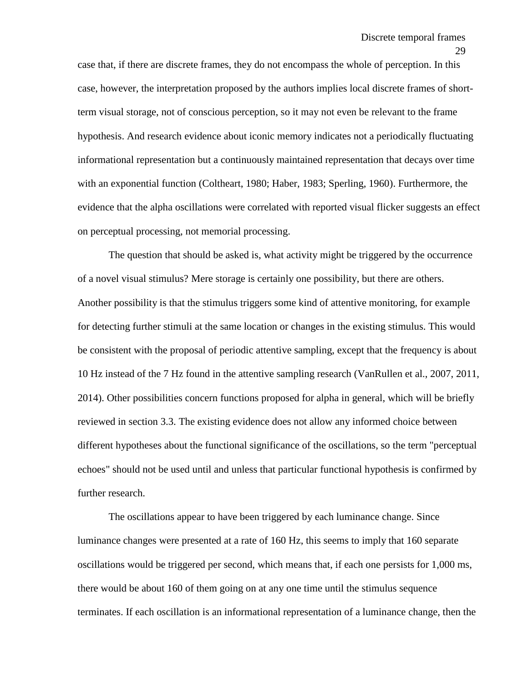case that, if there are discrete frames, they do not encompass the whole of perception. In this case, however, the interpretation proposed by the authors implies local discrete frames of shortterm visual storage, not of conscious perception, so it may not even be relevant to the frame hypothesis. And research evidence about iconic memory indicates not a periodically fluctuating informational representation but a continuously maintained representation that decays over time with an exponential function (Coltheart, 1980; Haber, 1983; Sperling, 1960). Furthermore, the evidence that the alpha oscillations were correlated with reported visual flicker suggests an effect on perceptual processing, not memorial processing.

 The question that should be asked is, what activity might be triggered by the occurrence of a novel visual stimulus? Mere storage is certainly one possibility, but there are others. Another possibility is that the stimulus triggers some kind of attentive monitoring, for example for detecting further stimuli at the same location or changes in the existing stimulus. This would be consistent with the proposal of periodic attentive sampling, except that the frequency is about 10 Hz instead of the 7 Hz found in the attentive sampling research (VanRullen et al., 2007, 2011, 2014). Other possibilities concern functions proposed for alpha in general, which will be briefly reviewed in section 3.3. The existing evidence does not allow any informed choice between different hypotheses about the functional significance of the oscillations, so the term "perceptual echoes" should not be used until and unless that particular functional hypothesis is confirmed by further research.

 The oscillations appear to have been triggered by each luminance change. Since luminance changes were presented at a rate of 160 Hz, this seems to imply that 160 separate oscillations would be triggered per second, which means that, if each one persists for 1,000 ms, there would be about 160 of them going on at any one time until the stimulus sequence terminates. If each oscillation is an informational representation of a luminance change, then the

<sup>29</sup>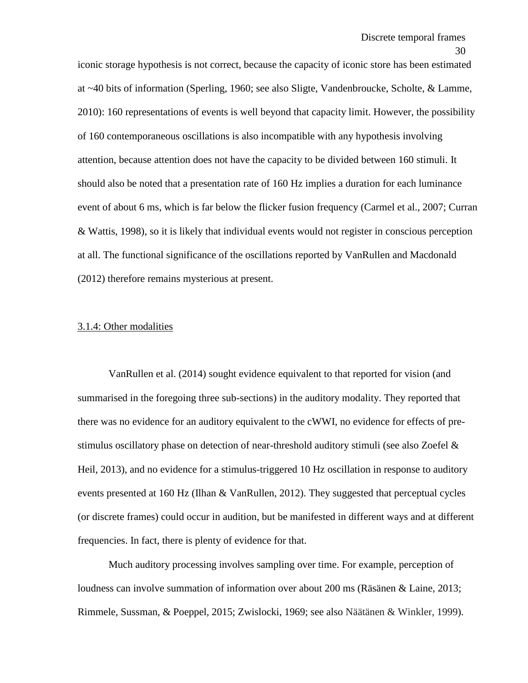iconic storage hypothesis is not correct, because the capacity of iconic store has been estimated at ~40 bits of information (Sperling, 1960; see also Sligte, Vandenbroucke, Scholte, & Lamme, 2010): 160 representations of events is well beyond that capacity limit. However, the possibility of 160 contemporaneous oscillations is also incompatible with any hypothesis involving attention, because attention does not have the capacity to be divided between 160 stimuli. It should also be noted that a presentation rate of 160 Hz implies a duration for each luminance event of about 6 ms, which is far below the flicker fusion frequency (Carmel et al., 2007; Curran & Wattis, 1998), so it is likely that individual events would not register in conscious perception at all. The functional significance of the oscillations reported by VanRullen and Macdonald (2012) therefore remains mysterious at present.

## 3.1.4: Other modalities

 VanRullen et al. (2014) sought evidence equivalent to that reported for vision (and summarised in the foregoing three sub-sections) in the auditory modality. They reported that there was no evidence for an auditory equivalent to the cWWI, no evidence for effects of prestimulus oscillatory phase on detection of near-threshold auditory stimuli (see also Zoefel & Heil, 2013), and no evidence for a stimulus-triggered 10 Hz oscillation in response to auditory events presented at 160 Hz (Ilhan & VanRullen, 2012). They suggested that perceptual cycles (or discrete frames) could occur in audition, but be manifested in different ways and at different frequencies. In fact, there is plenty of evidence for that.

 Much auditory processing involves sampling over time. For example, perception of loudness can involve summation of information over about 200 ms (Räsänen & Laine, 2013; Rimmele, Sussman, & Poeppel, 2015; Zwislocki, 1969; see also Näätänen & Winkler, 1999).

<sup>30</sup>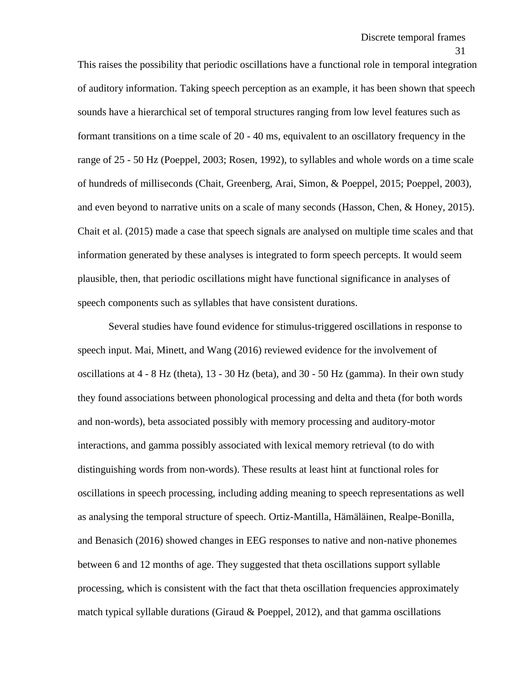This raises the possibility that periodic oscillations have a functional role in temporal integration of auditory information. Taking speech perception as an example, it has been shown that speech sounds have a hierarchical set of temporal structures ranging from low level features such as formant transitions on a time scale of 20 - 40 ms, equivalent to an oscillatory frequency in the range of 25 - 50 Hz (Poeppel, 2003; Rosen, 1992), to syllables and whole words on a time scale of hundreds of milliseconds (Chait, Greenberg, Arai, Simon, & Poeppel, 2015; Poeppel, 2003), and even beyond to narrative units on a scale of many seconds (Hasson, Chen, & Honey, 2015). Chait et al. (2015) made a case that speech signals are analysed on multiple time scales and that information generated by these analyses is integrated to form speech percepts. It would seem plausible, then, that periodic oscillations might have functional significance in analyses of speech components such as syllables that have consistent durations.

 Several studies have found evidence for stimulus-triggered oscillations in response to speech input. Mai, Minett, and Wang (2016) reviewed evidence for the involvement of oscillations at 4 - 8 Hz (theta), 13 - 30 Hz (beta), and 30 - 50 Hz (gamma). In their own study they found associations between phonological processing and delta and theta (for both words and non-words), beta associated possibly with memory processing and auditory-motor interactions, and gamma possibly associated with lexical memory retrieval (to do with distinguishing words from non-words). These results at least hint at functional roles for oscillations in speech processing, including adding meaning to speech representations as well as analysing the temporal structure of speech. Ortiz-Mantilla, Hämäläinen, Realpe-Bonilla, and Benasich (2016) showed changes in EEG responses to native and non-native phonemes between 6 and 12 months of age. They suggested that theta oscillations support syllable processing, which is consistent with the fact that theta oscillation frequencies approximately match typical syllable durations (Giraud & Poeppel,  $2012$ ), and that gamma oscillations

<sup>31</sup>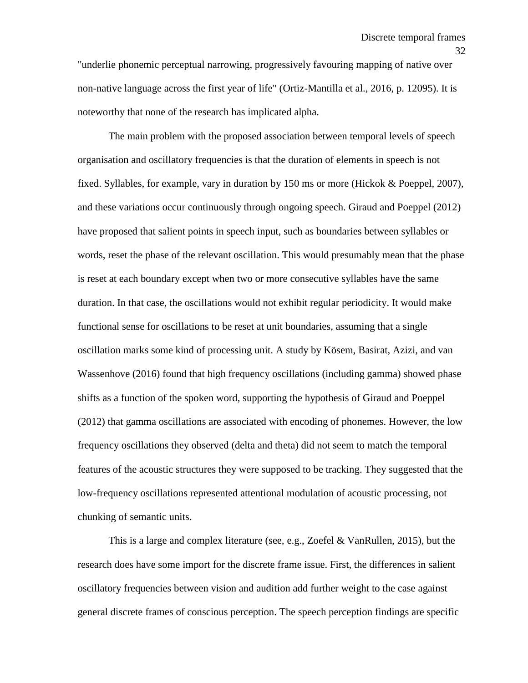"underlie phonemic perceptual narrowing, progressively favouring mapping of native over non-native language across the first year of life" (Ortiz-Mantilla et al., 2016, p. 12095). It is noteworthy that none of the research has implicated alpha.

 The main problem with the proposed association between temporal levels of speech organisation and oscillatory frequencies is that the duration of elements in speech is not fixed. Syllables, for example, vary in duration by 150 ms or more (Hickok & Poeppel, 2007), and these variations occur continuously through ongoing speech. Giraud and Poeppel (2012) have proposed that salient points in speech input, such as boundaries between syllables or words, reset the phase of the relevant oscillation. This would presumably mean that the phase is reset at each boundary except when two or more consecutive syllables have the same duration. In that case, the oscillations would not exhibit regular periodicity. It would make functional sense for oscillations to be reset at unit boundaries, assuming that a single oscillation marks some kind of processing unit. A study by Kösem, Basirat, Azizi, and van Wassenhove (2016) found that high frequency oscillations (including gamma) showed phase shifts as a function of the spoken word, supporting the hypothesis of Giraud and Poeppel (2012) that gamma oscillations are associated with encoding of phonemes. However, the low frequency oscillations they observed (delta and theta) did not seem to match the temporal features of the acoustic structures they were supposed to be tracking. They suggested that the low-frequency oscillations represented attentional modulation of acoustic processing, not chunking of semantic units.

 This is a large and complex literature (see, e.g., Zoefel & VanRullen, 2015), but the research does have some import for the discrete frame issue. First, the differences in salient oscillatory frequencies between vision and audition add further weight to the case against general discrete frames of conscious perception. The speech perception findings are specific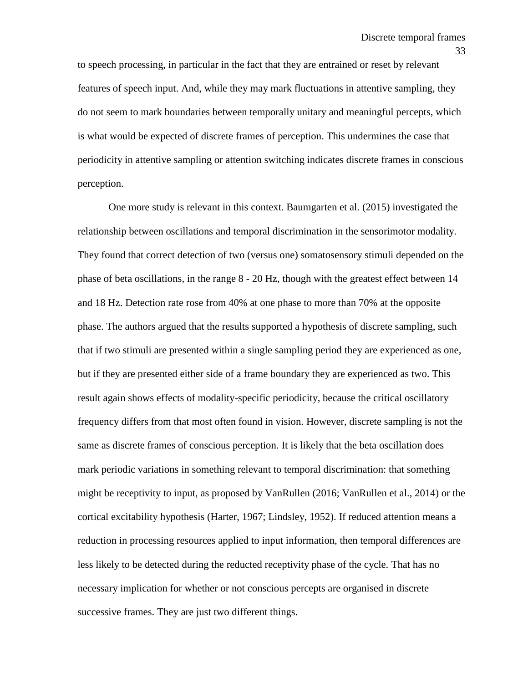to speech processing, in particular in the fact that they are entrained or reset by relevant features of speech input. And, while they may mark fluctuations in attentive sampling, they do not seem to mark boundaries between temporally unitary and meaningful percepts, which is what would be expected of discrete frames of perception. This undermines the case that periodicity in attentive sampling or attention switching indicates discrete frames in conscious perception.

 One more study is relevant in this context. Baumgarten et al. (2015) investigated the relationship between oscillations and temporal discrimination in the sensorimotor modality. They found that correct detection of two (versus one) somatosensory stimuli depended on the phase of beta oscillations, in the range 8 - 20 Hz, though with the greatest effect between 14 and 18 Hz. Detection rate rose from 40% at one phase to more than 70% at the opposite phase. The authors argued that the results supported a hypothesis of discrete sampling, such that if two stimuli are presented within a single sampling period they are experienced as one, but if they are presented either side of a frame boundary they are experienced as two. This result again shows effects of modality-specific periodicity, because the critical oscillatory frequency differs from that most often found in vision. However, discrete sampling is not the same as discrete frames of conscious perception. It is likely that the beta oscillation does mark periodic variations in something relevant to temporal discrimination: that something might be receptivity to input, as proposed by VanRullen (2016; VanRullen et al., 2014) or the cortical excitability hypothesis (Harter, 1967; Lindsley, 1952). If reduced attention means a reduction in processing resources applied to input information, then temporal differences are less likely to be detected during the reducted receptivity phase of the cycle. That has no necessary implication for whether or not conscious percepts are organised in discrete successive frames. They are just two different things.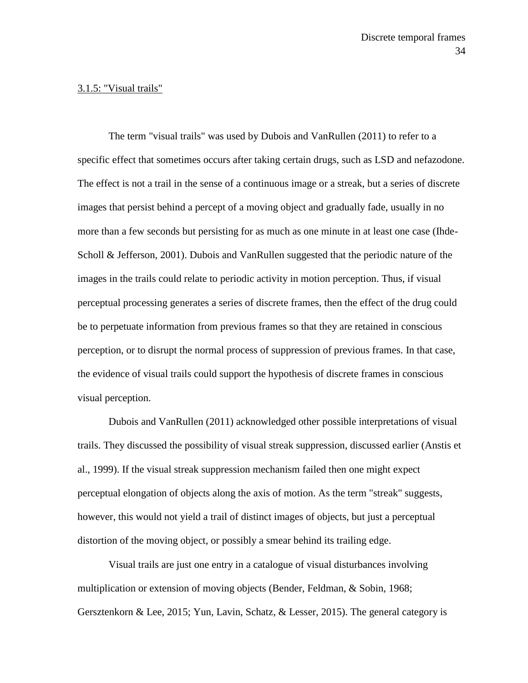## 3.1.5: "Visual trails"

 The term "visual trails" was used by Dubois and VanRullen (2011) to refer to a specific effect that sometimes occurs after taking certain drugs, such as LSD and nefazodone. The effect is not a trail in the sense of a continuous image or a streak, but a series of discrete images that persist behind a percept of a moving object and gradually fade, usually in no more than a few seconds but persisting for as much as one minute in at least one case (Ihde-Scholl & Jefferson, 2001). Dubois and VanRullen suggested that the periodic nature of the images in the trails could relate to periodic activity in motion perception. Thus, if visual perceptual processing generates a series of discrete frames, then the effect of the drug could be to perpetuate information from previous frames so that they are retained in conscious perception, or to disrupt the normal process of suppression of previous frames. In that case, the evidence of visual trails could support the hypothesis of discrete frames in conscious visual perception.

 Dubois and VanRullen (2011) acknowledged other possible interpretations of visual trails. They discussed the possibility of visual streak suppression, discussed earlier (Anstis et al., 1999). If the visual streak suppression mechanism failed then one might expect perceptual elongation of objects along the axis of motion. As the term "streak" suggests, however, this would not yield a trail of distinct images of objects, but just a perceptual distortion of the moving object, or possibly a smear behind its trailing edge.

 Visual trails are just one entry in a catalogue of visual disturbances involving multiplication or extension of moving objects (Bender, Feldman, & Sobin, 1968; Gersztenkorn & Lee, 2015; Yun, Lavin, Schatz, & Lesser, 2015). The general category is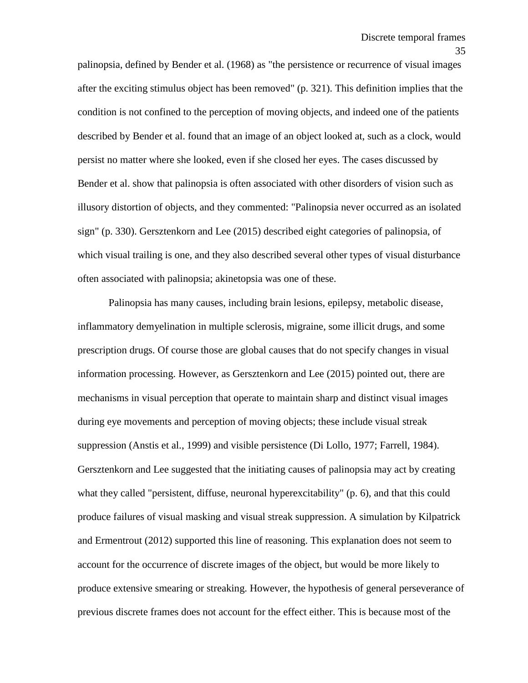palinopsia, defined by Bender et al. (1968) as "the persistence or recurrence of visual images after the exciting stimulus object has been removed" (p. 321). This definition implies that the condition is not confined to the perception of moving objects, and indeed one of the patients described by Bender et al. found that an image of an object looked at, such as a clock, would persist no matter where she looked, even if she closed her eyes. The cases discussed by Bender et al. show that palinopsia is often associated with other disorders of vision such as illusory distortion of objects, and they commented: "Palinopsia never occurred as an isolated sign" (p. 330). Gersztenkorn and Lee (2015) described eight categories of palinopsia, of which visual trailing is one, and they also described several other types of visual disturbance often associated with palinopsia; akinetopsia was one of these.

 Palinopsia has many causes, including brain lesions, epilepsy, metabolic disease, inflammatory demyelination in multiple sclerosis, migraine, some illicit drugs, and some prescription drugs. Of course those are global causes that do not specify changes in visual information processing. However, as Gersztenkorn and Lee (2015) pointed out, there are mechanisms in visual perception that operate to maintain sharp and distinct visual images during eye movements and perception of moving objects; these include visual streak suppression (Anstis et al., 1999) and visible persistence (Di Lollo, 1977; Farrell, 1984). Gersztenkorn and Lee suggested that the initiating causes of palinopsia may act by creating what they called "persistent, diffuse, neuronal hyperexcitability" (p. 6), and that this could produce failures of visual masking and visual streak suppression. A simulation by Kilpatrick and Ermentrout (2012) supported this line of reasoning. This explanation does not seem to account for the occurrence of discrete images of the object, but would be more likely to produce extensive smearing or streaking. However, the hypothesis of general perseverance of previous discrete frames does not account for the effect either. This is because most of the

<sup>35</sup>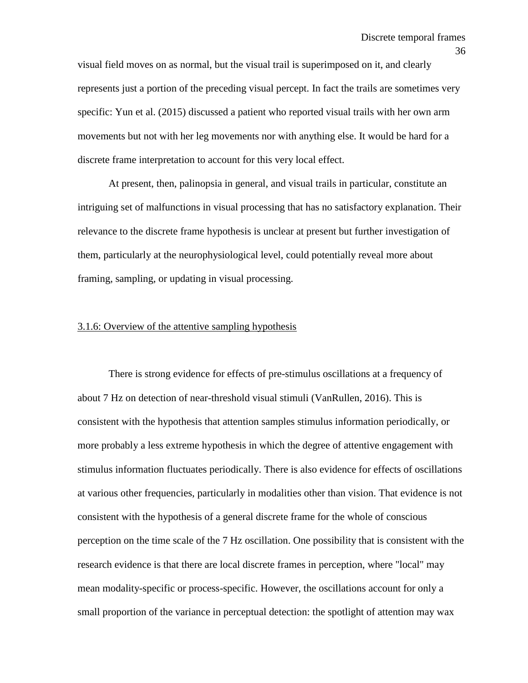visual field moves on as normal, but the visual trail is superimposed on it, and clearly represents just a portion of the preceding visual percept. In fact the trails are sometimes very specific: Yun et al. (2015) discussed a patient who reported visual trails with her own arm movements but not with her leg movements nor with anything else. It would be hard for a discrete frame interpretation to account for this very local effect.

 At present, then, palinopsia in general, and visual trails in particular, constitute an intriguing set of malfunctions in visual processing that has no satisfactory explanation. Their relevance to the discrete frame hypothesis is unclear at present but further investigation of them, particularly at the neurophysiological level, could potentially reveal more about framing, sampling, or updating in visual processing.

## 3.1.6: Overview of the attentive sampling hypothesis

 There is strong evidence for effects of pre-stimulus oscillations at a frequency of about 7 Hz on detection of near-threshold visual stimuli (VanRullen, 2016). This is consistent with the hypothesis that attention samples stimulus information periodically, or more probably a less extreme hypothesis in which the degree of attentive engagement with stimulus information fluctuates periodically. There is also evidence for effects of oscillations at various other frequencies, particularly in modalities other than vision. That evidence is not consistent with the hypothesis of a general discrete frame for the whole of conscious perception on the time scale of the 7 Hz oscillation. One possibility that is consistent with the research evidence is that there are local discrete frames in perception, where "local" may mean modality-specific or process-specific. However, the oscillations account for only a small proportion of the variance in perceptual detection: the spotlight of attention may wax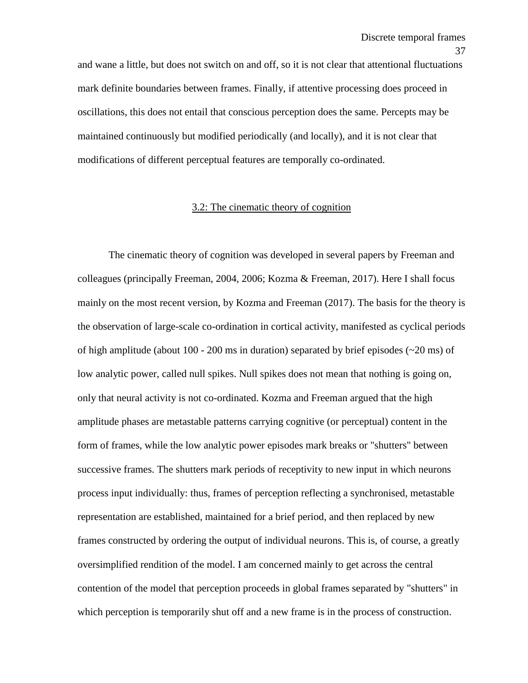and wane a little, but does not switch on and off, so it is not clear that attentional fluctuations mark definite boundaries between frames. Finally, if attentive processing does proceed in oscillations, this does not entail that conscious perception does the same. Percepts may be maintained continuously but modified periodically (and locally), and it is not clear that modifications of different perceptual features are temporally co-ordinated.

#### 3.2: The cinematic theory of cognition

 The cinematic theory of cognition was developed in several papers by Freeman and colleagues (principally Freeman, 2004, 2006; Kozma & Freeman, 2017). Here I shall focus mainly on the most recent version, by Kozma and Freeman (2017). The basis for the theory is the observation of large-scale co-ordination in cortical activity, manifested as cyclical periods of high amplitude (about 100 - 200 ms in duration) separated by brief episodes  $(\sim 20 \text{ ms})$  of low analytic power, called null spikes. Null spikes does not mean that nothing is going on, only that neural activity is not co-ordinated. Kozma and Freeman argued that the high amplitude phases are metastable patterns carrying cognitive (or perceptual) content in the form of frames, while the low analytic power episodes mark breaks or "shutters" between successive frames. The shutters mark periods of receptivity to new input in which neurons process input individually: thus, frames of perception reflecting a synchronised, metastable representation are established, maintained for a brief period, and then replaced by new frames constructed by ordering the output of individual neurons. This is, of course, a greatly oversimplified rendition of the model. I am concerned mainly to get across the central contention of the model that perception proceeds in global frames separated by "shutters" in which perception is temporarily shut off and a new frame is in the process of construction.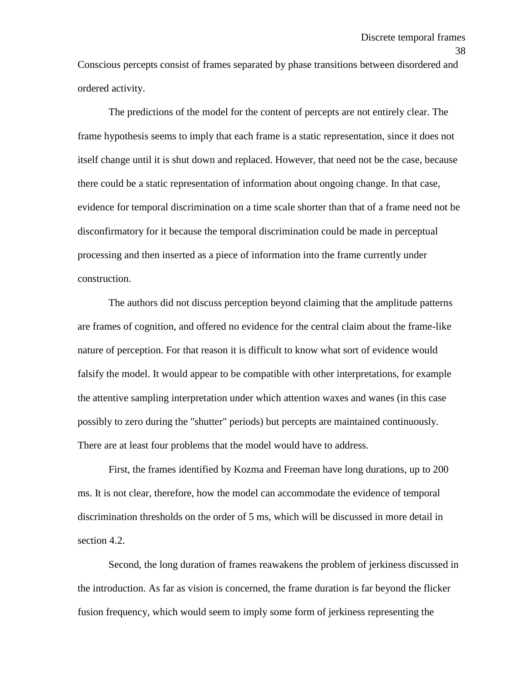Conscious percepts consist of frames separated by phase transitions between disordered and ordered activity.

 The predictions of the model for the content of percepts are not entirely clear. The frame hypothesis seems to imply that each frame is a static representation, since it does not itself change until it is shut down and replaced. However, that need not be the case, because there could be a static representation of information about ongoing change. In that case, evidence for temporal discrimination on a time scale shorter than that of a frame need not be disconfirmatory for it because the temporal discrimination could be made in perceptual processing and then inserted as a piece of information into the frame currently under construction.

 The authors did not discuss perception beyond claiming that the amplitude patterns are frames of cognition, and offered no evidence for the central claim about the frame-like nature of perception. For that reason it is difficult to know what sort of evidence would falsify the model. It would appear to be compatible with other interpretations, for example the attentive sampling interpretation under which attention waxes and wanes (in this case possibly to zero during the "shutter" periods) but percepts are maintained continuously. There are at least four problems that the model would have to address.

 First, the frames identified by Kozma and Freeman have long durations, up to 200 ms. It is not clear, therefore, how the model can accommodate the evidence of temporal discrimination thresholds on the order of 5 ms, which will be discussed in more detail in section 4.2.

 Second, the long duration of frames reawakens the problem of jerkiness discussed in the introduction. As far as vision is concerned, the frame duration is far beyond the flicker fusion frequency, which would seem to imply some form of jerkiness representing the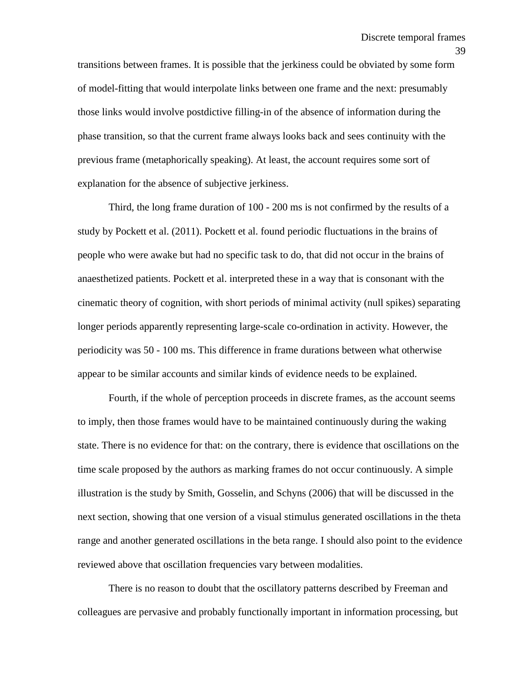transitions between frames. It is possible that the jerkiness could be obviated by some form of model-fitting that would interpolate links between one frame and the next: presumably those links would involve postdictive filling-in of the absence of information during the phase transition, so that the current frame always looks back and sees continuity with the previous frame (metaphorically speaking). At least, the account requires some sort of explanation for the absence of subjective jerkiness.

 Third, the long frame duration of 100 - 200 ms is not confirmed by the results of a study by Pockett et al. (2011). Pockett et al. found periodic fluctuations in the brains of people who were awake but had no specific task to do, that did not occur in the brains of anaesthetized patients. Pockett et al. interpreted these in a way that is consonant with the cinematic theory of cognition, with short periods of minimal activity (null spikes) separating longer periods apparently representing large-scale co-ordination in activity. However, the periodicity was 50 - 100 ms. This difference in frame durations between what otherwise appear to be similar accounts and similar kinds of evidence needs to be explained.

 Fourth, if the whole of perception proceeds in discrete frames, as the account seems to imply, then those frames would have to be maintained continuously during the waking state. There is no evidence for that: on the contrary, there is evidence that oscillations on the time scale proposed by the authors as marking frames do not occur continuously. A simple illustration is the study by Smith, Gosselin, and Schyns (2006) that will be discussed in the next section, showing that one version of a visual stimulus generated oscillations in the theta range and another generated oscillations in the beta range. I should also point to the evidence reviewed above that oscillation frequencies vary between modalities.

 There is no reason to doubt that the oscillatory patterns described by Freeman and colleagues are pervasive and probably functionally important in information processing, but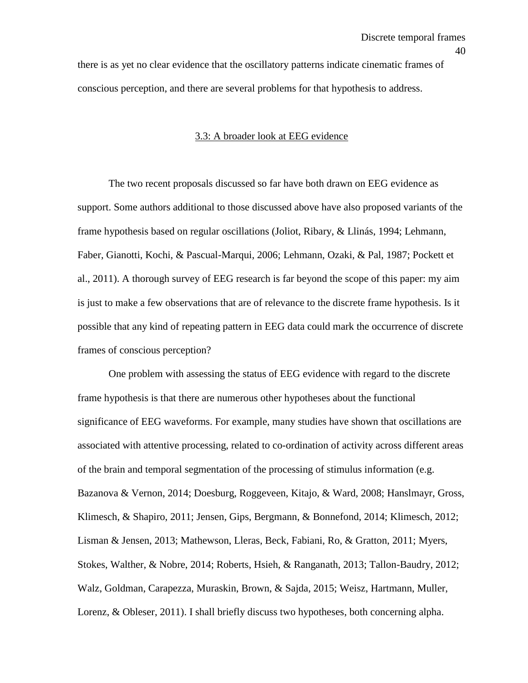there is as yet no clear evidence that the oscillatory patterns indicate cinematic frames of conscious perception, and there are several problems for that hypothesis to address.

#### 3.3: A broader look at EEG evidence

 The two recent proposals discussed so far have both drawn on EEG evidence as support. Some authors additional to those discussed above have also proposed variants of the frame hypothesis based on regular oscillations (Joliot, Ribary, & Llinás, 1994; Lehmann, Faber, Gianotti, Kochi, & Pascual-Marqui, 2006; Lehmann, Ozaki, & Pal, 1987; Pockett et al., 2011). A thorough survey of EEG research is far beyond the scope of this paper: my aim is just to make a few observations that are of relevance to the discrete frame hypothesis. Is it possible that any kind of repeating pattern in EEG data could mark the occurrence of discrete frames of conscious perception?

 One problem with assessing the status of EEG evidence with regard to the discrete frame hypothesis is that there are numerous other hypotheses about the functional significance of EEG waveforms. For example, many studies have shown that oscillations are associated with attentive processing, related to co-ordination of activity across different areas of the brain and temporal segmentation of the processing of stimulus information (e.g. Bazanova & Vernon, 2014; Doesburg, Roggeveen, Kitajo, & Ward, 2008; Hanslmayr, Gross, Klimesch, & Shapiro, 2011; Jensen, Gips, Bergmann, & Bonnefond, 2014; Klimesch, 2012; Lisman & Jensen, 2013; Mathewson, Lleras, Beck, Fabiani, Ro, & Gratton, 2011; Myers, Stokes, Walther, & Nobre, 2014; Roberts, Hsieh, & Ranganath, 2013; Tallon-Baudry, 2012; Walz, Goldman, Carapezza, Muraskin, Brown, & Sajda, 2015; Weisz, Hartmann, Muller, Lorenz, & Obleser, 2011). I shall briefly discuss two hypotheses, both concerning alpha.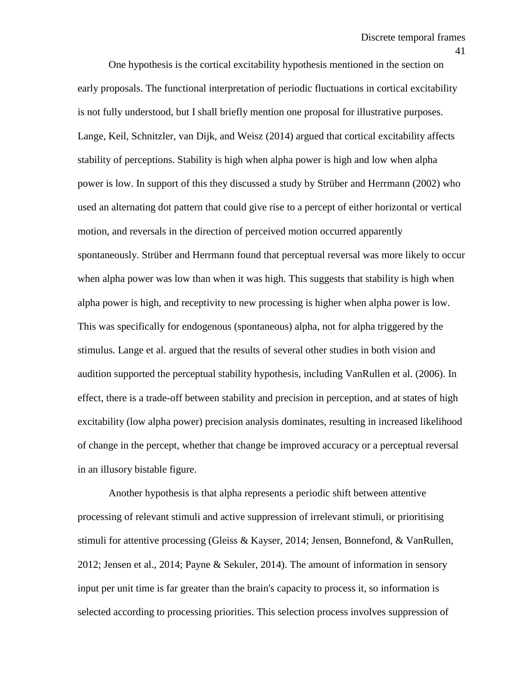One hypothesis is the cortical excitability hypothesis mentioned in the section on early proposals. The functional interpretation of periodic fluctuations in cortical excitability is not fully understood, but I shall briefly mention one proposal for illustrative purposes. Lange, Keil, Schnitzler, van Dijk, and Weisz (2014) argued that cortical excitability affects stability of perceptions. Stability is high when alpha power is high and low when alpha power is low. In support of this they discussed a study by Strüber and Herrmann (2002) who used an alternating dot pattern that could give rise to a percept of either horizontal or vertical motion, and reversals in the direction of perceived motion occurred apparently spontaneously. Strüber and Herrmann found that perceptual reversal was more likely to occur when alpha power was low than when it was high. This suggests that stability is high when alpha power is high, and receptivity to new processing is higher when alpha power is low. This was specifically for endogenous (spontaneous) alpha, not for alpha triggered by the stimulus. Lange et al. argued that the results of several other studies in both vision and audition supported the perceptual stability hypothesis, including VanRullen et al. (2006). In effect, there is a trade-off between stability and precision in perception, and at states of high excitability (low alpha power) precision analysis dominates, resulting in increased likelihood of change in the percept, whether that change be improved accuracy or a perceptual reversal in an illusory bistable figure.

 Another hypothesis is that alpha represents a periodic shift between attentive processing of relevant stimuli and active suppression of irrelevant stimuli, or prioritising stimuli for attentive processing (Gleiss & Kayser, 2014; Jensen, Bonnefond, & VanRullen, 2012; Jensen et al., 2014; Payne & Sekuler, 2014). The amount of information in sensory input per unit time is far greater than the brain's capacity to process it, so information is selected according to processing priorities. This selection process involves suppression of

<sup>41</sup>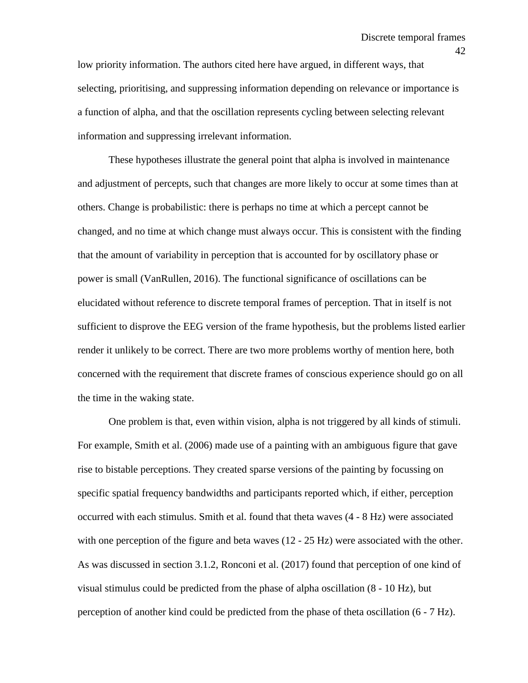low priority information. The authors cited here have argued, in different ways, that selecting, prioritising, and suppressing information depending on relevance or importance is a function of alpha, and that the oscillation represents cycling between selecting relevant information and suppressing irrelevant information.

 These hypotheses illustrate the general point that alpha is involved in maintenance and adjustment of percepts, such that changes are more likely to occur at some times than at others. Change is probabilistic: there is perhaps no time at which a percept cannot be changed, and no time at which change must always occur. This is consistent with the finding that the amount of variability in perception that is accounted for by oscillatory phase or power is small (VanRullen, 2016). The functional significance of oscillations can be elucidated without reference to discrete temporal frames of perception. That in itself is not sufficient to disprove the EEG version of the frame hypothesis, but the problems listed earlier render it unlikely to be correct. There are two more problems worthy of mention here, both concerned with the requirement that discrete frames of conscious experience should go on all the time in the waking state.

 One problem is that, even within vision, alpha is not triggered by all kinds of stimuli. For example, Smith et al. (2006) made use of a painting with an ambiguous figure that gave rise to bistable perceptions. They created sparse versions of the painting by focussing on specific spatial frequency bandwidths and participants reported which, if either, perception occurred with each stimulus. Smith et al. found that theta waves (4 - 8 Hz) were associated with one perception of the figure and beta waves (12 - 25 Hz) were associated with the other. As was discussed in section 3.1.2, Ronconi et al. (2017) found that perception of one kind of visual stimulus could be predicted from the phase of alpha oscillation (8 - 10 Hz), but perception of another kind could be predicted from the phase of theta oscillation (6 - 7 Hz).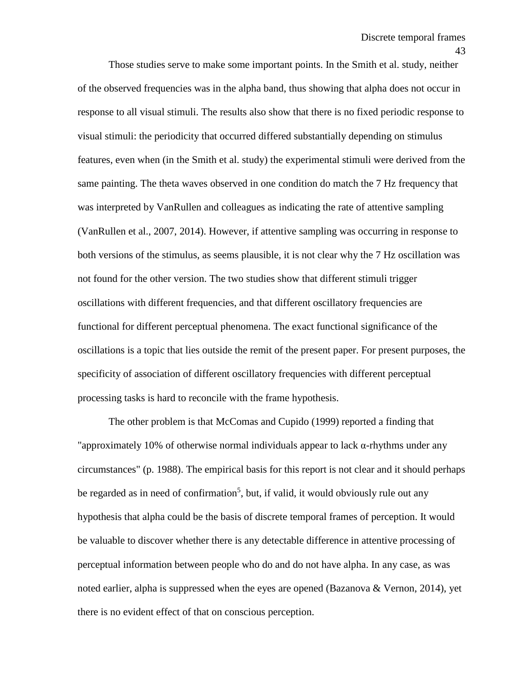Those studies serve to make some important points. In the Smith et al. study, neither of the observed frequencies was in the alpha band, thus showing that alpha does not occur in response to all visual stimuli. The results also show that there is no fixed periodic response to visual stimuli: the periodicity that occurred differed substantially depending on stimulus features, even when (in the Smith et al. study) the experimental stimuli were derived from the same painting. The theta waves observed in one condition do match the 7 Hz frequency that was interpreted by VanRullen and colleagues as indicating the rate of attentive sampling (VanRullen et al., 2007, 2014). However, if attentive sampling was occurring in response to both versions of the stimulus, as seems plausible, it is not clear why the 7 Hz oscillation was not found for the other version. The two studies show that different stimuli trigger oscillations with different frequencies, and that different oscillatory frequencies are functional for different perceptual phenomena. The exact functional significance of the oscillations is a topic that lies outside the remit of the present paper. For present purposes, the specificity of association of different oscillatory frequencies with different perceptual processing tasks is hard to reconcile with the frame hypothesis.

 The other problem is that McComas and Cupido (1999) reported a finding that "approximately 10% of otherwise normal individuals appear to lack  $\alpha$ -rhythms under any circumstances" (p. 1988). The empirical basis for this report is not clear and it should perhaps be regarded as in need of confirmation<sup>5</sup>, but, if valid, it would obviously rule out any hypothesis that alpha could be the basis of discrete temporal frames of perception. It would be valuable to discover whether there is any detectable difference in attentive processing of perceptual information between people who do and do not have alpha. In any case, as was noted earlier, alpha is suppressed when the eyes are opened (Bazanova & Vernon, 2014), yet there is no evident effect of that on conscious perception.

<sup>43</sup>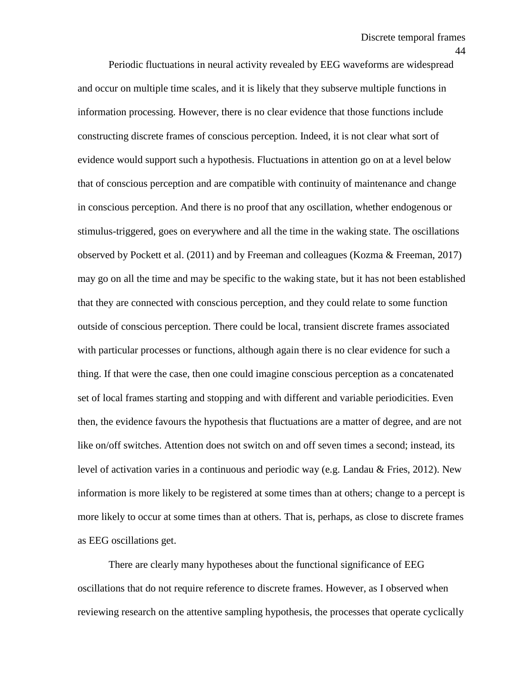Periodic fluctuations in neural activity revealed by EEG waveforms are widespread and occur on multiple time scales, and it is likely that they subserve multiple functions in information processing. However, there is no clear evidence that those functions include constructing discrete frames of conscious perception. Indeed, it is not clear what sort of evidence would support such a hypothesis. Fluctuations in attention go on at a level below that of conscious perception and are compatible with continuity of maintenance and change in conscious perception. And there is no proof that any oscillation, whether endogenous or stimulus-triggered, goes on everywhere and all the time in the waking state. The oscillations observed by Pockett et al. (2011) and by Freeman and colleagues (Kozma & Freeman, 2017) may go on all the time and may be specific to the waking state, but it has not been established that they are connected with conscious perception, and they could relate to some function outside of conscious perception. There could be local, transient discrete frames associated with particular processes or functions, although again there is no clear evidence for such a thing. If that were the case, then one could imagine conscious perception as a concatenated set of local frames starting and stopping and with different and variable periodicities. Even then, the evidence favours the hypothesis that fluctuations are a matter of degree, and are not like on/off switches. Attention does not switch on and off seven times a second; instead, its level of activation varies in a continuous and periodic way (e.g. Landau & Fries, 2012). New information is more likely to be registered at some times than at others; change to a percept is more likely to occur at some times than at others. That is, perhaps, as close to discrete frames as EEG oscillations get.

 There are clearly many hypotheses about the functional significance of EEG oscillations that do not require reference to discrete frames. However, as I observed when reviewing research on the attentive sampling hypothesis, the processes that operate cyclically

<sup>44</sup>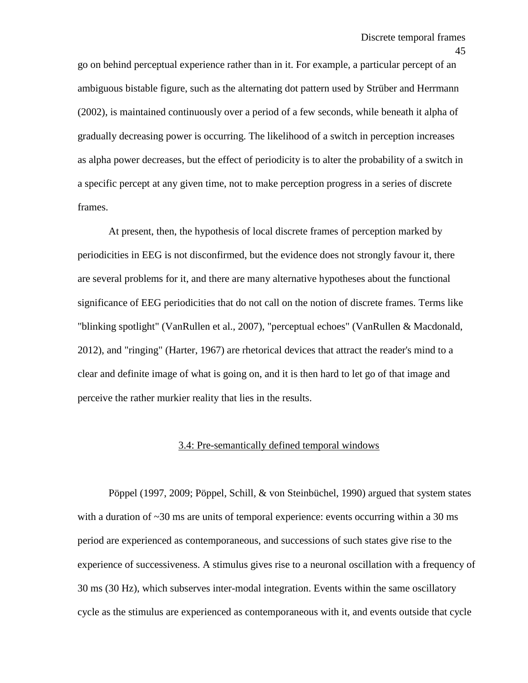go on behind perceptual experience rather than in it. For example, a particular percept of an ambiguous bistable figure, such as the alternating dot pattern used by Strüber and Herrmann (2002), is maintained continuously over a period of a few seconds, while beneath it alpha of gradually decreasing power is occurring. The likelihood of a switch in perception increases as alpha power decreases, but the effect of periodicity is to alter the probability of a switch in a specific percept at any given time, not to make perception progress in a series of discrete frames.

 At present, then, the hypothesis of local discrete frames of perception marked by periodicities in EEG is not disconfirmed, but the evidence does not strongly favour it, there are several problems for it, and there are many alternative hypotheses about the functional significance of EEG periodicities that do not call on the notion of discrete frames. Terms like "blinking spotlight" (VanRullen et al., 2007), "perceptual echoes" (VanRullen & Macdonald, 2012), and "ringing" (Harter, 1967) are rhetorical devices that attract the reader's mind to a clear and definite image of what is going on, and it is then hard to let go of that image and perceive the rather murkier reality that lies in the results.

#### 3.4: Pre-semantically defined temporal windows

 Pöppel (1997, 2009; Pöppel, Schill, & von Steinbüchel, 1990) argued that system states with a duration of  $\sim$ 30 ms are units of temporal experience: events occurring within a 30 ms period are experienced as contemporaneous, and successions of such states give rise to the experience of successiveness. A stimulus gives rise to a neuronal oscillation with a frequency of 30 ms (30 Hz), which subserves inter-modal integration. Events within the same oscillatory cycle as the stimulus are experienced as contemporaneous with it, and events outside that cycle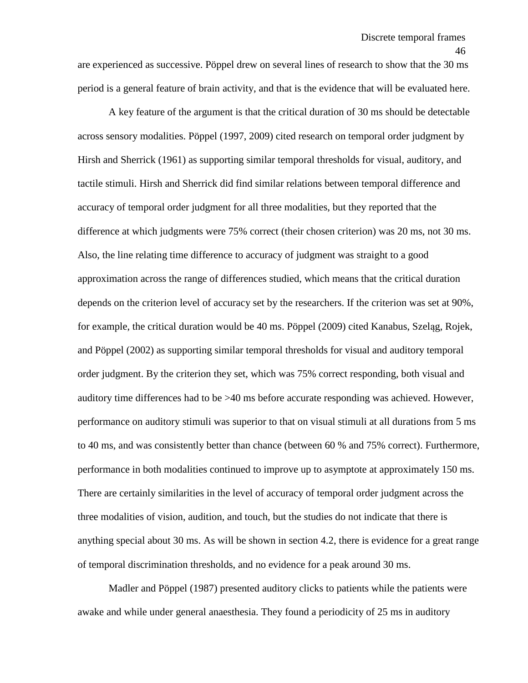are experienced as successive. Pöppel drew on several lines of research to show that the 30 ms period is a general feature of brain activity, and that is the evidence that will be evaluated here.

 A key feature of the argument is that the critical duration of 30 ms should be detectable across sensory modalities. Pöppel (1997, 2009) cited research on temporal order judgment by Hirsh and Sherrick (1961) as supporting similar temporal thresholds for visual, auditory, and tactile stimuli. Hirsh and Sherrick did find similar relations between temporal difference and accuracy of temporal order judgment for all three modalities, but they reported that the difference at which judgments were 75% correct (their chosen criterion) was 20 ms, not 30 ms. Also, the line relating time difference to accuracy of judgment was straight to a good approximation across the range of differences studied, which means that the critical duration depends on the criterion level of accuracy set by the researchers. If the criterion was set at 90%, for example, the critical duration would be 40 ms. Pöppel (2009) cited Kanabus, Szeląg, Rojek, and Pöppel (2002) as supporting similar temporal thresholds for visual and auditory temporal order judgment. By the criterion they set, which was 75% correct responding, both visual and auditory time differences had to be >40 ms before accurate responding was achieved. However, performance on auditory stimuli was superior to that on visual stimuli at all durations from 5 ms to 40 ms, and was consistently better than chance (between 60 % and 75% correct). Furthermore, performance in both modalities continued to improve up to asymptote at approximately 150 ms. There are certainly similarities in the level of accuracy of temporal order judgment across the three modalities of vision, audition, and touch, but the studies do not indicate that there is anything special about 30 ms. As will be shown in section 4.2, there is evidence for a great range of temporal discrimination thresholds, and no evidence for a peak around 30 ms.

 Madler and Pöppel (1987) presented auditory clicks to patients while the patients were awake and while under general anaesthesia. They found a periodicity of 25 ms in auditory

<sup>46</sup>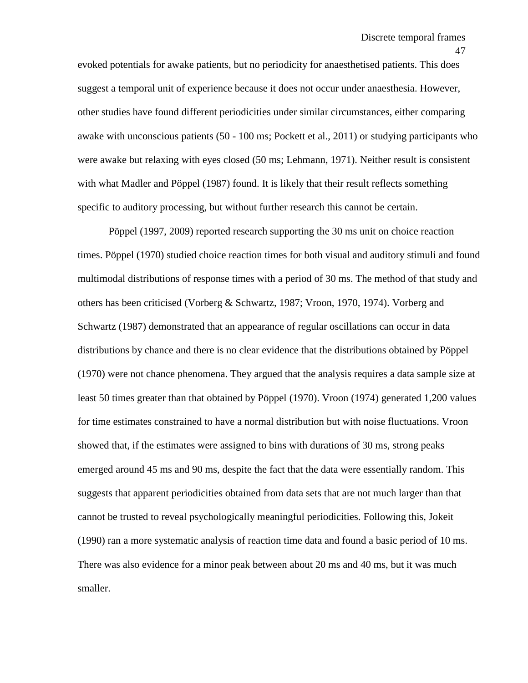evoked potentials for awake patients, but no periodicity for anaesthetised patients. This does suggest a temporal unit of experience because it does not occur under anaesthesia. However, other studies have found different periodicities under similar circumstances, either comparing awake with unconscious patients (50 - 100 ms; Pockett et al., 2011) or studying participants who were awake but relaxing with eyes closed (50 ms; Lehmann, 1971). Neither result is consistent with what Madler and Pöppel (1987) found. It is likely that their result reflects something specific to auditory processing, but without further research this cannot be certain.

 Pöppel (1997, 2009) reported research supporting the 30 ms unit on choice reaction times. Pöppel (1970) studied choice reaction times for both visual and auditory stimuli and found multimodal distributions of response times with a period of 30 ms. The method of that study and others has been criticised (Vorberg & Schwartz, 1987; Vroon, 1970, 1974). Vorberg and Schwartz (1987) demonstrated that an appearance of regular oscillations can occur in data distributions by chance and there is no clear evidence that the distributions obtained by Pöppel (1970) were not chance phenomena. They argued that the analysis requires a data sample size at least 50 times greater than that obtained by Pöppel (1970). Vroon (1974) generated 1,200 values for time estimates constrained to have a normal distribution but with noise fluctuations. Vroon showed that, if the estimates were assigned to bins with durations of 30 ms, strong peaks emerged around 45 ms and 90 ms, despite the fact that the data were essentially random. This suggests that apparent periodicities obtained from data sets that are not much larger than that cannot be trusted to reveal psychologically meaningful periodicities. Following this, Jokeit (1990) ran a more systematic analysis of reaction time data and found a basic period of 10 ms. There was also evidence for a minor peak between about 20 ms and 40 ms, but it was much smaller.

<sup>47</sup>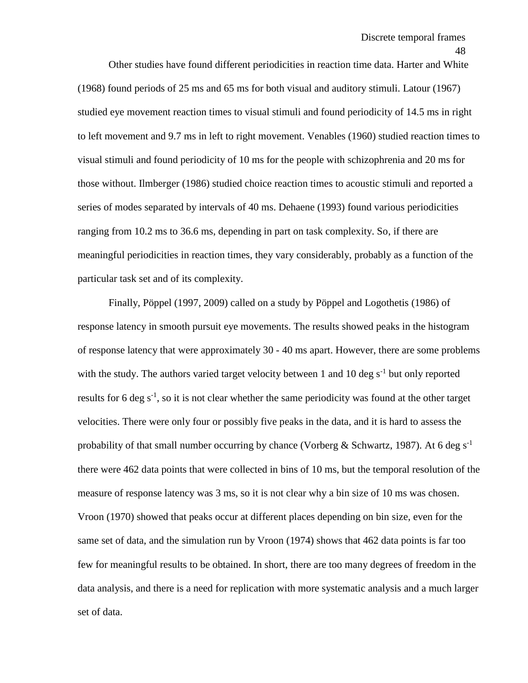Other studies have found different periodicities in reaction time data. Harter and White (1968) found periods of 25 ms and 65 ms for both visual and auditory stimuli. Latour (1967) studied eye movement reaction times to visual stimuli and found periodicity of 14.5 ms in right to left movement and 9.7 ms in left to right movement. Venables (1960) studied reaction times to visual stimuli and found periodicity of 10 ms for the people with schizophrenia and 20 ms for those without. Ilmberger (1986) studied choice reaction times to acoustic stimuli and reported a series of modes separated by intervals of 40 ms. Dehaene (1993) found various periodicities ranging from 10.2 ms to 36.6 ms, depending in part on task complexity. So, if there are meaningful periodicities in reaction times, they vary considerably, probably as a function of the particular task set and of its complexity.

 Finally, Pöppel (1997, 2009) called on a study by Pöppel and Logothetis (1986) of response latency in smooth pursuit eye movements. The results showed peaks in the histogram of response latency that were approximately 30 - 40 ms apart. However, there are some problems with the study. The authors varied target velocity between 1 and 10 deg  $s^{-1}$  but only reported results for 6 deg  $s^{-1}$ , so it is not clear whether the same periodicity was found at the other target velocities. There were only four or possibly five peaks in the data, and it is hard to assess the probability of that small number occurring by chance (Vorberg & Schwartz, 1987). At 6 deg s<sup>-1</sup> there were 462 data points that were collected in bins of 10 ms, but the temporal resolution of the measure of response latency was 3 ms, so it is not clear why a bin size of 10 ms was chosen. Vroon (1970) showed that peaks occur at different places depending on bin size, even for the same set of data, and the simulation run by Vroon (1974) shows that 462 data points is far too few for meaningful results to be obtained. In short, there are too many degrees of freedom in the data analysis, and there is a need for replication with more systematic analysis and a much larger set of data.

<sup>48</sup>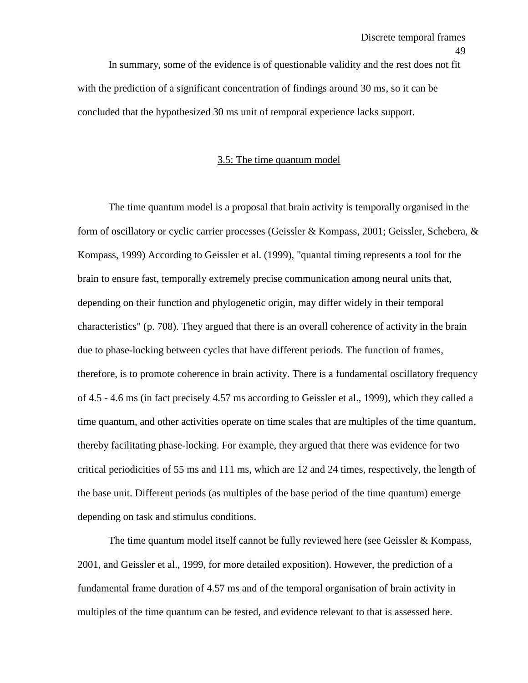In summary, some of the evidence is of questionable validity and the rest does not fit with the prediction of a significant concentration of findings around 30 ms, so it can be concluded that the hypothesized 30 ms unit of temporal experience lacks support.

## 3.5: The time quantum model

 The time quantum model is a proposal that brain activity is temporally organised in the form of oscillatory or cyclic carrier processes (Geissler & Kompass, 2001; Geissler, Schebera, & Kompass, 1999) According to Geissler et al. (1999), "quantal timing represents a tool for the brain to ensure fast, temporally extremely precise communication among neural units that, depending on their function and phylogenetic origin, may differ widely in their temporal characteristics" (p. 708). They argued that there is an overall coherence of activity in the brain due to phase-locking between cycles that have different periods. The function of frames, therefore, is to promote coherence in brain activity. There is a fundamental oscillatory frequency of 4.5 - 4.6 ms (in fact precisely 4.57 ms according to Geissler et al., 1999), which they called a time quantum, and other activities operate on time scales that are multiples of the time quantum, thereby facilitating phase-locking. For example, they argued that there was evidence for two critical periodicities of 55 ms and 111 ms, which are 12 and 24 times, respectively, the length of the base unit. Different periods (as multiples of the base period of the time quantum) emerge depending on task and stimulus conditions.

The time quantum model itself cannot be fully reviewed here (see Geissler & Kompass, 2001, and Geissler et al., 1999, for more detailed exposition). However, the prediction of a fundamental frame duration of 4.57 ms and of the temporal organisation of brain activity in multiples of the time quantum can be tested, and evidence relevant to that is assessed here.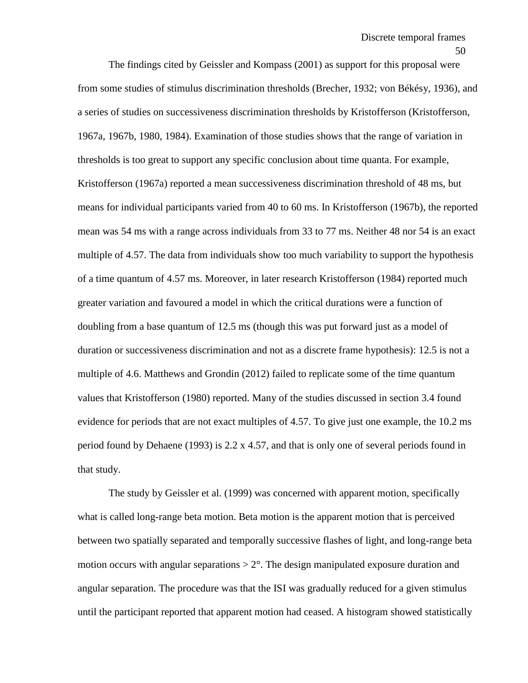The findings cited by Geissler and Kompass (2001) as support for this proposal were from some studies of stimulus discrimination thresholds (Brecher, 1932; von Békésy, 1936), and a series of studies on successiveness discrimination thresholds by Kristofferson (Kristofferson, 1967a, 1967b, 1980, 1984). Examination of those studies shows that the range of variation in thresholds is too great to support any specific conclusion about time quanta. For example, Kristofferson (1967a) reported a mean successiveness discrimination threshold of 48 ms, but means for individual participants varied from 40 to 60 ms. In Kristofferson (1967b), the reported mean was 54 ms with a range across individuals from 33 to 77 ms. Neither 48 nor 54 is an exact multiple of 4.57. The data from individuals show too much variability to support the hypothesis of a time quantum of 4.57 ms. Moreover, in later research Kristofferson (1984) reported much greater variation and favoured a model in which the critical durations were a function of doubling from a base quantum of 12.5 ms (though this was put forward just as a model of duration or successiveness discrimination and not as a discrete frame hypothesis): 12.5 is not a multiple of 4.6. Matthews and Grondin (2012) failed to replicate some of the time quantum values that Kristofferson (1980) reported. Many of the studies discussed in section 3.4 found evidence for periods that are not exact multiples of 4.57. To give just one example, the 10.2 ms period found by Dehaene (1993) is 2.2 x 4.57, and that is only one of several periods found in that study.

 The study by Geissler et al. (1999) was concerned with apparent motion, specifically what is called long-range beta motion. Beta motion is the apparent motion that is perceived between two spatially separated and temporally successive flashes of light, and long-range beta motion occurs with angular separations  $> 2^{\circ}$ . The design manipulated exposure duration and angular separation. The procedure was that the ISI was gradually reduced for a given stimulus until the participant reported that apparent motion had ceased. A histogram showed statistically

<sup>50</sup>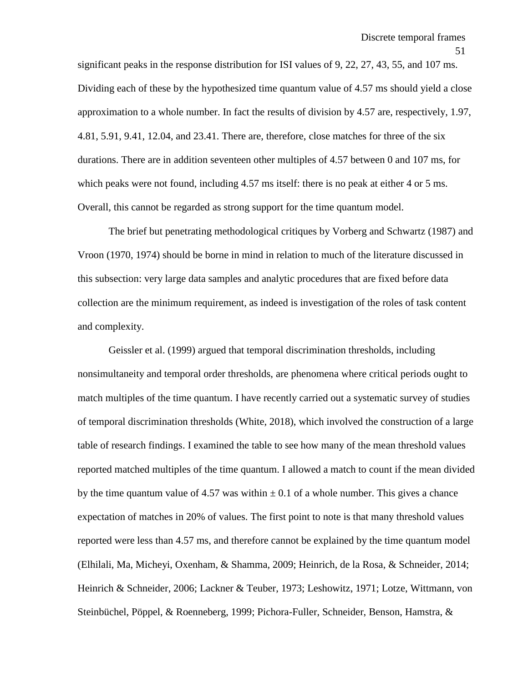significant peaks in the response distribution for ISI values of 9, 22, 27, 43, 55, and 107 ms. Dividing each of these by the hypothesized time quantum value of 4.57 ms should yield a close approximation to a whole number. In fact the results of division by 4.57 are, respectively, 1.97, 4.81, 5.91, 9.41, 12.04, and 23.41. There are, therefore, close matches for three of the six durations. There are in addition seventeen other multiples of 4.57 between 0 and 107 ms, for which peaks were not found, including 4.57 ms itself: there is no peak at either 4 or 5 ms. Overall, this cannot be regarded as strong support for the time quantum model.

 The brief but penetrating methodological critiques by Vorberg and Schwartz (1987) and Vroon (1970, 1974) should be borne in mind in relation to much of the literature discussed in this subsection: very large data samples and analytic procedures that are fixed before data collection are the minimum requirement, as indeed is investigation of the roles of task content and complexity.

 Geissler et al. (1999) argued that temporal discrimination thresholds, including nonsimultaneity and temporal order thresholds, are phenomena where critical periods ought to match multiples of the time quantum. I have recently carried out a systematic survey of studies of temporal discrimination thresholds (White, 2018), which involved the construction of a large table of research findings. I examined the table to see how many of the mean threshold values reported matched multiples of the time quantum. I allowed a match to count if the mean divided by the time quantum value of 4.57 was within  $\pm$  0.1 of a whole number. This gives a chance expectation of matches in 20% of values. The first point to note is that many threshold values reported were less than 4.57 ms, and therefore cannot be explained by the time quantum model (Elhilali, Ma, Micheyi, Oxenham, & Shamma, 2009; Heinrich, de la Rosa, & Schneider, 2014; Heinrich & Schneider, 2006; Lackner & Teuber, 1973; Leshowitz, 1971; Lotze, Wittmann, von Steinbüchel, Pöppel, & Roenneberg, 1999; Pichora-Fuller, Schneider, Benson, Hamstra, &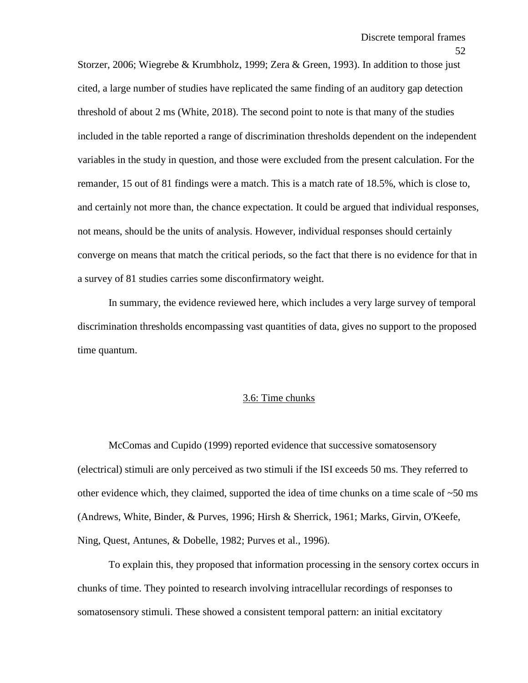Storzer, 2006; Wiegrebe & Krumbholz, 1999; Zera & Green, 1993). In addition to those just cited, a large number of studies have replicated the same finding of an auditory gap detection threshold of about 2 ms (White, 2018). The second point to note is that many of the studies included in the table reported a range of discrimination thresholds dependent on the independent variables in the study in question, and those were excluded from the present calculation. For the remander, 15 out of 81 findings were a match. This is a match rate of 18.5%, which is close to, and certainly not more than, the chance expectation. It could be argued that individual responses, not means, should be the units of analysis. However, individual responses should certainly converge on means that match the critical periods, so the fact that there is no evidence for that in a survey of 81 studies carries some disconfirmatory weight.

 In summary, the evidence reviewed here, which includes a very large survey of temporal discrimination thresholds encompassing vast quantities of data, gives no support to the proposed time quantum.

## 3.6: Time chunks

 McComas and Cupido (1999) reported evidence that successive somatosensory (electrical) stimuli are only perceived as two stimuli if the ISI exceeds 50 ms. They referred to other evidence which, they claimed, supported the idea of time chunks on a time scale of  $\sim 50$  ms (Andrews, White, Binder, & Purves, 1996; Hirsh & Sherrick, 1961; Marks, Girvin, O'Keefe, Ning, Quest, Antunes, & Dobelle, 1982; Purves et al., 1996).

 To explain this, they proposed that information processing in the sensory cortex occurs in chunks of time. They pointed to research involving intracellular recordings of responses to somatosensory stimuli. These showed a consistent temporal pattern: an initial excitatory

<sup>52</sup>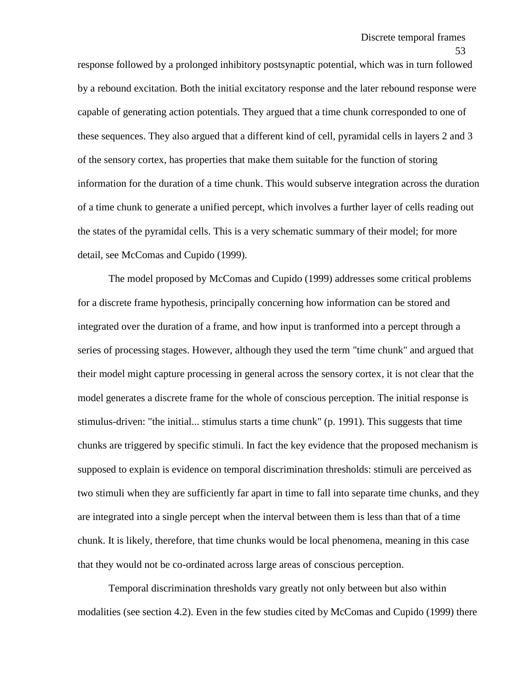response followed by a prolonged inhibitory postsynaptic potential, which was in turn followed by a rebound excitation. Both the initial excitatory response and the later rebound response were capable of generating action potentials. They argued that a time chunk corresponded to one of these sequences. They also argued that a different kind of cell, pyramidal cells in layers 2 and 3 of the sensory cortex, has properties that make them suitable for the function of storing information for the duration of a time chunk. This would subserve integration across the duration of a time chunk to generate a unified percept, which involves a further layer of cells reading out the states of the pyramidal cells. This is a very schematic summary of their model; for more detail, see McComas and Cupido (1999).

 The model proposed by McComas and Cupido (1999) addresses some critical problems for a discrete frame hypothesis, principally concerning how information can be stored and integrated over the duration of a frame, and how input is tranformed into a percept through a series of processing stages. However, although they used the term "time chunk" and argued that their model might capture processing in general across the sensory cortex, it is not clear that the model generates a discrete frame for the whole of conscious perception. The initial response is stimulus-driven: "the initial... stimulus starts a time chunk" (p. 1991). This suggests that time chunks are triggered by specific stimuli. In fact the key evidence that the proposed mechanism is supposed to explain is evidence on temporal discrimination thresholds: stimuli are perceived as two stimuli when they are sufficiently far apart in time to fall into separate time chunks, and they are integrated into a single percept when the interval between them is less than that of a time chunk. It is likely, therefore, that time chunks would be local phenomena, meaning in this case that they would not be co-ordinated across large areas of conscious perception.

 Temporal discrimination thresholds vary greatly not only between but also within modalities (see section 4.2). Even in the few studies cited by McComas and Cupido (1999) there

<sup>53</sup>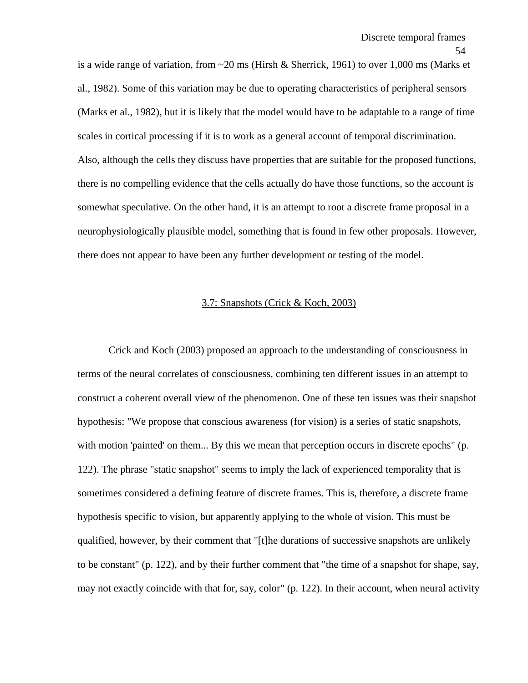is a wide range of variation, from ~20 ms (Hirsh & Sherrick, 1961) to over 1,000 ms (Marks et al., 1982). Some of this variation may be due to operating characteristics of peripheral sensors (Marks et al., 1982), but it is likely that the model would have to be adaptable to a range of time scales in cortical processing if it is to work as a general account of temporal discrimination. Also, although the cells they discuss have properties that are suitable for the proposed functions, there is no compelling evidence that the cells actually do have those functions, so the account is somewhat speculative. On the other hand, it is an attempt to root a discrete frame proposal in a neurophysiologically plausible model, something that is found in few other proposals. However, there does not appear to have been any further development or testing of the model.

## 3.7: Snapshots (Crick & Koch, 2003)

 Crick and Koch (2003) proposed an approach to the understanding of consciousness in terms of the neural correlates of consciousness, combining ten different issues in an attempt to construct a coherent overall view of the phenomenon. One of these ten issues was their snapshot hypothesis: "We propose that conscious awareness (for vision) is a series of static snapshots, with motion 'painted' on them... By this we mean that perception occurs in discrete epochs" (p. 122). The phrase "static snapshot" seems to imply the lack of experienced temporality that is sometimes considered a defining feature of discrete frames. This is, therefore, a discrete frame hypothesis specific to vision, but apparently applying to the whole of vision. This must be qualified, however, by their comment that "[t]he durations of successive snapshots are unlikely to be constant" (p. 122), and by their further comment that "the time of a snapshot for shape, say, may not exactly coincide with that for, say, color" (p. 122). In their account, when neural activity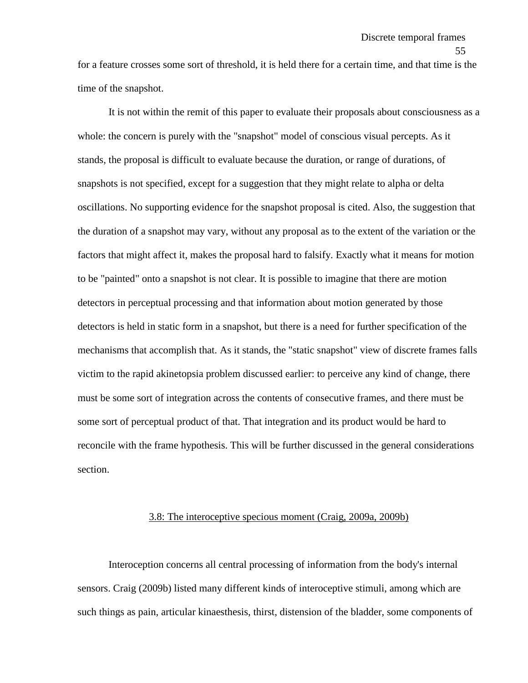for a feature crosses some sort of threshold, it is held there for a certain time, and that time is the time of the snapshot.

 It is not within the remit of this paper to evaluate their proposals about consciousness as a whole: the concern is purely with the "snapshot" model of conscious visual percepts. As it stands, the proposal is difficult to evaluate because the duration, or range of durations, of snapshots is not specified, except for a suggestion that they might relate to alpha or delta oscillations. No supporting evidence for the snapshot proposal is cited. Also, the suggestion that the duration of a snapshot may vary, without any proposal as to the extent of the variation or the factors that might affect it, makes the proposal hard to falsify. Exactly what it means for motion to be "painted" onto a snapshot is not clear. It is possible to imagine that there are motion detectors in perceptual processing and that information about motion generated by those detectors is held in static form in a snapshot, but there is a need for further specification of the mechanisms that accomplish that. As it stands, the "static snapshot" view of discrete frames falls victim to the rapid akinetopsia problem discussed earlier: to perceive any kind of change, there must be some sort of integration across the contents of consecutive frames, and there must be some sort of perceptual product of that. That integration and its product would be hard to reconcile with the frame hypothesis. This will be further discussed in the general considerations section.

#### 3.8: The interoceptive specious moment (Craig, 2009a, 2009b)

 Interoception concerns all central processing of information from the body's internal sensors. Craig (2009b) listed many different kinds of interoceptive stimuli, among which are such things as pain, articular kinaesthesis, thirst, distension of the bladder, some components of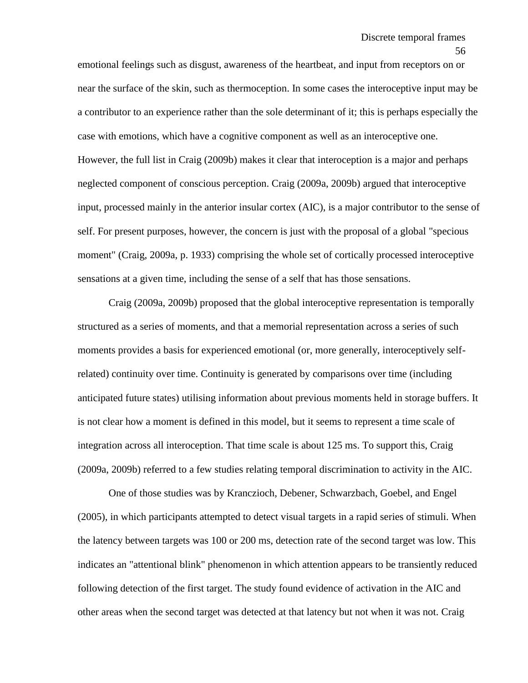emotional feelings such as disgust, awareness of the heartbeat, and input from receptors on or near the surface of the skin, such as thermoception. In some cases the interoceptive input may be a contributor to an experience rather than the sole determinant of it; this is perhaps especially the case with emotions, which have a cognitive component as well as an interoceptive one. However, the full list in Craig (2009b) makes it clear that interoception is a major and perhaps neglected component of conscious perception. Craig (2009a, 2009b) argued that interoceptive input, processed mainly in the anterior insular cortex (AIC), is a major contributor to the sense of self. For present purposes, however, the concern is just with the proposal of a global "specious moment" (Craig, 2009a, p. 1933) comprising the whole set of cortically processed interoceptive sensations at a given time, including the sense of a self that has those sensations.

 Craig (2009a, 2009b) proposed that the global interoceptive representation is temporally structured as a series of moments, and that a memorial representation across a series of such moments provides a basis for experienced emotional (or, more generally, interoceptively selfrelated) continuity over time. Continuity is generated by comparisons over time (including anticipated future states) utilising information about previous moments held in storage buffers. It is not clear how a moment is defined in this model, but it seems to represent a time scale of integration across all interoception. That time scale is about 125 ms. To support this, Craig (2009a, 2009b) referred to a few studies relating temporal discrimination to activity in the AIC.

 One of those studies was by Kranczioch, Debener, Schwarzbach, Goebel, and Engel (2005), in which participants attempted to detect visual targets in a rapid series of stimuli. When the latency between targets was 100 or 200 ms, detection rate of the second target was low. This indicates an "attentional blink" phenomenon in which attention appears to be transiently reduced following detection of the first target. The study found evidence of activation in the AIC and other areas when the second target was detected at that latency but not when it was not. Craig

<sup>56</sup>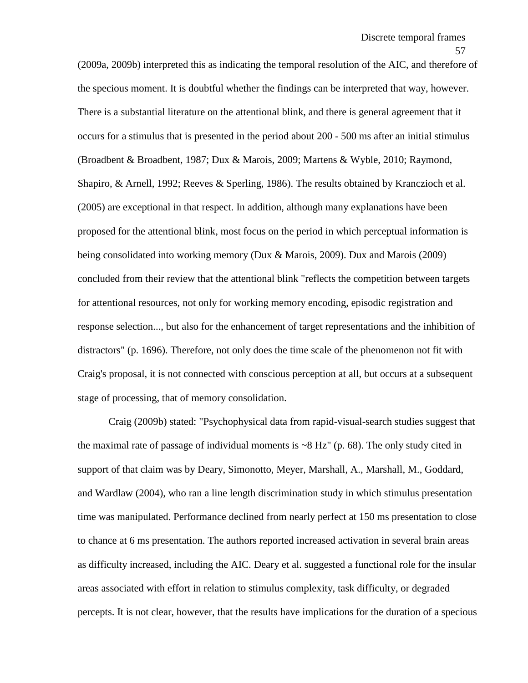(2009a, 2009b) interpreted this as indicating the temporal resolution of the AIC, and therefore of the specious moment. It is doubtful whether the findings can be interpreted that way, however. There is a substantial literature on the attentional blink, and there is general agreement that it occurs for a stimulus that is presented in the period about 200 - 500 ms after an initial stimulus (Broadbent & Broadbent, 1987; Dux & Marois, 2009; Martens & Wyble, 2010; Raymond, Shapiro, & Arnell, 1992; Reeves & Sperling, 1986). The results obtained by Kranczioch et al. (2005) are exceptional in that respect. In addition, although many explanations have been proposed for the attentional blink, most focus on the period in which perceptual information is being consolidated into working memory (Dux & Marois, 2009). Dux and Marois (2009) concluded from their review that the attentional blink "reflects the competition between targets for attentional resources, not only for working memory encoding, episodic registration and response selection..., but also for the enhancement of target representations and the inhibition of distractors" (p. 1696). Therefore, not only does the time scale of the phenomenon not fit with Craig's proposal, it is not connected with conscious perception at all, but occurs at a subsequent stage of processing, that of memory consolidation.

 Craig (2009b) stated: "Psychophysical data from rapid-visual-search studies suggest that the maximal rate of passage of individual moments is  $\sim 8$  Hz" (p. 68). The only study cited in support of that claim was by Deary, Simonotto, Meyer, Marshall, A., Marshall, M., Goddard, and Wardlaw (2004), who ran a line length discrimination study in which stimulus presentation time was manipulated. Performance declined from nearly perfect at 150 ms presentation to close to chance at 6 ms presentation. The authors reported increased activation in several brain areas as difficulty increased, including the AIC. Deary et al. suggested a functional role for the insular areas associated with effort in relation to stimulus complexity, task difficulty, or degraded percepts. It is not clear, however, that the results have implications for the duration of a specious

<sup>57</sup>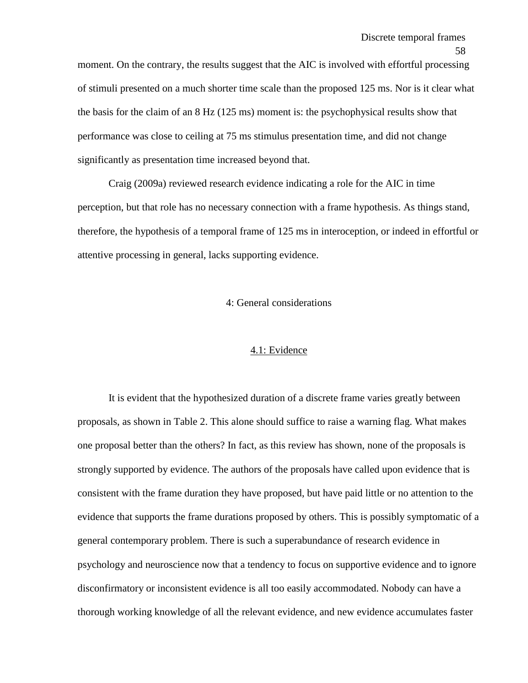moment. On the contrary, the results suggest that the AIC is involved with effortful processing of stimuli presented on a much shorter time scale than the proposed 125 ms. Nor is it clear what the basis for the claim of an 8 Hz (125 ms) moment is: the psychophysical results show that performance was close to ceiling at 75 ms stimulus presentation time, and did not change significantly as presentation time increased beyond that.

 Craig (2009a) reviewed research evidence indicating a role for the AIC in time perception, but that role has no necessary connection with a frame hypothesis. As things stand, therefore, the hypothesis of a temporal frame of 125 ms in interoception, or indeed in effortful or attentive processing in general, lacks supporting evidence.

## 4: General considerations

#### 4.1: Evidence

 It is evident that the hypothesized duration of a discrete frame varies greatly between proposals, as shown in Table 2. This alone should suffice to raise a warning flag. What makes one proposal better than the others? In fact, as this review has shown, none of the proposals is strongly supported by evidence. The authors of the proposals have called upon evidence that is consistent with the frame duration they have proposed, but have paid little or no attention to the evidence that supports the frame durations proposed by others. This is possibly symptomatic of a general contemporary problem. There is such a superabundance of research evidence in psychology and neuroscience now that a tendency to focus on supportive evidence and to ignore disconfirmatory or inconsistent evidence is all too easily accommodated. Nobody can have a thorough working knowledge of all the relevant evidence, and new evidence accumulates faster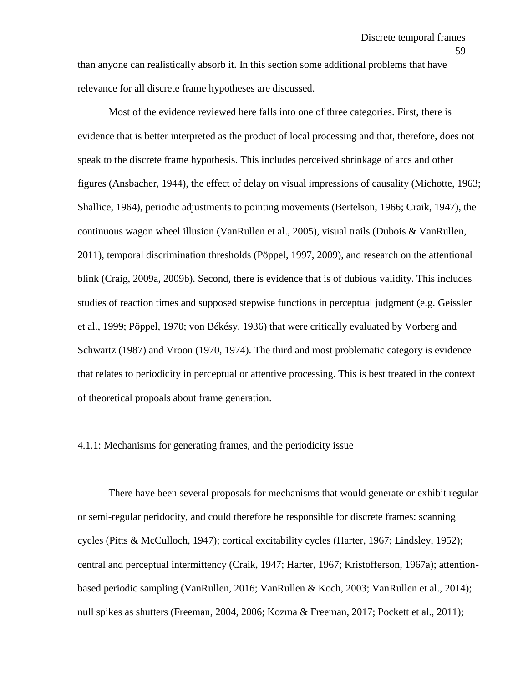than anyone can realistically absorb it. In this section some additional problems that have relevance for all discrete frame hypotheses are discussed.

 Most of the evidence reviewed here falls into one of three categories. First, there is evidence that is better interpreted as the product of local processing and that, therefore, does not speak to the discrete frame hypothesis. This includes perceived shrinkage of arcs and other figures (Ansbacher, 1944), the effect of delay on visual impressions of causality (Michotte, 1963; Shallice, 1964), periodic adjustments to pointing movements (Bertelson, 1966; Craik, 1947), the continuous wagon wheel illusion (VanRullen et al., 2005), visual trails (Dubois & VanRullen, 2011), temporal discrimination thresholds (Pöppel, 1997, 2009), and research on the attentional blink (Craig, 2009a, 2009b). Second, there is evidence that is of dubious validity. This includes studies of reaction times and supposed stepwise functions in perceptual judgment (e.g. Geissler et al., 1999; Pöppel, 1970; von Békésy, 1936) that were critically evaluated by Vorberg and Schwartz (1987) and Vroon (1970, 1974). The third and most problematic category is evidence that relates to periodicity in perceptual or attentive processing. This is best treated in the context of theoretical propoals about frame generation.

## 4.1.1: Mechanisms for generating frames, and the periodicity issue

 There have been several proposals for mechanisms that would generate or exhibit regular or semi-regular peridocity, and could therefore be responsible for discrete frames: scanning cycles (Pitts & McCulloch, 1947); cortical excitability cycles (Harter, 1967; Lindsley, 1952); central and perceptual intermittency (Craik, 1947; Harter, 1967; Kristofferson, 1967a); attentionbased periodic sampling (VanRullen, 2016; VanRullen & Koch, 2003; VanRullen et al., 2014); null spikes as shutters (Freeman, 2004, 2006; Kozma & Freeman, 2017; Pockett et al., 2011);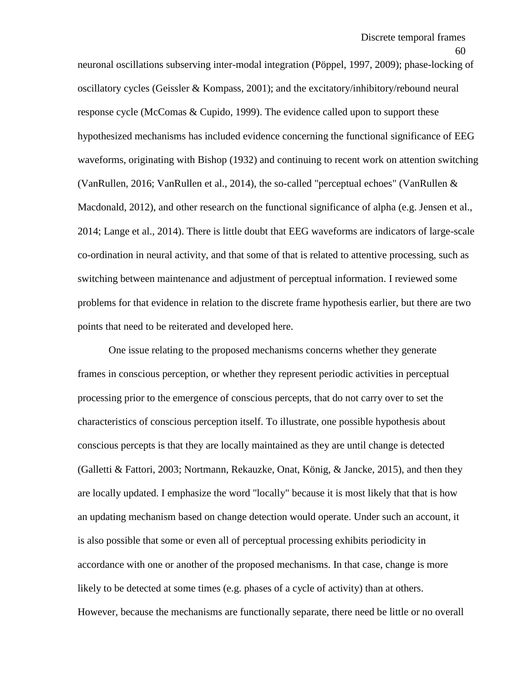One issue relating to the proposed mechanisms concerns whether they generate frames in conscious perception, or whether they represent periodic activities in perceptual processing prior to the emergence of conscious percepts, that do not carry over to set the characteristics of conscious perception itself. To illustrate, one possible hypothesis about conscious percepts is that they are locally maintained as they are until change is detected (Galletti & Fattori, 2003; Nortmann, Rekauzke, Onat, König, & Jancke, 2015), and then they are locally updated. I emphasize the word "locally" because it is most likely that that is how an updating mechanism based on change detection would operate. Under such an account, it is also possible that some or even all of perceptual processing exhibits periodicity in accordance with one or another of the proposed mechanisms. In that case, change is more likely to be detected at some times (e.g. phases of a cycle of activity) than at others. However, because the mechanisms are functionally separate, there need be little or no overall

neuronal oscillations subserving inter-modal integration (Pöppel, 1997, 2009); phase-locking of oscillatory cycles (Geissler & Kompass, 2001); and the excitatory/inhibitory/rebound neural response cycle (McComas & Cupido, 1999). The evidence called upon to support these hypothesized mechanisms has included evidence concerning the functional significance of EEG waveforms, originating with Bishop (1932) and continuing to recent work on attention switching (VanRullen, 2016; VanRullen et al., 2014), the so-called "perceptual echoes" (VanRullen & Macdonald, 2012), and other research on the functional significance of alpha (e.g. Jensen et al., 2014; Lange et al., 2014). There is little doubt that EEG waveforms are indicators of large-scale co-ordination in neural activity, and that some of that is related to attentive processing, such as switching between maintenance and adjustment of perceptual information. I reviewed some problems for that evidence in relation to the discrete frame hypothesis earlier, but there are two points that need to be reiterated and developed here.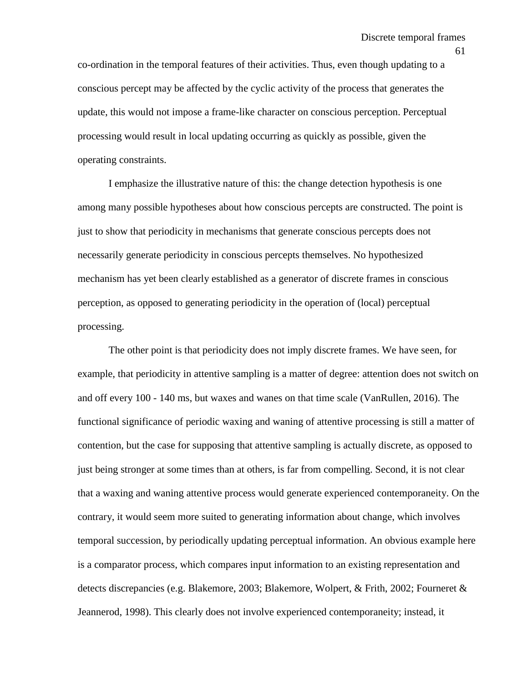co-ordination in the temporal features of their activities. Thus, even though updating to a conscious percept may be affected by the cyclic activity of the process that generates the update, this would not impose a frame-like character on conscious perception. Perceptual processing would result in local updating occurring as quickly as possible, given the operating constraints.

 I emphasize the illustrative nature of this: the change detection hypothesis is one among many possible hypotheses about how conscious percepts are constructed. The point is just to show that periodicity in mechanisms that generate conscious percepts does not necessarily generate periodicity in conscious percepts themselves. No hypothesized mechanism has yet been clearly established as a generator of discrete frames in conscious perception, as opposed to generating periodicity in the operation of (local) perceptual processing.

 The other point is that periodicity does not imply discrete frames. We have seen, for example, that periodicity in attentive sampling is a matter of degree: attention does not switch on and off every 100 - 140 ms, but waxes and wanes on that time scale (VanRullen, 2016). The functional significance of periodic waxing and waning of attentive processing is still a matter of contention, but the case for supposing that attentive sampling is actually discrete, as opposed to just being stronger at some times than at others, is far from compelling. Second, it is not clear that a waxing and waning attentive process would generate experienced contemporaneity. On the contrary, it would seem more suited to generating information about change, which involves temporal succession, by periodically updating perceptual information. An obvious example here is a comparator process, which compares input information to an existing representation and detects discrepancies (e.g. Blakemore, 2003; Blakemore, Wolpert, & Frith, 2002; Fourneret & Jeannerod, 1998). This clearly does not involve experienced contemporaneity; instead, it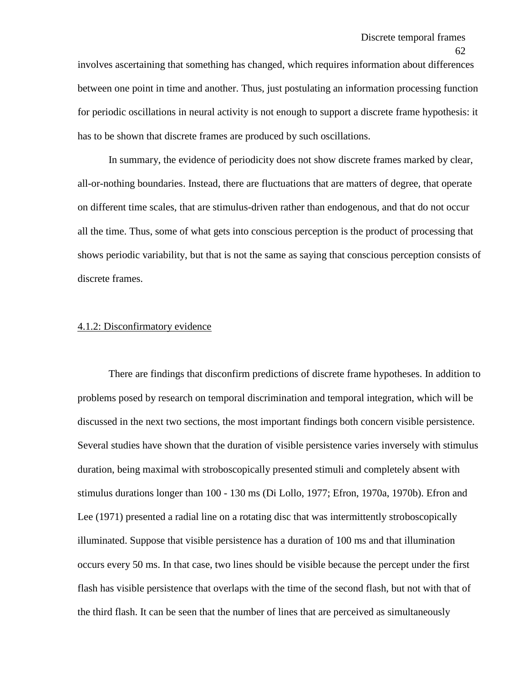involves ascertaining that something has changed, which requires information about differences between one point in time and another. Thus, just postulating an information processing function for periodic oscillations in neural activity is not enough to support a discrete frame hypothesis: it has to be shown that discrete frames are produced by such oscillations.

 In summary, the evidence of periodicity does not show discrete frames marked by clear, all-or-nothing boundaries. Instead, there are fluctuations that are matters of degree, that operate on different time scales, that are stimulus-driven rather than endogenous, and that do not occur all the time. Thus, some of what gets into conscious perception is the product of processing that shows periodic variability, but that is not the same as saying that conscious perception consists of discrete frames.

## 4.1.2: Disconfirmatory evidence

 There are findings that disconfirm predictions of discrete frame hypotheses. In addition to problems posed by research on temporal discrimination and temporal integration, which will be discussed in the next two sections, the most important findings both concern visible persistence. Several studies have shown that the duration of visible persistence varies inversely with stimulus duration, being maximal with stroboscopically presented stimuli and completely absent with stimulus durations longer than 100 - 130 ms (Di Lollo, 1977; Efron, 1970a, 1970b). Efron and Lee (1971) presented a radial line on a rotating disc that was intermittently stroboscopically illuminated. Suppose that visible persistence has a duration of 100 ms and that illumination occurs every 50 ms. In that case, two lines should be visible because the percept under the first flash has visible persistence that overlaps with the time of the second flash, but not with that of the third flash. It can be seen that the number of lines that are perceived as simultaneously

<sup>62</sup>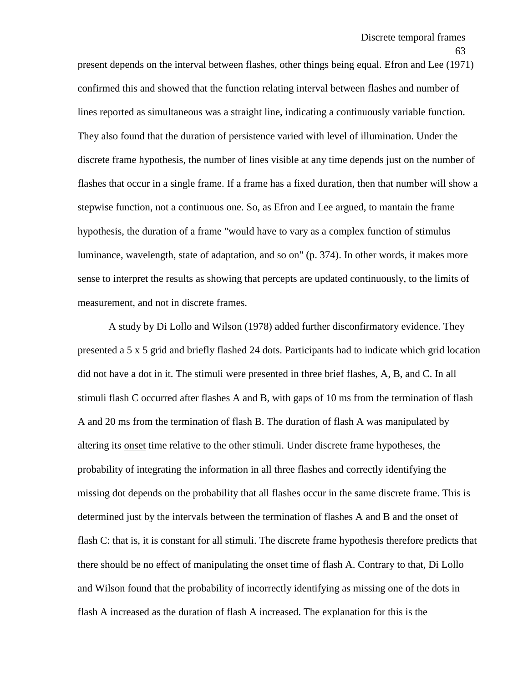present depends on the interval between flashes, other things being equal. Efron and Lee (1971) confirmed this and showed that the function relating interval between flashes and number of lines reported as simultaneous was a straight line, indicating a continuously variable function. They also found that the duration of persistence varied with level of illumination. Under the discrete frame hypothesis, the number of lines visible at any time depends just on the number of flashes that occur in a single frame. If a frame has a fixed duration, then that number will show a stepwise function, not a continuous one. So, as Efron and Lee argued, to mantain the frame hypothesis, the duration of a frame "would have to vary as a complex function of stimulus luminance, wavelength, state of adaptation, and so on" (p. 374). In other words, it makes more sense to interpret the results as showing that percepts are updated continuously, to the limits of measurement, and not in discrete frames.

 A study by Di Lollo and Wilson (1978) added further disconfirmatory evidence. They presented a 5 x 5 grid and briefly flashed 24 dots. Participants had to indicate which grid location did not have a dot in it. The stimuli were presented in three brief flashes, A, B, and C. In all stimuli flash C occurred after flashes A and B, with gaps of 10 ms from the termination of flash A and 20 ms from the termination of flash B. The duration of flash A was manipulated by altering its onset time relative to the other stimuli. Under discrete frame hypotheses, the probability of integrating the information in all three flashes and correctly identifying the missing dot depends on the probability that all flashes occur in the same discrete frame. This is determined just by the intervals between the termination of flashes A and B and the onset of flash C: that is, it is constant for all stimuli. The discrete frame hypothesis therefore predicts that there should be no effect of manipulating the onset time of flash A. Contrary to that, Di Lollo and Wilson found that the probability of incorrectly identifying as missing one of the dots in flash A increased as the duration of flash A increased. The explanation for this is the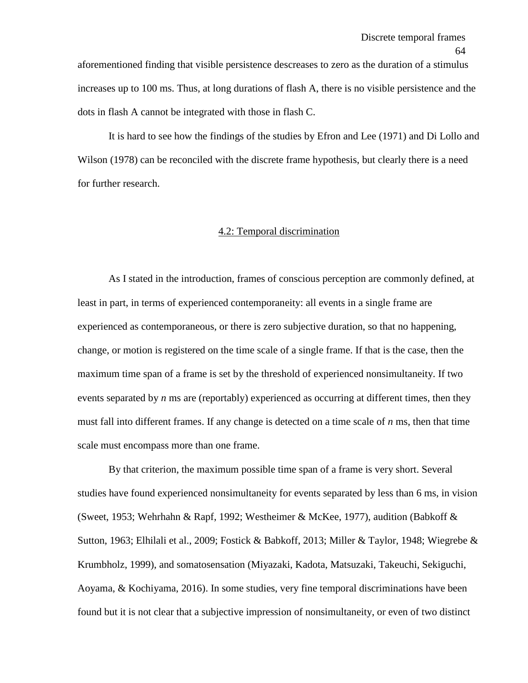aforementioned finding that visible persistence descreases to zero as the duration of a stimulus increases up to 100 ms. Thus, at long durations of flash A, there is no visible persistence and the dots in flash A cannot be integrated with those in flash C.

 It is hard to see how the findings of the studies by Efron and Lee (1971) and Di Lollo and Wilson (1978) can be reconciled with the discrete frame hypothesis, but clearly there is a need for further research.

#### 4.2: Temporal discrimination

 As I stated in the introduction, frames of conscious perception are commonly defined, at least in part, in terms of experienced contemporaneity: all events in a single frame are experienced as contemporaneous, or there is zero subjective duration, so that no happening, change, or motion is registered on the time scale of a single frame. If that is the case, then the maximum time span of a frame is set by the threshold of experienced nonsimultaneity. If two events separated by *n* ms are (reportably) experienced as occurring at different times, then they must fall into different frames. If any change is detected on a time scale of *n* ms, then that time scale must encompass more than one frame.

 By that criterion, the maximum possible time span of a frame is very short. Several studies have found experienced nonsimultaneity for events separated by less than 6 ms, in vision (Sweet, 1953; Wehrhahn & Rapf, 1992; Westheimer & McKee, 1977), audition (Babkoff & Sutton, 1963; Elhilali et al., 2009; Fostick & Babkoff, 2013; Miller & Taylor, 1948; Wiegrebe & Krumbholz, 1999), and somatosensation (Miyazaki, Kadota, Matsuzaki, Takeuchi, Sekiguchi, Aoyama, & Kochiyama, 2016). In some studies, very fine temporal discriminations have been found but it is not clear that a subjective impression of nonsimultaneity, or even of two distinct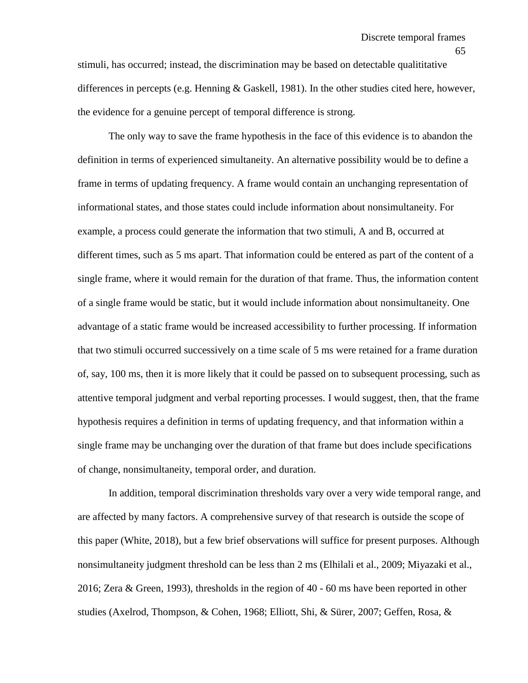stimuli, has occurred; instead, the discrimination may be based on detectable qualititative differences in percepts (e.g. Henning & Gaskell, 1981). In the other studies cited here, however, the evidence for a genuine percept of temporal difference is strong.

 The only way to save the frame hypothesis in the face of this evidence is to abandon the definition in terms of experienced simultaneity. An alternative possibility would be to define a frame in terms of updating frequency. A frame would contain an unchanging representation of informational states, and those states could include information about nonsimultaneity. For example, a process could generate the information that two stimuli, A and B, occurred at different times, such as 5 ms apart. That information could be entered as part of the content of a single frame, where it would remain for the duration of that frame. Thus, the information content of a single frame would be static, but it would include information about nonsimultaneity. One advantage of a static frame would be increased accessibility to further processing. If information that two stimuli occurred successively on a time scale of 5 ms were retained for a frame duration of, say, 100 ms, then it is more likely that it could be passed on to subsequent processing, such as attentive temporal judgment and verbal reporting processes. I would suggest, then, that the frame hypothesis requires a definition in terms of updating frequency, and that information within a single frame may be unchanging over the duration of that frame but does include specifications of change, nonsimultaneity, temporal order, and duration.

 In addition, temporal discrimination thresholds vary over a very wide temporal range, and are affected by many factors. A comprehensive survey of that research is outside the scope of this paper (White, 2018), but a few brief observations will suffice for present purposes. Although nonsimultaneity judgment threshold can be less than 2 ms (Elhilali et al., 2009; Miyazaki et al., 2016; Zera & Green, 1993), thresholds in the region of 40 - 60 ms have been reported in other studies (Axelrod, Thompson, & Cohen, 1968; Elliott, Shi, & Sürer, 2007; Geffen, Rosa, &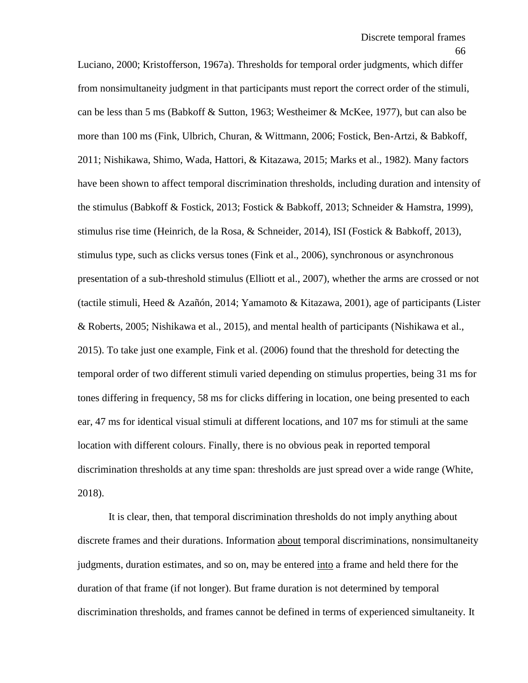Luciano, 2000; Kristofferson, 1967a). Thresholds for temporal order judgments, which differ from nonsimultaneity judgment in that participants must report the correct order of the stimuli, can be less than 5 ms (Babkoff & Sutton, 1963; Westheimer & McKee, 1977), but can also be more than 100 ms (Fink, Ulbrich, Churan, & Wittmann, 2006; Fostick, Ben-Artzi, & Babkoff, 2011; Nishikawa, Shimo, Wada, Hattori, & Kitazawa, 2015; Marks et al., 1982). Many factors have been shown to affect temporal discrimination thresholds, including duration and intensity of the stimulus (Babkoff & Fostick, 2013; Fostick & Babkoff, 2013; Schneider & Hamstra, 1999), stimulus rise time (Heinrich, de la Rosa, & Schneider, 2014), ISI (Fostick & Babkoff, 2013), stimulus type, such as clicks versus tones (Fink et al., 2006), synchronous or asynchronous presentation of a sub-threshold stimulus (Elliott et al., 2007), whether the arms are crossed or not (tactile stimuli, Heed & Azañón, 2014; Yamamoto & Kitazawa, 2001), age of participants (Lister & Roberts, 2005; Nishikawa et al., 2015), and mental health of participants (Nishikawa et al., 2015). To take just one example, Fink et al. (2006) found that the threshold for detecting the temporal order of two different stimuli varied depending on stimulus properties, being 31 ms for tones differing in frequency, 58 ms for clicks differing in location, one being presented to each ear, 47 ms for identical visual stimuli at different locations, and 107 ms for stimuli at the same location with different colours. Finally, there is no obvious peak in reported temporal discrimination thresholds at any time span: thresholds are just spread over a wide range (White, 2018).

 It is clear, then, that temporal discrimination thresholds do not imply anything about discrete frames and their durations. Information about temporal discriminations, nonsimultaneity judgments, duration estimates, and so on, may be entered into a frame and held there for the duration of that frame (if not longer). But frame duration is not determined by temporal discrimination thresholds, and frames cannot be defined in terms of experienced simultaneity. It

<sup>66</sup>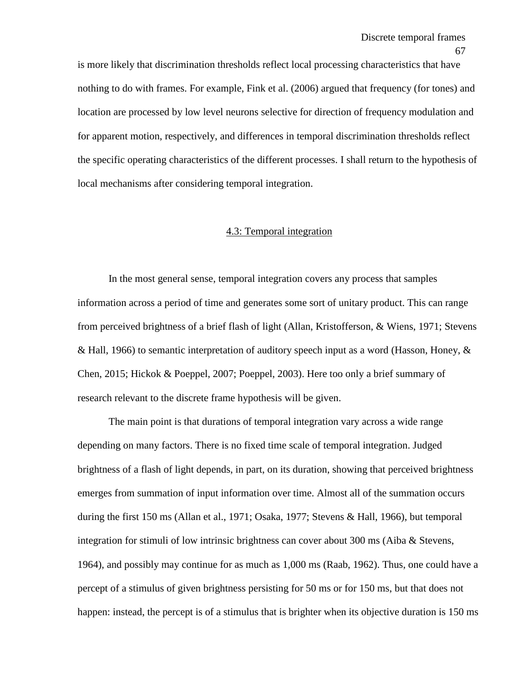is more likely that discrimination thresholds reflect local processing characteristics that have nothing to do with frames. For example, Fink et al. (2006) argued that frequency (for tones) and location are processed by low level neurons selective for direction of frequency modulation and for apparent motion, respectively, and differences in temporal discrimination thresholds reflect the specific operating characteristics of the different processes. I shall return to the hypothesis of local mechanisms after considering temporal integration.

# 4.3: Temporal integration

 In the most general sense, temporal integration covers any process that samples information across a period of time and generates some sort of unitary product. This can range from perceived brightness of a brief flash of light (Allan, Kristofferson, & Wiens, 1971; Stevens & Hall, 1966) to semantic interpretation of auditory speech input as a word (Hasson, Honey,  $\&$ Chen, 2015; Hickok & Poeppel, 2007; Poeppel, 2003). Here too only a brief summary of research relevant to the discrete frame hypothesis will be given.

 The main point is that durations of temporal integration vary across a wide range depending on many factors. There is no fixed time scale of temporal integration. Judged brightness of a flash of light depends, in part, on its duration, showing that perceived brightness emerges from summation of input information over time. Almost all of the summation occurs during the first 150 ms (Allan et al., 1971; Osaka, 1977; Stevens & Hall, 1966), but temporal integration for stimuli of low intrinsic brightness can cover about 300 ms (Aiba & Stevens, 1964), and possibly may continue for as much as 1,000 ms (Raab, 1962). Thus, one could have a percept of a stimulus of given brightness persisting for 50 ms or for 150 ms, but that does not happen: instead, the percept is of a stimulus that is brighter when its objective duration is 150 ms

<sup>67</sup>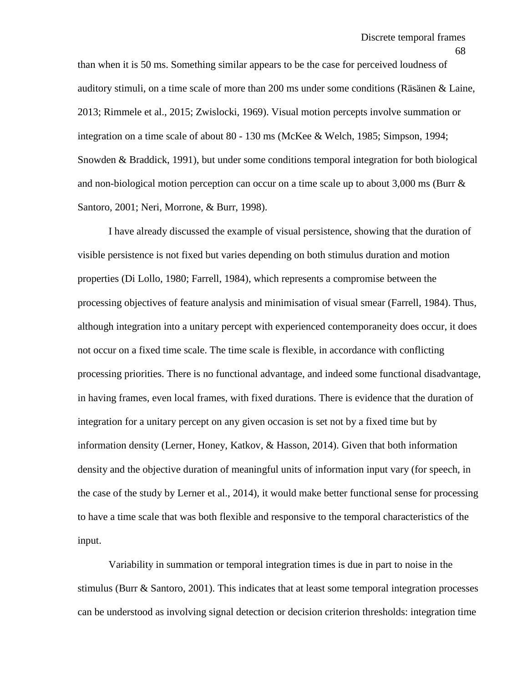than when it is 50 ms. Something similar appears to be the case for perceived loudness of auditory stimuli, on a time scale of more than 200 ms under some conditions (Räsänen & Laine, 2013; Rimmele et al., 2015; Zwislocki, 1969). Visual motion percepts involve summation or integration on a time scale of about 80 - 130 ms (McKee & Welch, 1985; Simpson, 1994; Snowden & Braddick, 1991), but under some conditions temporal integration for both biological and non-biological motion perception can occur on a time scale up to about 3,000 ms (Burr & Santoro, 2001; Neri, Morrone, & Burr, 1998).

 I have already discussed the example of visual persistence, showing that the duration of visible persistence is not fixed but varies depending on both stimulus duration and motion properties (Di Lollo, 1980; Farrell, 1984), which represents a compromise between the processing objectives of feature analysis and minimisation of visual smear (Farrell, 1984). Thus, although integration into a unitary percept with experienced contemporaneity does occur, it does not occur on a fixed time scale. The time scale is flexible, in accordance with conflicting processing priorities. There is no functional advantage, and indeed some functional disadvantage, in having frames, even local frames, with fixed durations. There is evidence that the duration of integration for a unitary percept on any given occasion is set not by a fixed time but by information density (Lerner, Honey, Katkov, & Hasson, 2014). Given that both information density and the objective duration of meaningful units of information input vary (for speech, in the case of the study by Lerner et al., 2014), it would make better functional sense for processing to have a time scale that was both flexible and responsive to the temporal characteristics of the input.

 Variability in summation or temporal integration times is due in part to noise in the stimulus (Burr & Santoro, 2001). This indicates that at least some temporal integration processes can be understood as involving signal detection or decision criterion thresholds: integration time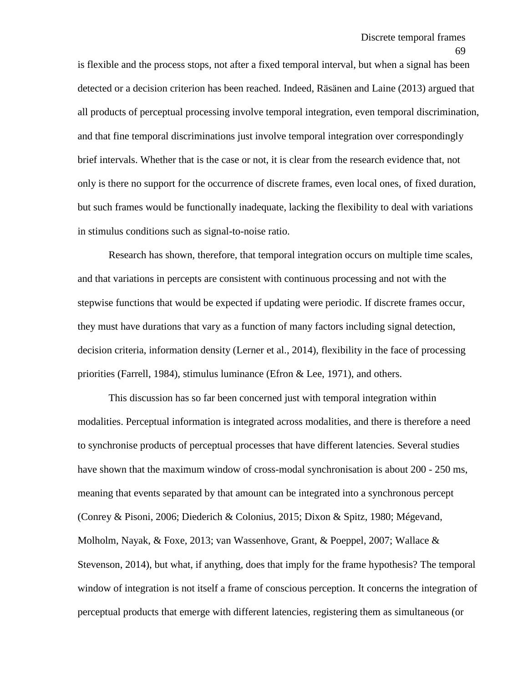is flexible and the process stops, not after a fixed temporal interval, but when a signal has been detected or a decision criterion has been reached. Indeed, Räsänen and Laine (2013) argued that all products of perceptual processing involve temporal integration, even temporal discrimination, and that fine temporal discriminations just involve temporal integration over correspondingly brief intervals. Whether that is the case or not, it is clear from the research evidence that, not only is there no support for the occurrence of discrete frames, even local ones, of fixed duration, but such frames would be functionally inadequate, lacking the flexibility to deal with variations in stimulus conditions such as signal-to-noise ratio.

 Research has shown, therefore, that temporal integration occurs on multiple time scales, and that variations in percepts are consistent with continuous processing and not with the stepwise functions that would be expected if updating were periodic. If discrete frames occur, they must have durations that vary as a function of many factors including signal detection, decision criteria, information density (Lerner et al., 2014), flexibility in the face of processing priorities (Farrell, 1984), stimulus luminance (Efron & Lee, 1971), and others.

 This discussion has so far been concerned just with temporal integration within modalities. Perceptual information is integrated across modalities, and there is therefore a need to synchronise products of perceptual processes that have different latencies. Several studies have shown that the maximum window of cross-modal synchronisation is about 200 - 250 ms, meaning that events separated by that amount can be integrated into a synchronous percept (Conrey & Pisoni, 2006; Diederich & Colonius, 2015; Dixon & Spitz, 1980; Mégevand, Molholm, Nayak, & Foxe, 2013; van Wassenhove, Grant, & Poeppel, 2007; Wallace & Stevenson, 2014), but what, if anything, does that imply for the frame hypothesis? The temporal window of integration is not itself a frame of conscious perception. It concerns the integration of perceptual products that emerge with different latencies, registering them as simultaneous (or

<sup>69</sup>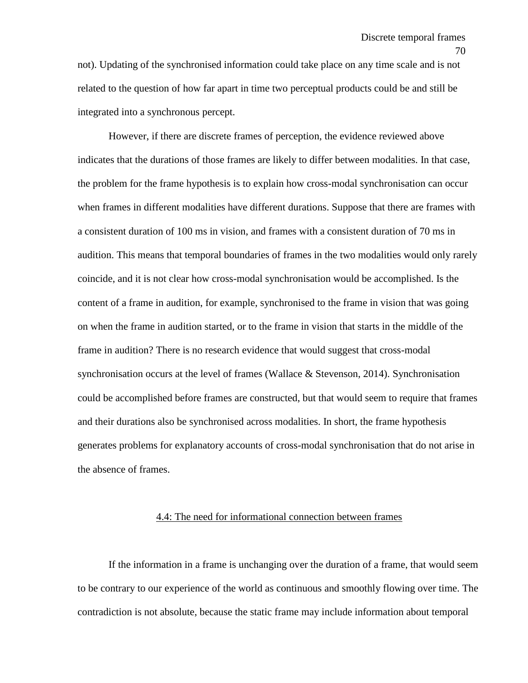not). Updating of the synchronised information could take place on any time scale and is not related to the question of how far apart in time two perceptual products could be and still be integrated into a synchronous percept.

 However, if there are discrete frames of perception, the evidence reviewed above indicates that the durations of those frames are likely to differ between modalities. In that case, the problem for the frame hypothesis is to explain how cross-modal synchronisation can occur when frames in different modalities have different durations. Suppose that there are frames with a consistent duration of 100 ms in vision, and frames with a consistent duration of 70 ms in audition. This means that temporal boundaries of frames in the two modalities would only rarely coincide, and it is not clear how cross-modal synchronisation would be accomplished. Is the content of a frame in audition, for example, synchronised to the frame in vision that was going on when the frame in audition started, or to the frame in vision that starts in the middle of the frame in audition? There is no research evidence that would suggest that cross-modal synchronisation occurs at the level of frames (Wallace & Stevenson, 2014). Synchronisation could be accomplished before frames are constructed, but that would seem to require that frames and their durations also be synchronised across modalities. In short, the frame hypothesis generates problems for explanatory accounts of cross-modal synchronisation that do not arise in the absence of frames.

## 4.4: The need for informational connection between frames

 If the information in a frame is unchanging over the duration of a frame, that would seem to be contrary to our experience of the world as continuous and smoothly flowing over time. The contradiction is not absolute, because the static frame may include information about temporal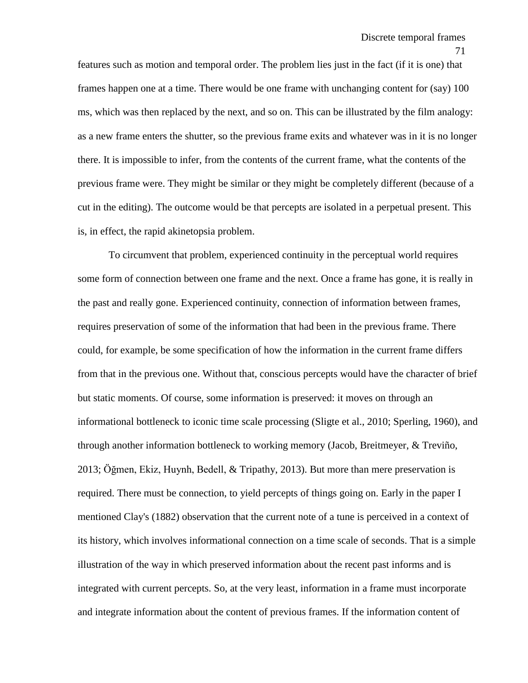features such as motion and temporal order. The problem lies just in the fact (if it is one) that frames happen one at a time. There would be one frame with unchanging content for (say) 100 ms, which was then replaced by the next, and so on. This can be illustrated by the film analogy: as a new frame enters the shutter, so the previous frame exits and whatever was in it is no longer there. It is impossible to infer, from the contents of the current frame, what the contents of the previous frame were. They might be similar or they might be completely different (because of a cut in the editing). The outcome would be that percepts are isolated in a perpetual present. This is, in effect, the rapid akinetopsia problem.

 To circumvent that problem, experienced continuity in the perceptual world requires some form of connection between one frame and the next. Once a frame has gone, it is really in the past and really gone. Experienced continuity, connection of information between frames, requires preservation of some of the information that had been in the previous frame. There could, for example, be some specification of how the information in the current frame differs from that in the previous one. Without that, conscious percepts would have the character of brief but static moments. Of course, some information is preserved: it moves on through an informational bottleneck to iconic time scale processing (Sligte et al., 2010; Sperling, 1960), and through another information bottleneck to working memory (Jacob, Breitmeyer, & Treviño, 2013; Öğmen, Ekiz, Huynh, Bedell, & Tripathy, 2013). But more than mere preservation is required. There must be connection, to yield percepts of things going on. Early in the paper I mentioned Clay's (1882) observation that the current note of a tune is perceived in a context of its history, which involves informational connection on a time scale of seconds. That is a simple illustration of the way in which preserved information about the recent past informs and is integrated with current percepts. So, at the very least, information in a frame must incorporate and integrate information about the content of previous frames. If the information content of

<sup>71</sup>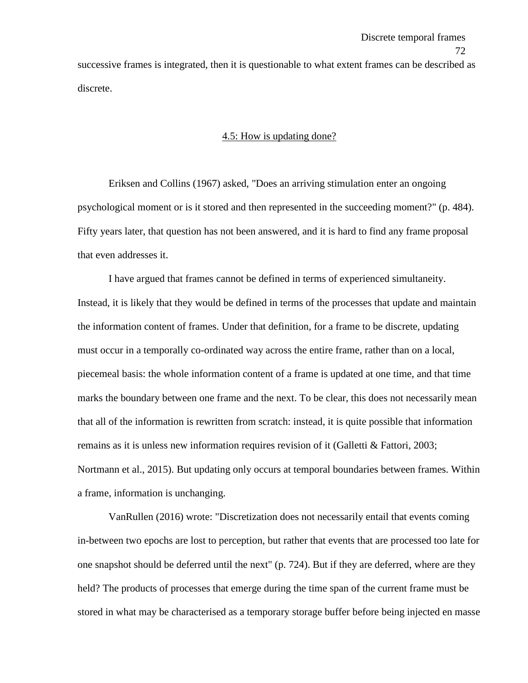successive frames is integrated, then it is questionable to what extent frames can be described as discrete.

#### 4.5: How is updating done?

 Eriksen and Collins (1967) asked, "Does an arriving stimulation enter an ongoing psychological moment or is it stored and then represented in the succeeding moment?" (p. 484). Fifty years later, that question has not been answered, and it is hard to find any frame proposal that even addresses it.

 I have argued that frames cannot be defined in terms of experienced simultaneity. Instead, it is likely that they would be defined in terms of the processes that update and maintain the information content of frames. Under that definition, for a frame to be discrete, updating must occur in a temporally co-ordinated way across the entire frame, rather than on a local, piecemeal basis: the whole information content of a frame is updated at one time, and that time marks the boundary between one frame and the next. To be clear, this does not necessarily mean that all of the information is rewritten from scratch: instead, it is quite possible that information remains as it is unless new information requires revision of it (Galletti & Fattori, 2003; Nortmann et al., 2015). But updating only occurs at temporal boundaries between frames. Within a frame, information is unchanging.

 VanRullen (2016) wrote: "Discretization does not necessarily entail that events coming in-between two epochs are lost to perception, but rather that events that are processed too late for one snapshot should be deferred until the next" (p. 724). But if they are deferred, where are they held? The products of processes that emerge during the time span of the current frame must be stored in what may be characterised as a temporary storage buffer before being injected en masse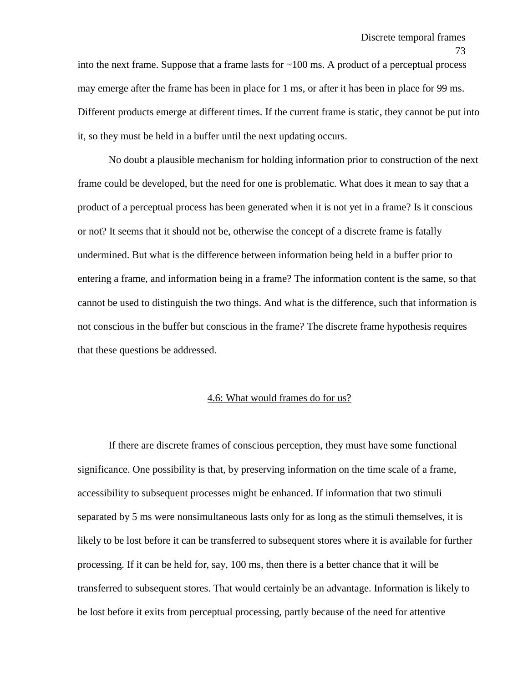into the next frame. Suppose that a frame lasts for  $\sim 100$  ms. A product of a perceptual process may emerge after the frame has been in place for 1 ms, or after it has been in place for 99 ms. Different products emerge at different times. If the current frame is static, they cannot be put into it, so they must be held in a buffer until the next updating occurs.

 No doubt a plausible mechanism for holding information prior to construction of the next frame could be developed, but the need for one is problematic. What does it mean to say that a product of a perceptual process has been generated when it is not yet in a frame? Is it conscious or not? It seems that it should not be, otherwise the concept of a discrete frame is fatally undermined. But what is the difference between information being held in a buffer prior to entering a frame, and information being in a frame? The information content is the same, so that cannot be used to distinguish the two things. And what is the difference, such that information is not conscious in the buffer but conscious in the frame? The discrete frame hypothesis requires that these questions be addressed.

#### 4.6: What would frames do for us?

 If there are discrete frames of conscious perception, they must have some functional significance. One possibility is that, by preserving information on the time scale of a frame, accessibility to subsequent processes might be enhanced. If information that two stimuli separated by 5 ms were nonsimultaneous lasts only for as long as the stimuli themselves, it is likely to be lost before it can be transferred to subsequent stores where it is available for further processing. If it can be held for, say, 100 ms, then there is a better chance that it will be transferred to subsequent stores. That would certainly be an advantage. Information is likely to be lost before it exits from perceptual processing, partly because of the need for attentive

<sup>73</sup>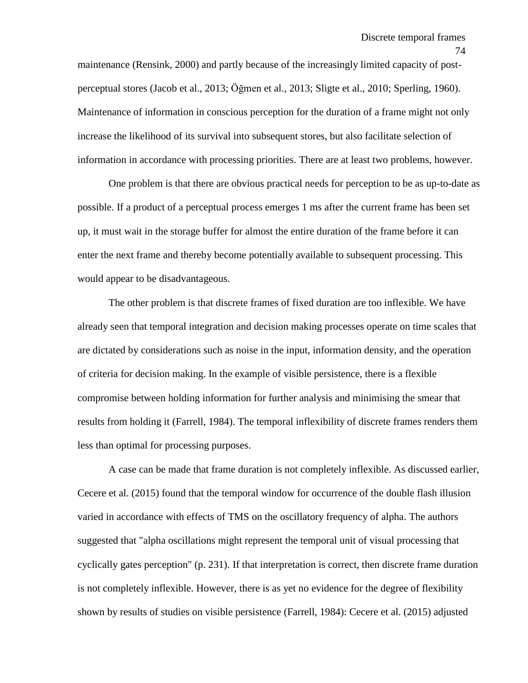maintenance (Rensink, 2000) and partly because of the increasingly limited capacity of postperceptual stores (Jacob et al., 2013; Öğmen et al., 2013; Sligte et al., 2010; Sperling, 1960). Maintenance of information in conscious perception for the duration of a frame might not only increase the likelihood of its survival into subsequent stores, but also facilitate selection of information in accordance with processing priorities. There are at least two problems, however.

 One problem is that there are obvious practical needs for perception to be as up-to-date as possible. If a product of a perceptual process emerges 1 ms after the current frame has been set up, it must wait in the storage buffer for almost the entire duration of the frame before it can enter the next frame and thereby become potentially available to subsequent processing. This would appear to be disadvantageous.

 The other problem is that discrete frames of fixed duration are too inflexible. We have already seen that temporal integration and decision making processes operate on time scales that are dictated by considerations such as noise in the input, information density, and the operation of criteria for decision making. In the example of visible persistence, there is a flexible compromise between holding information for further analysis and minimising the smear that results from holding it (Farrell, 1984). The temporal inflexibility of discrete frames renders them less than optimal for processing purposes.

 A case can be made that frame duration is not completely inflexible. As discussed earlier, Cecere et al. (2015) found that the temporal window for occurrence of the double flash illusion varied in accordance with effects of TMS on the oscillatory frequency of alpha. The authors suggested that "alpha oscillations might represent the temporal unit of visual processing that cyclically gates perception" (p. 231). If that interpretation is correct, then discrete frame duration is not completely inflexible. However, there is as yet no evidence for the degree of flexibility shown by results of studies on visible persistence (Farrell, 1984): Cecere et al. (2015) adjusted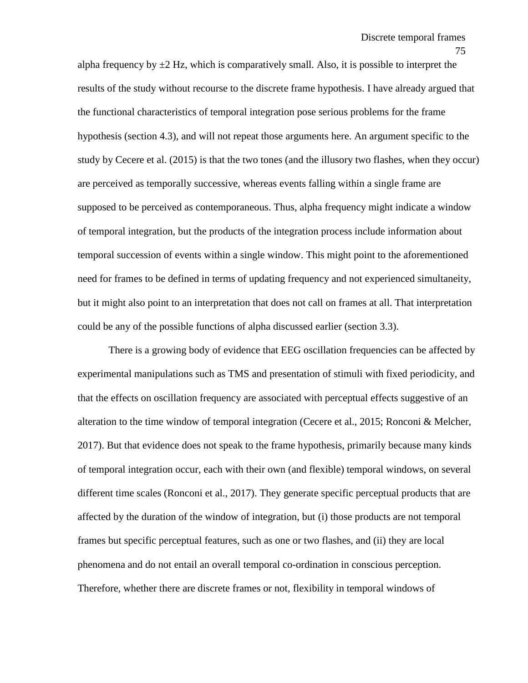alpha frequency by  $\pm 2$  Hz, which is comparatively small. Also, it is possible to interpret the results of the study without recourse to the discrete frame hypothesis. I have already argued that the functional characteristics of temporal integration pose serious problems for the frame hypothesis (section 4.3), and will not repeat those arguments here. An argument specific to the study by Cecere et al. (2015) is that the two tones (and the illusory two flashes, when they occur) are perceived as temporally successive, whereas events falling within a single frame are supposed to be perceived as contemporaneous. Thus, alpha frequency might indicate a window of temporal integration, but the products of the integration process include information about temporal succession of events within a single window. This might point to the aforementioned need for frames to be defined in terms of updating frequency and not experienced simultaneity, but it might also point to an interpretation that does not call on frames at all. That interpretation could be any of the possible functions of alpha discussed earlier (section 3.3).

 There is a growing body of evidence that EEG oscillation frequencies can be affected by experimental manipulations such as TMS and presentation of stimuli with fixed periodicity, and that the effects on oscillation frequency are associated with perceptual effects suggestive of an alteration to the time window of temporal integration (Cecere et al., 2015; Ronconi & Melcher, 2017). But that evidence does not speak to the frame hypothesis, primarily because many kinds of temporal integration occur, each with their own (and flexible) temporal windows, on several different time scales (Ronconi et al., 2017). They generate specific perceptual products that are affected by the duration of the window of integration, but (i) those products are not temporal frames but specific perceptual features, such as one or two flashes, and (ii) they are local phenomena and do not entail an overall temporal co-ordination in conscious perception. Therefore, whether there are discrete frames or not, flexibility in temporal windows of

<sup>75</sup>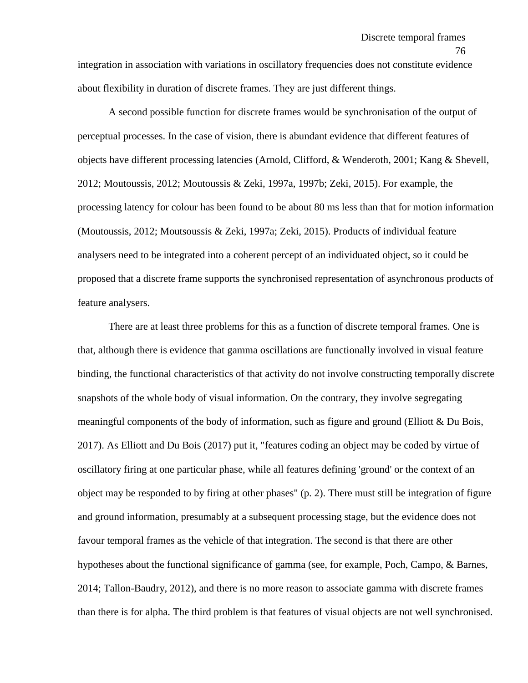A second possible function for discrete frames would be synchronisation of the output of perceptual processes. In the case of vision, there is abundant evidence that different features of objects have different processing latencies (Arnold, Clifford, & Wenderoth, 2001; Kang & Shevell, 2012; Moutoussis, 2012; Moutoussis & Zeki, 1997a, 1997b; Zeki, 2015). For example, the processing latency for colour has been found to be about 80 ms less than that for motion information (Moutoussis, 2012; Moutsoussis & Zeki, 1997a; Zeki, 2015). Products of individual feature analysers need to be integrated into a coherent percept of an individuated object, so it could be proposed that a discrete frame supports the synchronised representation of asynchronous products of feature analysers.

 There are at least three problems for this as a function of discrete temporal frames. One is that, although there is evidence that gamma oscillations are functionally involved in visual feature binding, the functional characteristics of that activity do not involve constructing temporally discrete snapshots of the whole body of visual information. On the contrary, they involve segregating meaningful components of the body of information, such as figure and ground (Elliott & Du Bois, 2017). As Elliott and Du Bois (2017) put it, "features coding an object may be coded by virtue of oscillatory firing at one particular phase, while all features defining 'ground' or the context of an object may be responded to by firing at other phases" (p. 2). There must still be integration of figure and ground information, presumably at a subsequent processing stage, but the evidence does not favour temporal frames as the vehicle of that integration. The second is that there are other hypotheses about the functional significance of gamma (see, for example, Poch, Campo, & Barnes, 2014; Tallon-Baudry, 2012), and there is no more reason to associate gamma with discrete frames than there is for alpha. The third problem is that features of visual objects are not well synchronised.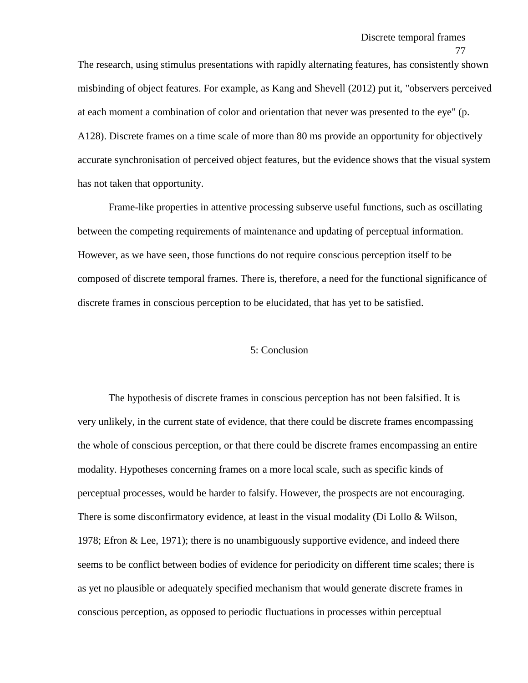The research, using stimulus presentations with rapidly alternating features, has consistently shown misbinding of object features. For example, as Kang and Shevell (2012) put it, "observers perceived at each moment a combination of color and orientation that never was presented to the eye" (p. A128). Discrete frames on a time scale of more than 80 ms provide an opportunity for objectively accurate synchronisation of perceived object features, but the evidence shows that the visual system has not taken that opportunity.

 Frame-like properties in attentive processing subserve useful functions, such as oscillating between the competing requirements of maintenance and updating of perceptual information. However, as we have seen, those functions do not require conscious perception itself to be composed of discrete temporal frames. There is, therefore, a need for the functional significance of discrete frames in conscious perception to be elucidated, that has yet to be satisfied.

### 5: Conclusion

 The hypothesis of discrete frames in conscious perception has not been falsified. It is very unlikely, in the current state of evidence, that there could be discrete frames encompassing the whole of conscious perception, or that there could be discrete frames encompassing an entire modality. Hypotheses concerning frames on a more local scale, such as specific kinds of perceptual processes, would be harder to falsify. However, the prospects are not encouraging. There is some disconfirmatory evidence, at least in the visual modality (Di Lollo & Wilson, 1978; Efron & Lee, 1971); there is no unambiguously supportive evidence, and indeed there seems to be conflict between bodies of evidence for periodicity on different time scales; there is as yet no plausible or adequately specified mechanism that would generate discrete frames in conscious perception, as opposed to periodic fluctuations in processes within perceptual

<sup>77</sup>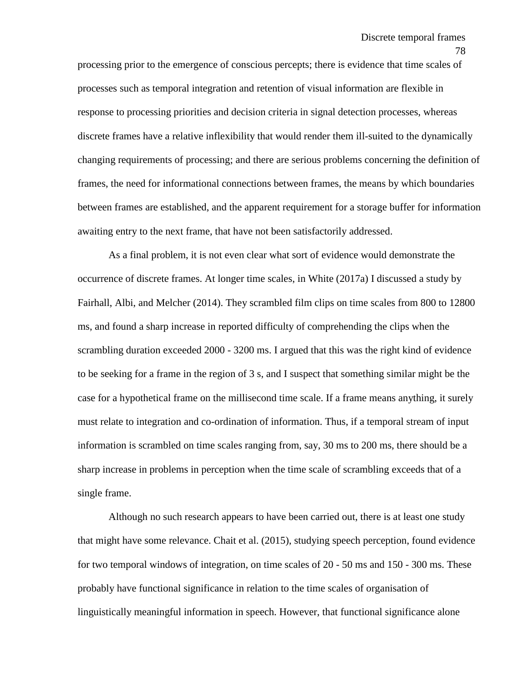processing prior to the emergence of conscious percepts; there is evidence that time scales of processes such as temporal integration and retention of visual information are flexible in response to processing priorities and decision criteria in signal detection processes, whereas discrete frames have a relative inflexibility that would render them ill-suited to the dynamically changing requirements of processing; and there are serious problems concerning the definition of frames, the need for informational connections between frames, the means by which boundaries between frames are established, and the apparent requirement for a storage buffer for information awaiting entry to the next frame, that have not been satisfactorily addressed.

 As a final problem, it is not even clear what sort of evidence would demonstrate the occurrence of discrete frames. At longer time scales, in White (2017a) I discussed a study by Fairhall, Albi, and Melcher (2014). They scrambled film clips on time scales from 800 to 12800 ms, and found a sharp increase in reported difficulty of comprehending the clips when the scrambling duration exceeded 2000 - 3200 ms. I argued that this was the right kind of evidence to be seeking for a frame in the region of 3 s, and I suspect that something similar might be the case for a hypothetical frame on the millisecond time scale. If a frame means anything, it surely must relate to integration and co-ordination of information. Thus, if a temporal stream of input information is scrambled on time scales ranging from, say, 30 ms to 200 ms, there should be a sharp increase in problems in perception when the time scale of scrambling exceeds that of a single frame.

 Although no such research appears to have been carried out, there is at least one study that might have some relevance. Chait et al. (2015), studying speech perception, found evidence for two temporal windows of integration, on time scales of 20 - 50 ms and 150 - 300 ms. These probably have functional significance in relation to the time scales of organisation of linguistically meaningful information in speech. However, that functional significance alone

<sup>78</sup>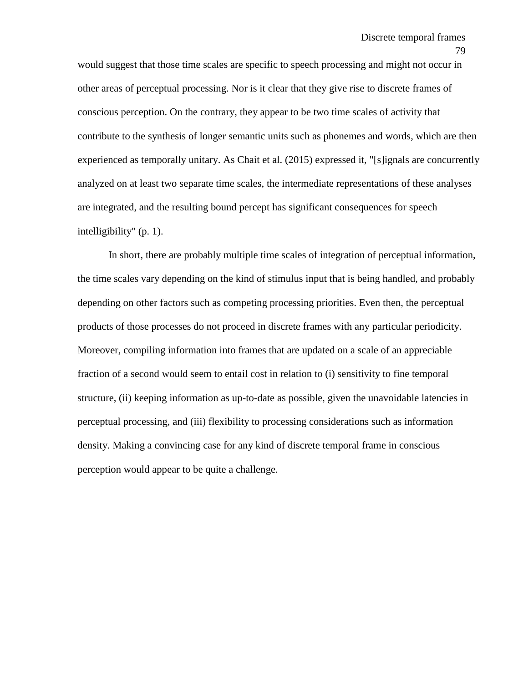would suggest that those time scales are specific to speech processing and might not occur in other areas of perceptual processing. Nor is it clear that they give rise to discrete frames of conscious perception. On the contrary, they appear to be two time scales of activity that contribute to the synthesis of longer semantic units such as phonemes and words, which are then experienced as temporally unitary. As Chait et al. (2015) expressed it, "[s]ignals are concurrently analyzed on at least two separate time scales, the intermediate representations of these analyses are integrated, and the resulting bound percept has significant consequences for speech intelligibility" (p. 1).

 In short, there are probably multiple time scales of integration of perceptual information, the time scales vary depending on the kind of stimulus input that is being handled, and probably depending on other factors such as competing processing priorities. Even then, the perceptual products of those processes do not proceed in discrete frames with any particular periodicity. Moreover, compiling information into frames that are updated on a scale of an appreciable fraction of a second would seem to entail cost in relation to (i) sensitivity to fine temporal structure, (ii) keeping information as up-to-date as possible, given the unavoidable latencies in perceptual processing, and (iii) flexibility to processing considerations such as information density. Making a convincing case for any kind of discrete temporal frame in conscious perception would appear to be quite a challenge.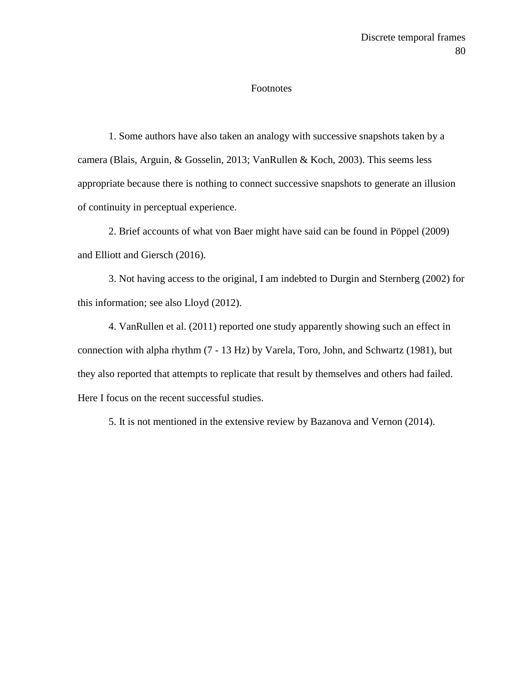#### Footnotes

 1. Some authors have also taken an analogy with successive snapshots taken by a camera (Blais, Arguin, & Gosselin, 2013; VanRullen & Koch, 2003). This seems less appropriate because there is nothing to connect successive snapshots to generate an illusion of continuity in perceptual experience.

 2. Brief accounts of what von Baer might have said can be found in Pöppel (2009) and Elliott and Giersch (2016).

 3. Not having access to the original, I am indebted to Durgin and Sternberg (2002) for this information; see also Lloyd (2012).

 4. VanRullen et al. (2011) reported one study apparently showing such an effect in connection with alpha rhythm (7 - 13 Hz) by Varela, Toro, John, and Schwartz (1981), but they also reported that attempts to replicate that result by themselves and others had failed. Here I focus on the recent successful studies.

5. It is not mentioned in the extensive review by Bazanova and Vernon (2014).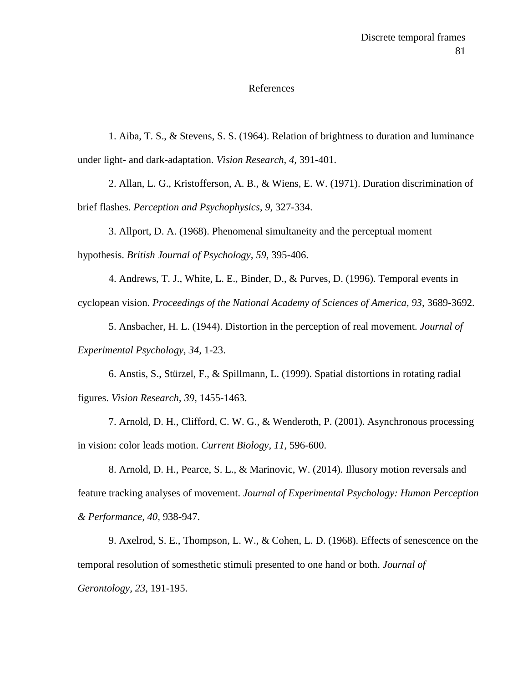#### References

 1. Aiba, T. S., & Stevens, S. S. (1964). Relation of brightness to duration and luminance under light- and dark-adaptation. *Vision Research, 4,* 391-401.

 2. Allan, L. G., Kristofferson, A. B., & Wiens, E. W. (1971). Duration discrimination of brief flashes. *Perception and Psychophysics*, *9,* 327-334.

 3. Allport, D. A. (1968). Phenomenal simultaneity and the perceptual moment hypothesis. *British Journal of Psychology, 59,* 395-406.

 4. Andrews, T. J., White, L. E., Binder, D., & Purves, D. (1996). Temporal events in cyclopean vision. *Proceedings of the National Academy of Sciences of America, 93,* 3689-3692.

 5. Ansbacher, H. L. (1944). Distortion in the perception of real movement. *Journal of Experimental Psychology, 34,* 1-23.

 6. Anstis, S., Stürzel, F., & Spillmann, L. (1999). Spatial distortions in rotating radial figures. *Vision Research, 39,* 1455-1463.

 7. Arnold, D. H., Clifford, C. W. G., & Wenderoth, P. (2001). Asynchronous processing in vision: color leads motion. *Current Biology, 11,* 596-600.

 8. Arnold, D. H., Pearce, S. L., & Marinovic, W. (2014). Illusory motion reversals and feature tracking analyses of movement. *Journal of Experimental Psychology: Human Perception & Performance, 40,* 938-947.

 9. Axelrod, S. E., Thompson, L. W., & Cohen, L. D. (1968). Effects of senescence on the temporal resolution of somesthetic stimuli presented to one hand or both. *Journal of Gerontology, 23*, 191-195.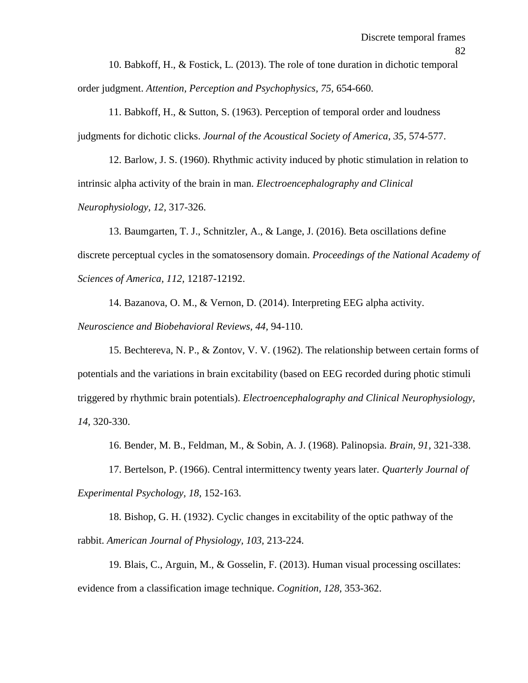10. Babkoff, H., & Fostick, L. (2013). The role of tone duration in dichotic temporal order judgment. *Attention, Perception and Psychophysics, 75,* 654-660.

 11. Babkoff, H., & Sutton, S. (1963). Perception of temporal order and loudness judgments for dichotic clicks. *Journal of the Acoustical Society of America, 35,* 574-577.

 12. Barlow, J. S. (1960). Rhythmic activity induced by photic stimulation in relation to intrinsic alpha activity of the brain in man. *Electroencephalography and Clinical Neurophysiology, 12,* 317-326.

 13. Baumgarten, T. J., Schnitzler, A., & Lange, J. (2016). Beta oscillations define discrete perceptual cycles in the somatosensory domain. *Proceedings of the National Academy of Sciences of America, 112,* 12187-12192.

14. Bazanova, O. M., & Vernon, D. (2014). Interpreting EEG alpha activity.

*Neuroscience and Biobehavioral Reviews, 44,* 94-110.

 15. Bechtereva, N. P., & Zontov, V. V. (1962). The relationship between certain forms of potentials and the variations in brain excitability (based on EEG recorded during photic stimuli triggered by rhythmic brain potentials). *Electroencephalography and Clinical Neurophysiology, 14,* 320-330.

16. Bender, M. B., Feldman, M., & Sobin, A. J. (1968). Palinopsia. *Brain, 91,* 321-338.

 17. Bertelson, P. (1966). Central intermittency twenty years later. *Quarterly Journal of Experimental Psychology, 18,* 152-163.

 18. Bishop, G. H. (1932). Cyclic changes in excitability of the optic pathway of the rabbit. *American Journal of Physiology, 103,* 213-224.

 19. Blais, C., Arguin, M., & Gosselin, F. (2013). Human visual processing oscillates: evidence from a classification image technique. *Cognition, 128,* 353-362.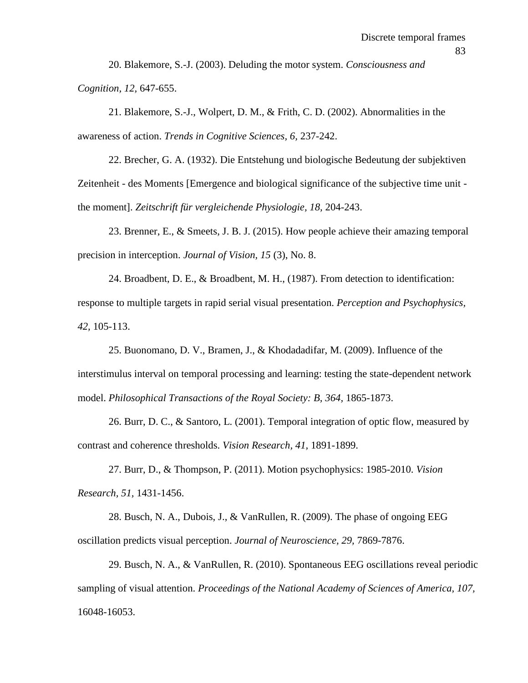20. Blakemore, S.-J. (2003). Deluding the motor system. *Consciousness and Cognition, 12,* 647-655.

 21. Blakemore, S.-J., Wolpert, D. M., & Frith, C. D. (2002). Abnormalities in the awareness of action. *Trends in Cognitive Sciences, 6,* 237-242.

 22. Brecher, G. A. (1932). Die Entstehung und biologische Bedeutung der subjektiven Zeitenheit - des Moments [Emergence and biological significance of the subjective time unit the moment]. *Zeitschrift für vergleichende Physiologie, 18,* 204-243.

 23. Brenner, E., & Smeets, J. B. J. (2015). How people achieve their amazing temporal precision in interception. *Journal of Vision, 15* (3), No. 8.

 24. Broadbent, D. E., & Broadbent, M. H., (1987). From detection to identification: response to multiple targets in rapid serial visual presentation. *Perception and Psychophysics, 42,* 105-113.

 25. Buonomano, D. V., Bramen, J., & Khodadadifar, M. (2009). Influence of the interstimulus interval on temporal processing and learning: testing the state-dependent network model. *Philosophical Transactions of the Royal Society: B, 364,* 1865-1873.

 26. Burr, D. C., & Santoro, L. (2001). Temporal integration of optic flow, measured by contrast and coherence thresholds. *Vision Research, 41,* 1891-1899.

 27. Burr, D., & Thompson, P. (2011). Motion psychophysics: 1985-2010. *Vision Research, 51,* 1431-1456.

 28. Busch, N. A., Dubois, J., & VanRullen, R. (2009). The phase of ongoing EEG oscillation predicts visual perception. *Journal of Neuroscience, 29,* 7869-7876.

 29. Busch, N. A., & VanRullen, R. (2010). Spontaneous EEG oscillations reveal periodic sampling of visual attention. *Proceedings of the National Academy of Sciences of America, 107,*  16048-16053.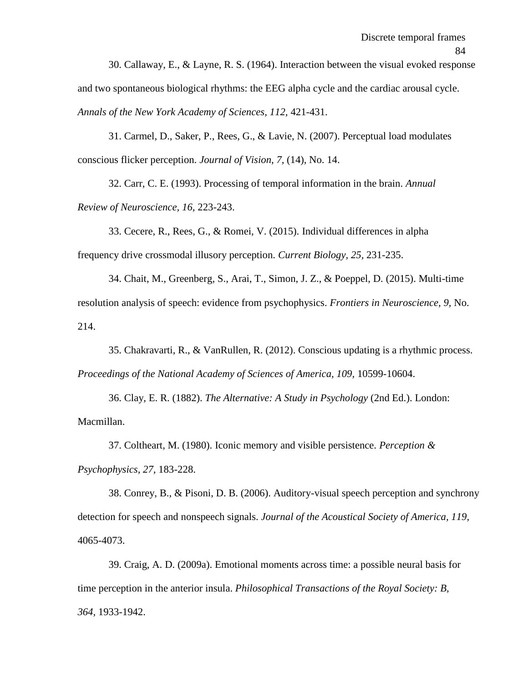30. Callaway, E., & Layne, R. S. (1964). Interaction between the visual evoked response and two spontaneous biological rhythms: the EEG alpha cycle and the cardiac arousal cycle. *Annals of the New York Academy of Sciences, 112,* 421-431.

 31. Carmel, D., Saker, P., Rees, G., & Lavie, N. (2007). Perceptual load modulates conscious flicker perception. *Journal of Vision*, *7,* (14), No. 14.

 32. Carr, C. E. (1993). Processing of temporal information in the brain. *Annual Review of Neuroscience, 16,* 223-243.

 33. Cecere, R., Rees, G., & Romei, V. (2015). Individual differences in alpha frequency drive crossmodal illusory perception. *Current Biology, 25,* 231-235.

 34. Chait, M., Greenberg, S., Arai, T., Simon, J. Z., & Poeppel, D. (2015). Multi-time resolution analysis of speech: evidence from psychophysics. *Frontiers in Neuroscience, 9,* No. 214.

 35. Chakravarti, R., & VanRullen, R. (2012). Conscious updating is a rhythmic process. *Proceedings of the National Academy of Sciences of America, 109,* 10599-10604.

 36. Clay, E. R. (1882). *The Alternative: A Study in Psychology* (2nd Ed.). London: Macmillan.

 37. Coltheart, M. (1980). Iconic memory and visible persistence. *Perception & Psychophysics, 27,* 183-228.

 38. Conrey, B., & Pisoni, D. B. (2006). Auditory-visual speech perception and synchrony detection for speech and nonspeech signals. *Journal of the Acoustical Society of America, 119,* 4065-4073.

 39. Craig, A. D. (2009a). Emotional moments across time: a possible neural basis for time perception in the anterior insula. *Philosophical Transactions of the Royal Society: B, 364,* 1933-1942.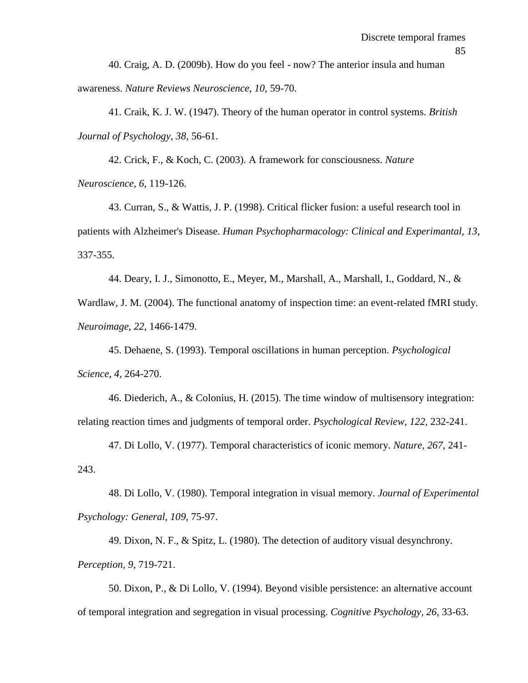40. Craig, A. D. (2009b). How do you feel - now? The anterior insula and human awareness. *Nature Reviews Neuroscience, 10,* 59-70.

 41. Craik, K. J. W. (1947). Theory of the human operator in control systems. *British Journal of Psychology, 38,* 56-61.

 42. Crick, F., & Koch, C. (2003). A framework for consciousness. *Nature Neuroscience, 6,* 119-126.

 43. Curran, S., & Wattis, J. P. (1998). Critical flicker fusion: a useful research tool in patients with Alzheimer's Disease. *Human Psychopharmacology: Clinical and Experimantal, 13*, 337-355.

44. Deary, I. J., Simonotto, E., Meyer, M., Marshall, A., Marshall, I., Goddard, N., &

Wardlaw, J. M. (2004). The functional anatomy of inspection time: an event-related fMRI study. *Neuroimage, 22,* 1466-1479.

 45. Dehaene, S. (1993). Temporal oscillations in human perception. *Psychological Science, 4,* 264-270.

 46. Diederich, A., & Colonius, H. (2015). The time window of multisensory integration: relating reaction times and judgments of temporal order. *Psychological Review, 122,* 232-241.

 47. Di Lollo, V. (1977). Temporal characteristics of iconic memory. *Nature, 267,* 241- 243.

 48. Di Lollo, V. (1980). Temporal integration in visual memory. *Journal of Experimental Psychology: General, 109,* 75-97.

 49. Dixon, N. F., & Spitz, L. (1980). The detection of auditory visual desynchrony. *Perception, 9,* 719-721.

 50. Dixon, P., & Di Lollo, V. (1994). Beyond visible persistence: an alternative account of temporal integration and segregation in visual processing. *Cognitive Psychology, 26,* 33-63.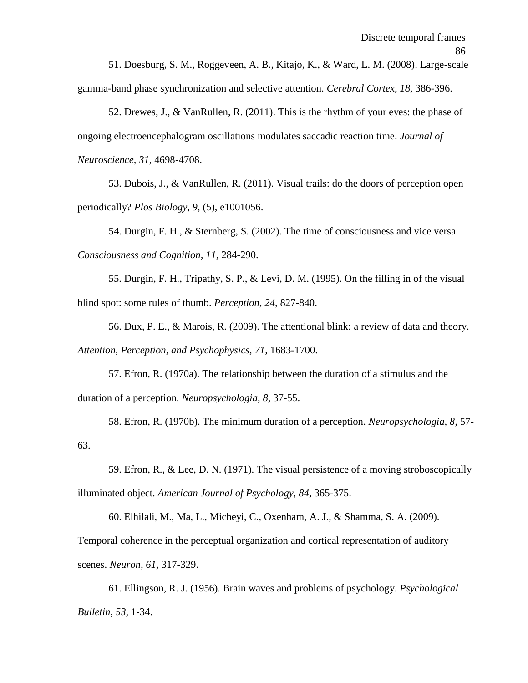51. Doesburg, S. M., Roggeveen, A. B., Kitajo, K., & Ward, L. M. (2008). Large-scale gamma-band phase synchronization and selective attention. *Cerebral Cortex, 18,* 386-396.

 52. Drewes, J., & VanRullen, R. (2011). This is the rhythm of your eyes: the phase of ongoing electroencephalogram oscillations modulates saccadic reaction time. *Journal of Neuroscience, 31,* 4698-4708.

 53. Dubois, J., & VanRullen, R. (2011). Visual trails: do the doors of perception open periodically? *Plos Biology, 9,* (5), e1001056.

 54. Durgin, F. H., & Sternberg, S. (2002). The time of consciousness and vice versa. *Consciousness and Cognition, 11,* 284-290.

 55. Durgin, F. H., Tripathy, S. P., & Levi, D. M. (1995). On the filling in of the visual blind spot: some rules of thumb. *Perception, 24,* 827-840.

 56. Dux, P. E., & Marois, R. (2009). The attentional blink: a review of data and theory. *Attention, Perception, and Psychophysics, 71,* 1683-1700.

 57. Efron, R. (1970a). The relationship between the duration of a stimulus and the duration of a perception. *Neuropsychologia, 8,* 37-55.

 58. Efron, R. (1970b). The minimum duration of a perception. *Neuropsychologia, 8,* 57- 63.

 59. Efron, R., & Lee, D. N. (1971). The visual persistence of a moving stroboscopically illuminated object. *American Journal of Psychology, 84,* 365-375.

 60. Elhilali, M., Ma, L., Micheyi, C., Oxenham, A. J., & Shamma, S. A. (2009). Temporal coherence in the perceptual organization and cortical representation of auditory scenes. *Neuron*, *61,* 317-329.

 61. Ellingson, R. J. (1956). Brain waves and problems of psychology. *Psychological Bulletin, 53,* 1-34.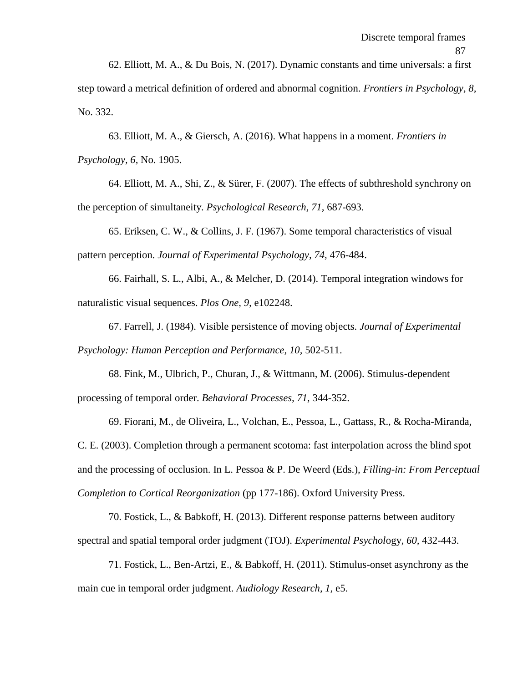62. Elliott, M. A., & Du Bois, N. (2017). Dynamic constants and time universals: a first step toward a metrical definition of ordered and abnormal cognition. *Frontiers in Psychology, 8,* No. 332.

 63. Elliott, M. A., & Giersch, A. (2016). What happens in a moment. *Frontiers in Psychology, 6,* No. 1905.

 64. Elliott, M. A., Shi, Z., & Sürer, F. (2007). The effects of subthreshold synchrony on the perception of simultaneity. *Psychological Research, 71,* 687-693.

 65. Eriksen, C. W., & Collins, J. F. (1967). Some temporal characteristics of visual pattern perception. *Journal of Experimental Psychology, 74,* 476-484.

 66. Fairhall, S. L., Albi, A., & Melcher, D. (2014). Temporal integration windows for naturalistic visual sequences. *Plos One, 9,* e102248.

 67. Farrell, J. (1984). Visible persistence of moving objects. *Journal of Experimental Psychology: Human Perception and Performance, 10,* 502-511.

 68. Fink, M., Ulbrich, P., Churan, J., & Wittmann, M. (2006). Stimulus-dependent processing of temporal order. *Behavioral Processes, 71,* 344-352.

 69. Fiorani, M., de Oliveira, L., Volchan, E., Pessoa, L., Gattass, R., & Rocha-Miranda, C. E. (2003). Completion through a permanent scotoma: fast interpolation across the blind spot and the processing of occlusion. In L. Pessoa & P. De Weerd (Eds.), *Filling-in: From Perceptual Completion to Cortical Reorganization* (pp 177-186). Oxford University Press.

 70. Fostick, L., & Babkoff, H. (2013). Different response patterns between auditory spectral and spatial temporal order judgment (TOJ). *Experimental Psychol*ogy, *60,* 432-443.

 71. Fostick, L., Ben-Artzi, E., & Babkoff, H. (2011). Stimulus-onset asynchrony as the main cue in temporal order judgment. *Audiology Research, 1,* e5.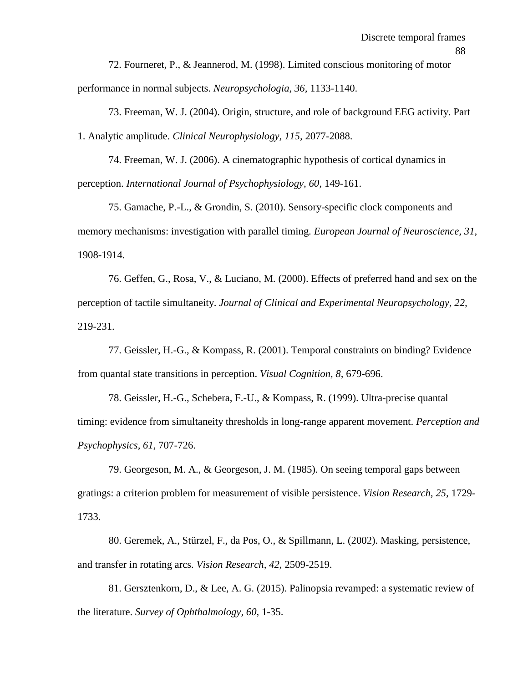72. Fourneret, P., & Jeannerod, M. (1998). Limited conscious monitoring of motor performance in normal subjects. *Neuropsychologia, 36,* 1133-1140.

 73. Freeman, W. J. (2004). Origin, structure, and role of background EEG activity. Part 1. Analytic amplitude. *Clinical Neurophysiology, 115,* 2077-2088.

 74. Freeman, W. J. (2006). A cinematographic hypothesis of cortical dynamics in perception. *International Journal of Psychophysiology, 60,* 149-161.

 75. Gamache, P.-L., & Grondin, S. (2010). Sensory-specific clock components and memory mechanisms: investigation with parallel timing. *European Journal of Neuroscience, 31,* 1908-1914.

 76. Geffen, G., Rosa, V., & Luciano, M. (2000). Effects of preferred hand and sex on the perception of tactile simultaneity. *Journal of Clinical and Experimental Neuropsychology, 22,*  219-231.

 77. Geissler, H.-G., & Kompass, R. (2001). Temporal constraints on binding? Evidence from quantal state transitions in perception. *Visual Cognition, 8,* 679-696.

 78. Geissler, H.-G., Schebera, F.-U., & Kompass, R. (1999). Ultra-precise quantal timing: evidence from simultaneity thresholds in long-range apparent movement. *Perception and Psychophysics, 61,* 707-726.

 79. Georgeson, M. A., & Georgeson, J. M. (1985). On seeing temporal gaps between gratings: a criterion problem for measurement of visible persistence. *Vision Research, 25,* 1729- 1733.

 80. Geremek, A., Stürzel, F., da Pos, O., & Spillmann, L. (2002). Masking, persistence, and transfer in rotating arcs. *Vision Research, 42,* 2509-2519.

 81. Gersztenkorn, D., & Lee, A. G. (2015). Palinopsia revamped: a systematic review of the literature. *Survey of Ophthalmology, 60,* 1-35.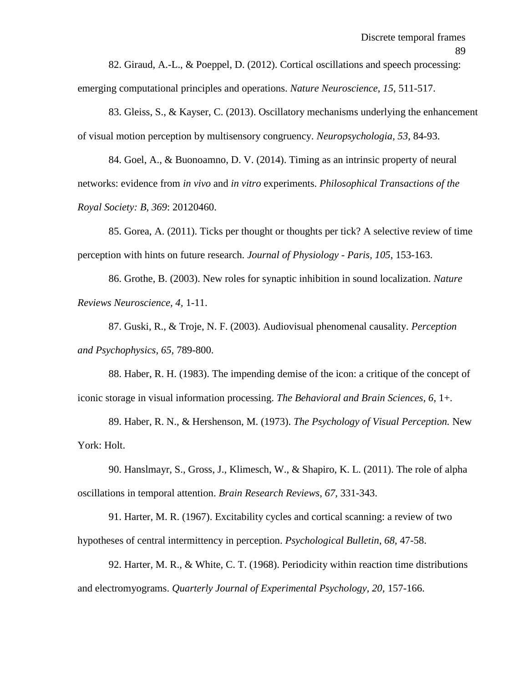82. Giraud, A.-L., & Poeppel, D. (2012). Cortical oscillations and speech processing: emerging computational principles and operations. *Nature Neuroscience, 15,* 511-517.

 83. Gleiss, S., & Kayser, C. (2013). Oscillatory mechanisms underlying the enhancement of visual motion perception by multisensory congruency. *Neuropsychologia, 53,* 84-93.

 84. Goel, A., & Buonoamno, D. V. (2014). Timing as an intrinsic property of neural networks: evidence from *in vivo* and *in vitro* experiments. *Philosophical Transactions of the Royal Society: B, 369*: 20120460.

 85. Gorea, A. (2011). Ticks per thought or thoughts per tick? A selective review of time perception with hints on future research. *Journal of Physiology - Paris, 105*, 153-163.

 86. Grothe, B. (2003). New roles for synaptic inhibition in sound localization. *Nature Reviews Neuroscience, 4,* 1-11.

 87. Guski, R., & Troje, N. F. (2003). Audiovisual phenomenal causality. *Perception and Psychophysics, 65,* 789-800.

 88. Haber, R. H. (1983). The impending demise of the icon: a critique of the concept of iconic storage in visual information processing. *The Behavioral and Brain Sciences, 6,* 1+.

 89. Haber, R. N., & Hershenson, M. (1973). *The Psychology of Visual Perception.* New York: Holt.

 90. Hanslmayr, S., Gross, J., Klimesch, W., & Shapiro, K. L. (2011). The role of alpha oscillations in temporal attention. *Brain Research Reviews, 67,* 331-343.

 91. Harter, M. R. (1967). Excitability cycles and cortical scanning: a review of two hypotheses of central intermittency in perception. *Psychological Bulletin*, *68*, 47-58.

 92. Harter, M. R., & White, C. T. (1968). Periodicity within reaction time distributions and electromyograms. *Quarterly Journal of Experimental Psychology, 20,* 157-166.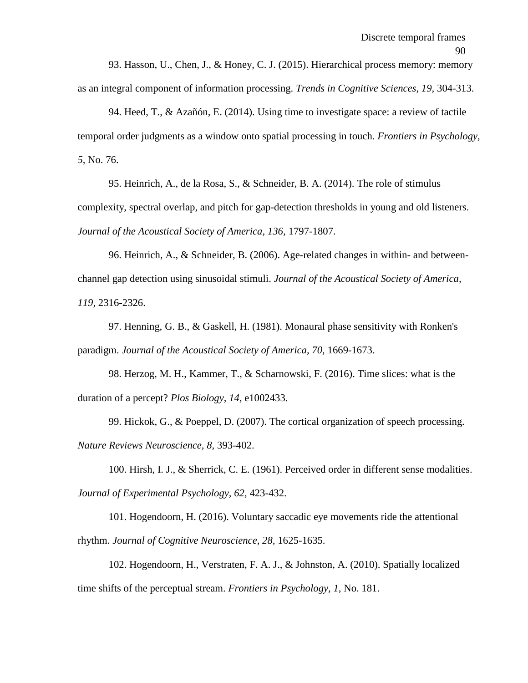93. Hasson, U., Chen, J., & Honey, C. J. (2015). Hierarchical process memory: memory as an integral component of information processing. *Trends in Cognitive Sciences, 19,* 304-313.

 94. Heed, T., & Azañón, E. (2014). Using time to investigate space: a review of tactile temporal order judgments as a window onto spatial processing in touch. *Frontiers in Psychology, 5,* No. 76.

 95. Heinrich, A., de la Rosa, S., & Schneider, B. A. (2014). The role of stimulus complexity, spectral overlap, and pitch for gap-detection thresholds in young and old listeners. *Journal of the Acoustical Society of America, 136,* 1797-1807.

 96. Heinrich, A., & Schneider, B. (2006). Age-related changes in within- and betweenchannel gap detection using sinusoidal stimuli. *Journal of the Acoustical Society of America, 119,* 2316-2326.

 97. Henning, G. B., & Gaskell, H. (1981). Monaural phase sensitivity with Ronken's paradigm. *Journal of the Acoustical Society of America, 70,* 1669-1673.

 98. Herzog, M. H., Kammer, T., & Scharnowski, F. (2016). Time slices: what is the duration of a percept? *Plos Biology, 14,* e1002433.

 99. Hickok, G., & Poeppel, D. (2007). The cortical organization of speech processing. *Nature Reviews Neuroscience, 8,* 393-402.

 100. Hirsh, I. J., & Sherrick, C. E. (1961). Perceived order in different sense modalities. *Journal of Experimental Psychology, 62,* 423-432.

 101. Hogendoorn, H. (2016). Voluntary saccadic eye movements ride the attentional rhythm. *Journal of Cognitive Neuroscience, 28,* 1625-1635.

 102. Hogendoorn, H., Verstraten, F. A. J., & Johnston, A. (2010). Spatially localized time shifts of the perceptual stream. *Frontiers in Psychology, 1,* No. 181.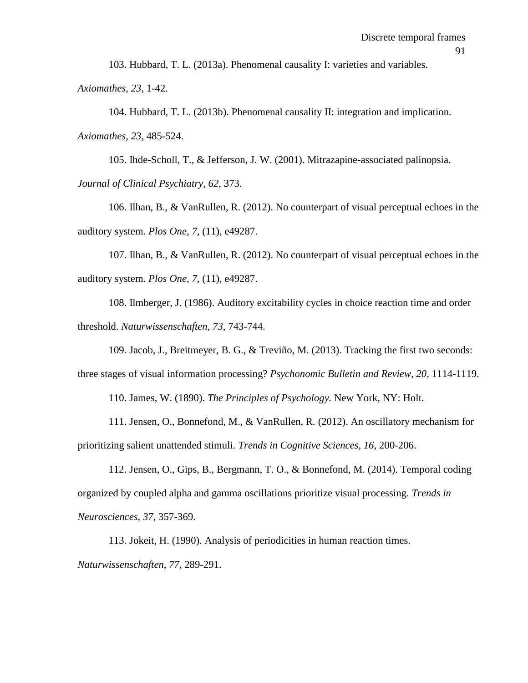103. Hubbard, T. L. (2013a). Phenomenal causality I: varieties and variables. *Axiomathes, 23,* 1-42.

 104. Hubbard, T. L. (2013b). Phenomenal causality II: integration and implication. *Axiomathes, 23,* 485-524.

 105. Ihde-Scholl, T., & Jefferson, J. W. (2001). Mitrazapine-associated palinopsia. *Journal of Clinical Psychiatry, 62,* 373.

 106. Ilhan, B., & VanRullen, R. (2012). No counterpart of visual perceptual echoes in the auditory system. *Plos One, 7,* (11), e49287.

 107. Ilhan, B., & VanRullen, R. (2012). No counterpart of visual perceptual echoes in the auditory system. *Plos One, 7,* (11), e49287.

 108. Ilmberger, J. (1986). Auditory excitability cycles in choice reaction time and order threshold. *Naturwissenschaften, 73,* 743-744.

109. Jacob, J., Breitmeyer, B. G., & Treviño, M. (2013). Tracking the first two seconds:

three stages of visual information processing? *Psychonomic Bulletin and Review, 20,* 1114-1119.

110. James, W. (1890). *The Principles of Psychology.* New York, NY: Holt.

 111. Jensen, O., Bonnefond, M., & VanRullen, R. (2012). An oscillatory mechanism for prioritizing salient unattended stimuli. *Trends in Cognitive Sciences, 16,* 200-206.

 112. Jensen, O., Gips, B., Bergmann, T. O., & Bonnefond, M. (2014). Temporal coding organized by coupled alpha and gamma oscillations prioritize visual processing. *Trends in Neurosciences, 37,* 357-369.

 113. Jokeit, H. (1990). Analysis of periodicities in human reaction times. *Naturwissenschaften, 77,* 289-291.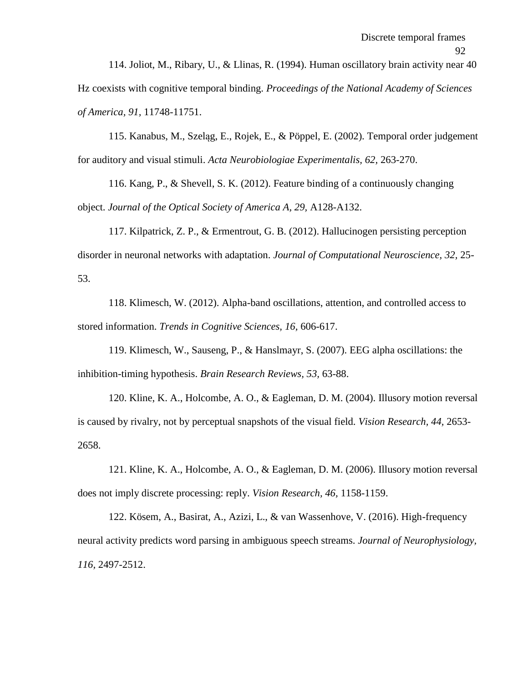114. Joliot, M., Ribary, U., & Llinas, R. (1994). Human oscillatory brain activity near 40 Hz coexists with cognitive temporal binding. *Proceedings of the National Academy of Sciences of America, 91,* 11748-11751.

 115. Kanabus, M., Szeląg, E., Rojek, E., & Pöppel, E. (2002). Temporal order judgement for auditory and visual stimuli. *Acta Neurobiologiae Experimentalis, 62,* 263-270.

 116. Kang, P., & Shevell, S. K. (2012). Feature binding of a continuously changing object. *Journal of the Optical Society of America A, 29,* A128-A132.

 117. Kilpatrick, Z. P., & Ermentrout, G. B. (2012). Hallucinogen persisting perception disorder in neuronal networks with adaptation. *Journal of Computational Neuroscience, 32,* 25- 53.

 118. Klimesch, W. (2012). Alpha-band oscillations, attention, and controlled access to stored information. *Trends in Cognitive Sciences, 16,* 606-617.

 119. Klimesch, W., Sauseng, P., & Hanslmayr, S. (2007). EEG alpha oscillations: the inhibition-timing hypothesis. *Brain Research Reviews, 53,* 63-88.

 120. Kline, K. A., Holcombe, A. O., & Eagleman, D. M. (2004). Illusory motion reversal is caused by rivalry, not by perceptual snapshots of the visual field. *Vision Research, 44,* 2653- 2658.

 121. Kline, K. A., Holcombe, A. O., & Eagleman, D. M. (2006). Illusory motion reversal does not imply discrete processing: reply. *Vision Research, 46,* 1158-1159.

 122. Kösem, A., Basirat, A., Azizi, L., & van Wassenhove, V. (2016). High-frequency neural activity predicts word parsing in ambiguous speech streams. *Journal of Neurophysiology, 116,* 2497-2512.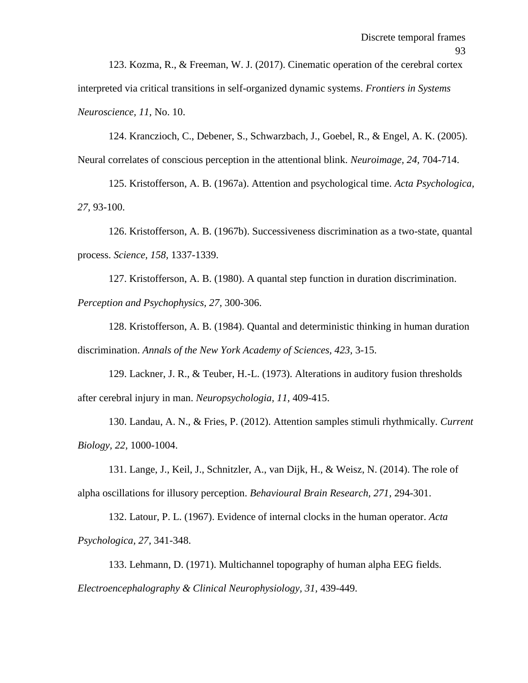123. Kozma, R., & Freeman, W. J. (2017). Cinematic operation of the cerebral cortex interpreted via critical transitions in self-organized dynamic systems. *Frontiers in Systems Neuroscience, 11,* No. 10.

 124. Kranczioch, C., Debener, S., Schwarzbach, J., Goebel, R., & Engel, A. K. (2005). Neural correlates of conscious perception in the attentional blink. *Neuroimage, 24,* 704-714.

 125. Kristofferson, A. B. (1967a). Attention and psychological time. *Acta Psychologica, 27,* 93-100.

 126. Kristofferson, A. B. (1967b). Successiveness discrimination as a two-state, quantal process. *Science, 158,* 1337-1339.

 127. Kristofferson, A. B. (1980). A quantal step function in duration discrimination. *Perception and Psychophysics, 27,* 300-306.

 128. Kristofferson, A. B. (1984). Quantal and deterministic thinking in human duration discrimination. *Annals of the New York Academy of Sciences, 423,* 3-15.

 129. Lackner, J. R., & Teuber, H.-L. (1973). Alterations in auditory fusion thresholds after cerebral injury in man. *Neuropsychologia, 11,* 409-415.

 130. Landau, A. N., & Fries, P. (2012). Attention samples stimuli rhythmically. *Current Biology, 22,* 1000-1004.

 131. Lange, J., Keil, J., Schnitzler, A., van Dijk, H., & Weisz, N. (2014). The role of alpha oscillations for illusory perception. *Behavioural Brain Research, 271,* 294-301.

 132. Latour, P. L. (1967). Evidence of internal clocks in the human operator. *Acta Psychologica, 27,* 341-348.

 133. Lehmann, D. (1971). Multichannel topography of human alpha EEG fields. *Electroencephalography & Clinical Neurophysiology, 31,* 439-449.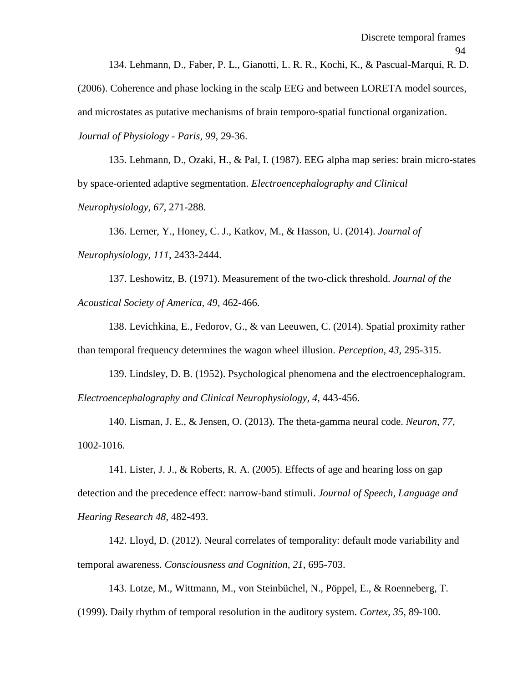134. Lehmann, D., Faber, P. L., Gianotti, L. R. R., Kochi, K., & Pascual-Marqui, R. D. (2006). Coherence and phase locking in the scalp EEG and between LORETA model sources, and microstates as putative mechanisms of brain temporo-spatial functional organization. *Journal of Physiology - Paris, 99,* 29-36.

 135. Lehmann, D., Ozaki, H., & Pal, I. (1987). EEG alpha map series: brain micro-states by space-oriented adaptive segmentation. *Electroencephalography and Clinical Neurophysiology, 67,* 271-288.

136. Lerner, Y., Honey, C. J., Katkov, M., & Hasson, U. (2014). *Journal of* 

*Neurophysiology, 111,* 2433-2444.

 137. Leshowitz, B. (1971). Measurement of the two-click threshold. *Journal of the Acoustical Society of America, 49,* 462-466.

 138. Levichkina, E., Fedorov, G., & van Leeuwen, C. (2014). Spatial proximity rather than temporal frequency determines the wagon wheel illusion. *Perception, 43,* 295-315.

 139. Lindsley, D. B. (1952). Psychological phenomena and the electroencephalogram. *Electroencephalography and Clinical Neurophysiology, 4,* 443-456.

 140. Lisman, J. E., & Jensen, O. (2013). The theta-gamma neural code. *Neuron, 77,* 1002-1016.

 141. Lister, J. J., & Roberts, R. A. (2005). Effects of age and hearing loss on gap detection and the precedence effect: narrow-band stimuli. *Journal of Speech, Language and Hearing Research 48*, 482-493.

 142. Lloyd, D. (2012). Neural correlates of temporality: default mode variability and temporal awareness. *Consciousness and Cognition, 21,* 695-703.

 143. Lotze, M., Wittmann, M., von Steinbüchel, N., Pöppel, E., & Roenneberg, T. (1999). Daily rhythm of temporal resolution in the auditory system. *Cortex, 35,* 89-100.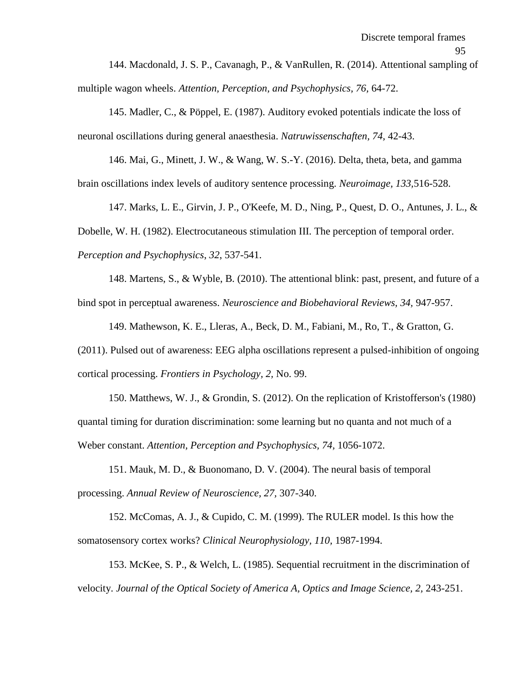144. Macdonald, J. S. P., Cavanagh, P., & VanRullen, R. (2014). Attentional sampling of multiple wagon wheels. *Attention, Perception, and Psychophysics, 76,* 64-72.

 145. Madler, C., & Pöppel, E. (1987). Auditory evoked potentials indicate the loss of neuronal oscillations during general anaesthesia. *Natruwissenschaften, 74,* 42-43.

 146. Mai, G., Minett, J. W., & Wang, W. S.-Y. (2016). Delta, theta, beta, and gamma brain oscillations index levels of auditory sentence processing. *Neuroimage, 133,*516-528.

147. Marks, L. E., Girvin, J. P., O'Keefe, M. D., Ning, P., Quest, D. O., Antunes, J. L., &

Dobelle, W. H. (1982). Electrocutaneous stimulation III. The perception of temporal order.

*Perception and Psychophysics*, *32*, 537-541.

 148. Martens, S., & Wyble, B. (2010). The attentional blink: past, present, and future of a bind spot in perceptual awareness. *Neuroscience and Biobehavioral Reviews, 34,* 947-957.

149. Mathewson, K. E., Lleras, A., Beck, D. M., Fabiani, M., Ro, T., & Gratton, G.

(2011). Pulsed out of awareness: EEG alpha oscillations represent a pulsed-inhibition of ongoing cortical processing. *Frontiers in Psychology, 2,* No. 99.

 150. Matthews, W. J., & Grondin, S. (2012). On the replication of Kristofferson's (1980) quantal timing for duration discrimination: some learning but no quanta and not much of a Weber constant. *Attention, Perception and Psychophysics, 74,* 1056-1072.

 151. Mauk, M. D., & Buonomano, D. V. (2004). The neural basis of temporal processing. *Annual Review of Neuroscience, 27,* 307-340.

 152. McComas, A. J., & Cupido, C. M. (1999). The RULER model. Is this how the somatosensory cortex works? *Clinical Neurophysiology, 110,* 1987-1994.

 153. McKee, S. P., & Welch, L. (1985). Sequential recruitment in the discrimination of velocity. *Journal of the Optical Society of America A, Optics and Image Science, 2,* 243-251.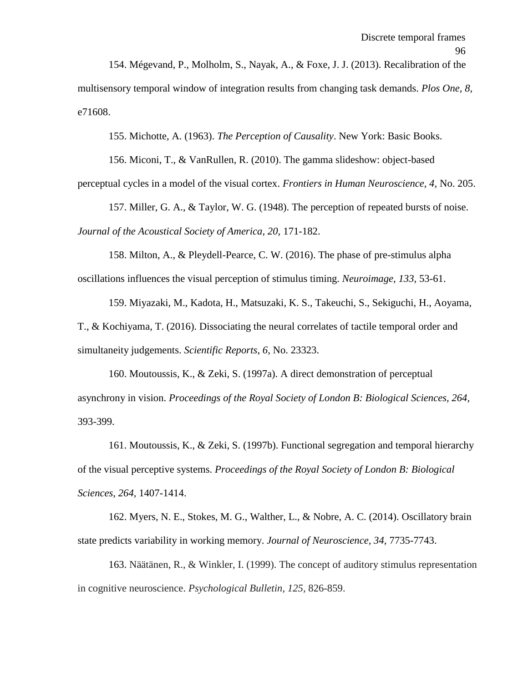154. Mégevand, P., Molholm, S., Nayak, A., & Foxe, J. J. (2013). Recalibration of the multisensory temporal window of integration results from changing task demands. *Plos One, 8,* e71608.

155. Michotte, A. (1963). *The Perception of Causality*. New York: Basic Books.

156. Miconi, T., & VanRullen, R. (2010). The gamma slideshow: object-based

perceptual cycles in a model of the visual cortex. *Frontiers in Human Neuroscience, 4,* No. 205.

157. Miller, G. A., & Taylor, W. G. (1948). The perception of repeated bursts of noise.

*Journal of the Acoustical Society of America, 20,* 171-182.

 158. Milton, A., & Pleydell-Pearce, C. W. (2016). The phase of pre-stimulus alpha oscillations influences the visual perception of stimulus timing. *Neuroimage, 133,* 53-61.

 159. Miyazaki, M., Kadota, H., Matsuzaki, K. S., Takeuchi, S., Sekiguchi, H., Aoyama, T., & Kochiyama, T. (2016). Dissociating the neural correlates of tactile temporal order and simultaneity judgements. *Scientific Reports*, *6,* No. 23323.

 160. Moutoussis, K., & Zeki, S. (1997a). A direct demonstration of perceptual asynchrony in vision. *Proceedings of the Royal Society of London B: Biological Sciences, 264,* 393-399.

 161. Moutoussis, K., & Zeki, S. (1997b). Functional segregation and temporal hierarchy of the visual perceptive systems. *Proceedings of the Royal Society of London B: Biological Sciences, 264,* 1407-1414.

 162. Myers, N. E., Stokes, M. G., Walther, L., & Nobre, A. C. (2014). Oscillatory brain state predicts variability in working memory. *Journal of Neuroscience, 34,* 7735-7743.

 163. Näätänen, R., & Winkler, I. (1999). The concept of auditory stimulus representation in cognitive neuroscience. *Psychological Bulletin, 125,* 826-859.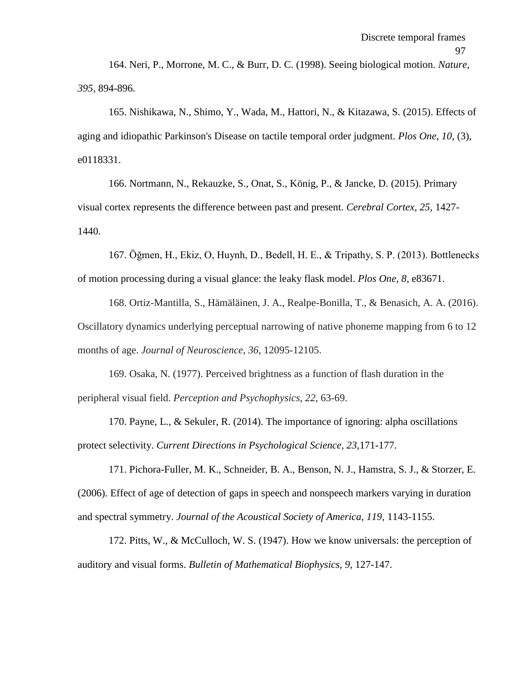164. Neri, P., Morrone, M. C., & Burr, D. C. (1998). Seeing biological motion. *Nature, 395,* 894-896.

 165. Nishikawa, N., Shimo, Y., Wada, M., Hattori, N., & Kitazawa, S. (2015). Effects of aging and idiopathic Parkinson's Disease on tactile temporal order judgment. *Plos One, 10,* (3), e0118331.

 166. Nortmann, N., Rekauzke, S., Onat, S., König, P., & Jancke, D. (2015). Primary visual cortex represents the difference between past and present. *Cerebral Cortex, 25,* 1427- 1440.

 167. Öğmen, H., Ekiz, O, Huynh, D., Bedell, H. E., & Tripathy, S. P. (2013). Bottlenecks of motion processing during a visual glance: the leaky flask model. *Plos One, 8,* e83671.

 168. Ortiz-Mantilla, S., Hämäläinen, J. A., Realpe-Bonilla, T., & Benasich, A. A. (2016). Oscillatory dynamics underlying perceptual narrowing of native phoneme mapping from 6 to 12 months of age. *Journal of Neuroscience, 36,* 12095-12105.

 169. Osaka, N. (1977). Perceived brightness as a function of flash duration in the peripheral visual field. *Perception and Psychophysics, 22,* 63-69.

 170. Payne, L., & Sekuler, R. (2014). The importance of ignoring: alpha oscillations protect selectivity. *Current Directions in Psychological Science, 23,*171-177.

 171. Pichora-Fuller, M. K., Schneider, B. A., Benson, N. J., Hamstra, S. J., & Storzer, E. (2006). Effect of age of detection of gaps in speech and nonspeech markers varying in duration and spectral symmetry. *Journal of the Acoustical Society of America, 119,* 1143-1155.

 172. Pitts, W., & McCulloch, W. S. (1947). How we know universals: the perception of auditory and visual forms. *Bulletin of Mathematical Biophysics, 9,* 127-147.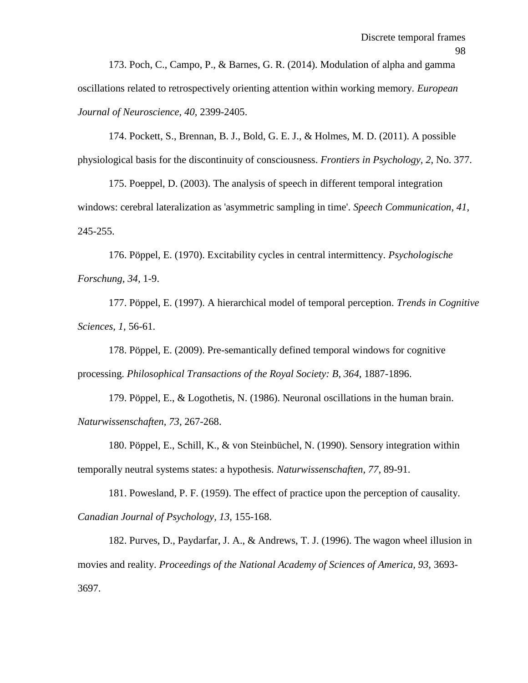173. Poch, C., Campo, P., & Barnes, G. R. (2014). Modulation of alpha and gamma oscillations related to retrospectively orienting attention within working memory. *European Journal of Neuroscience, 40,* 2399-2405.

 174. Pockett, S., Brennan, B. J., Bold, G. E. J., & Holmes, M. D. (2011). A possible physiological basis for the discontinuity of consciousness. *Frontiers in Psychology, 2,* No. 377.

 175. Poeppel, D. (2003). The analysis of speech in different temporal integration windows: cerebral lateralization as 'asymmetric sampling in time'. *Speech Communication, 41,* 245-255.

 176. Pöppel, E. (1970). Excitability cycles in central intermittency. *Psychologische Forschung, 34,* 1-9.

 177. Pöppel, E. (1997). A hierarchical model of temporal perception. *Trends in Cognitive Sciences, 1,* 56-61.

 178. Pöppel, E. (2009). Pre-semantically defined temporal windows for cognitive processing. *Philosophical Transactions of the Royal Society: B, 364,* 1887-1896.

 179. Pöppel, E., & Logothetis, N. (1986). Neuronal oscillations in the human brain. *Naturwissenschaften, 73,* 267-268.

 180. Pöppel, E., Schill, K., & von Steinbüchel, N. (1990). Sensory integration within temporally neutral systems states: a hypothesis. *Naturwissenschaften, 77,* 89-91.

 181. Powesland, P. F. (1959). The effect of practice upon the perception of causality. *Canadian Journal of Psychology, 13,* 155-168.

 182. Purves, D., Paydarfar, J. A., & Andrews, T. J. (1996). The wagon wheel illusion in movies and reality. *Proceedings of the National Academy of Sciences of America, 93,* 3693- 3697.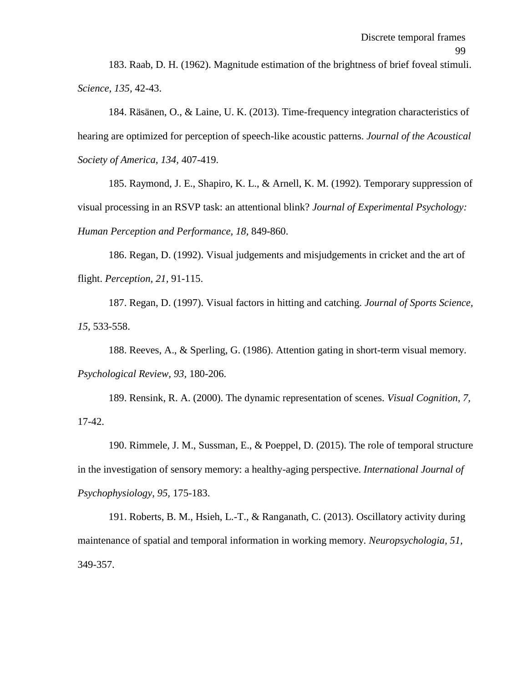183. Raab, D. H. (1962). Magnitude estimation of the brightness of brief foveal stimuli. *Science, 135,* 42-43.

 184. Räsänen, O., & Laine, U. K. (2013). Time-frequency integration characteristics of hearing are optimized for perception of speech-like acoustic patterns. *Journal of the Acoustical Society of America, 134,* 407-419.

 185. Raymond, J. E., Shapiro, K. L., & Arnell, K. M. (1992). Temporary suppression of visual processing in an RSVP task: an attentional blink? *Journal of Experimental Psychology: Human Perception and Performance, 18,* 849-860.

 186. Regan, D. (1992). Visual judgements and misjudgements in cricket and the art of flight. *Perception, 21,* 91-115.

 187. Regan, D. (1997). Visual factors in hitting and catching. *Journal of Sports Science, 15,* 533-558.

 188. Reeves, A., & Sperling, G. (1986). Attention gating in short-term visual memory. *Psychological Review, 93,* 180-206.

 189. Rensink, R. A. (2000). The dynamic representation of scenes. *Visual Cognition, 7,* 17-42.

 190. Rimmele, J. M., Sussman, E., & Poeppel, D. (2015). The role of temporal structure in the investigation of sensory memory: a healthy-aging perspective. *International Journal of Psychophysiology, 95,* 175-183.

 191. Roberts, B. M., Hsieh, L.-T., & Ranganath, C. (2013). Oscillatory activity during maintenance of spatial and temporal information in working memory. *Neuropsychologia, 51,* 349-357.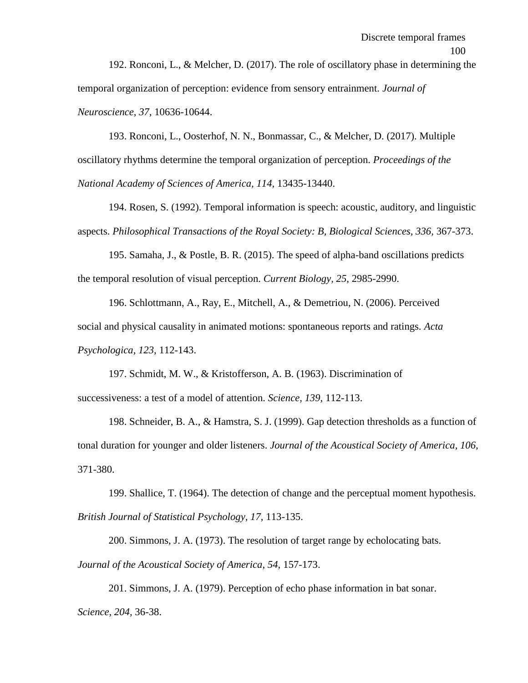192. Ronconi, L., & Melcher, D. (2017). The role of oscillatory phase in determining the temporal organization of perception: evidence from sensory entrainment. *Journal of Neuroscience, 37,* 10636-10644.

 193. Ronconi, L., Oosterhof, N. N., Bonmassar, C., & Melcher, D. (2017). Multiple oscillatory rhythms determine the temporal organization of perception. *Proceedings of the National Academy of Sciences of America, 114,* 13435-13440.

 194. Rosen, S. (1992). Temporal information is speech: acoustic, auditory, and linguistic aspects. *Philosophical Transactions of the Royal Society: B, Biological Sciences, 336,* 367-373.

 195. Samaha, J., & Postle, B. R. (2015). The speed of alpha-band oscillations predicts the temporal resolution of visual perception. *Current Biology, 25,* 2985-2990.

 196. Schlottmann, A., Ray, E., Mitchell, A., & Demetriou, N. (2006). Perceived social and physical causality in animated motions: spontaneous reports and ratings. *Acta Psychologica, 123,* 112-143.

 197. Schmidt, M. W., & Kristofferson, A. B. (1963). Discrimination of successiveness: a test of a model of attention. *Science, 139,* 112-113.

 198. Schneider, B. A., & Hamstra, S. J. (1999). Gap detection thresholds as a function of tonal duration for younger and older listeners. *Journal of the Acoustical Society of America, 106,* 371-380.

 199. Shallice, T. (1964). The detection of change and the perceptual moment hypothesis. *British Journal of Statistical Psychology, 17,* 113-135.

 200. Simmons, J. A. (1973). The resolution of target range by echolocating bats. *Journal of the Acoustical Society of America, 54,* 157-173.

 201. Simmons, J. A. (1979). Perception of echo phase information in bat sonar. *Science, 204,* 36-38.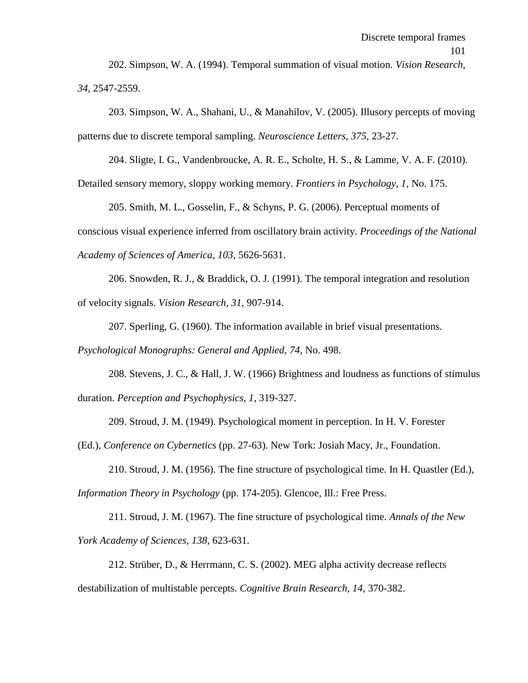202. Simpson, W. A. (1994). Temporal summation of visual motion. *Vision Research, 34,* 2547-2559.

 203. Simpson, W. A., Shahani, U., & Manahilov, V. (2005). Illusory percepts of moving patterns due to discrete temporal sampling. *Neuroscience Letters, 375,* 23-27.

204. Sligte, I. G., Vandenbroucke, A. R. E., Scholte, H. S., & Lamme, V. A. F. (2010).

Detailed sensory memory, sloppy working memory. *Frontiers in Psychology, 1,* No. 175.

205. Smith, M. L., Gosselin, F., & Schyns, P. G. (2006). Perceptual moments of

conscious visual experience inferred from oscillatory brain activity. *Proceedings of the National Academy of Sciences of America, 103,* 5626-5631.

 206. Snowden, R. J., & Braddick, O. J. (1991). The temporal integration and resolution of velocity signals. *Vision Research, 31,* 907-914.

207. Sperling, G. (1960). The information available in brief visual presentations.

*Psychological Monographs: General and Applied, 74,* No. 498.

 208. Stevens, J. C., & Hall, J. W. (1966) Brightness and loudness as functions of stimulus duration. *Perception and Psychophysics, 1,* 319-327.

209. Stroud, J. M. (1949). Psychological moment in perception. In H. V. Forester

(Ed.), *Conference on Cybernetics* (pp. 27-63). New Tork: Josiah Macy, Jr., Foundation.

 210. Stroud, J. M. (1956). The fine structure of psychological time. In H. Quastler (Ed.), *Information Theory in Psychology* (pp. 174-205). Glencoe, Ill.: Free Press.

 211. Stroud, J. M. (1967). The fine structure of psychological time. *Annals of the New York Academy of Sciences, 138,* 623-631.

 212. Strüber, D., & Herrmann, C. S. (2002). MEG alpha activity decrease reflects destabilization of multistable percepts. *Cognitive Brain Research, 14,* 370-382.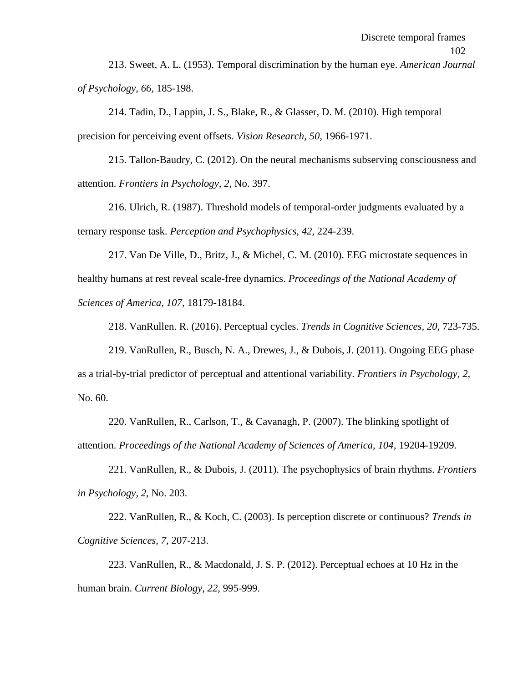213. Sweet, A. L. (1953). Temporal discrimination by the human eye. *American Journal of Psychology, 66,* 185-198.

 214. Tadin, D., Lappin, J. S., Blake, R., & Glasser, D. M. (2010). High temporal precision for perceiving event offsets. *Vision Research, 50,* 1966-1971.

 215. Tallon-Baudry, C. (2012). On the neural mechanisms subserving consciousness and attention. *Frontiers in Psychology, 2,* No. 397.

 216. Ulrich, R. (1987). Threshold models of temporal-order judgments evaluated by a ternary response task. *Perception and Psychophysics, 42,* 224-239.

 217. Van De Ville, D., Britz, J., & Michel, C. M. (2010). EEG microstate sequences in healthy humans at rest reveal scale-free dynamics. *Proceedings of the National Academy of Sciences of America, 107,* 18179-18184.

218. VanRullen. R. (2016). Perceptual cycles. *Trends in Cognitive Sciences, 20,* 723-735.

 219. VanRullen, R., Busch, N. A., Drewes, J., & Dubois, J. (2011). Ongoing EEG phase as a trial-by-trial predictor of perceptual and attentional variability. *Frontiers in Psychology, 2,* No. 60.

 220. VanRullen, R., Carlson, T., & Cavanagh, P. (2007). The blinking spotlight of attention. *Proceedings of the National Academy of Sciences of America, 104,* 19204-19209.

 221. VanRullen, R., & Dubois, J. (2011). The psychophysics of brain rhythms. *Frontiers in Psychology, 2,* No. 203.

 222. VanRullen, R., & Koch, C. (2003). Is perception discrete or continuous? *Trends in Cognitive Sciences, 7,* 207-213.

 223. VanRullen, R., & Macdonald, J. S. P. (2012). Perceptual echoes at 10 Hz in the human brain. *Current Biology, 22,* 995-999.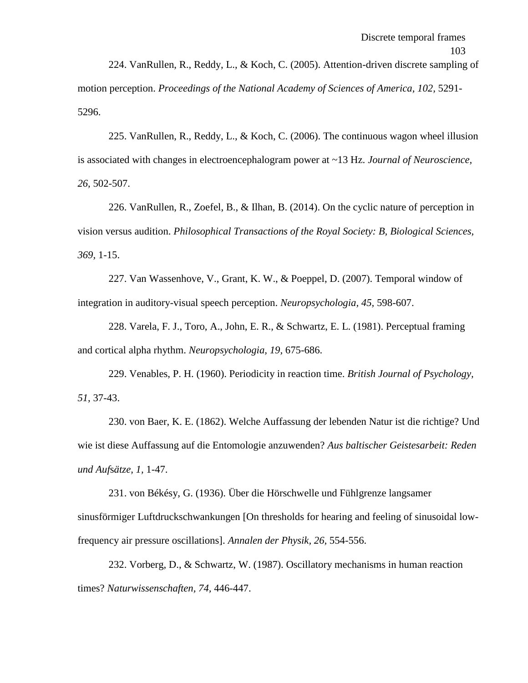224. VanRullen, R., Reddy, L., & Koch, C. (2005). Attention-driven discrete sampling of motion perception. *Proceedings of the National Academy of Sciences of America, 102,* 5291- 5296.

 225. VanRullen, R., Reddy, L., & Koch, C. (2006). The continuous wagon wheel illusion is associated with changes in electroencephalogram power at ~13 Hz. *Journal of Neuroscience, 26,* 502-507.

 226. VanRullen, R., Zoefel, B., & Ilhan, B. (2014). On the cyclic nature of perception in vision versus audition. *Philosophical Transactions of the Royal Society: B, Biological Sciences, 369,* 1-15.

 227. Van Wassenhove, V., Grant, K. W., & Poeppel, D. (2007). Temporal window of integration in auditory-visual speech perception. *Neuropsychologia, 45,* 598-607.

 228. Varela, F. J., Toro, A., John, E. R., & Schwartz, E. L. (1981). Perceptual framing and cortical alpha rhythm. *Neuropsychologia, 19,* 675-686.

 229. Venables, P. H. (1960). Periodicity in reaction time. *British Journal of Psychology, 51,* 37-43.

 230. von Baer, K. E. (1862). Welche Auffassung der lebenden Natur ist die richtige? Und wie ist diese Auffassung auf die Entomologie anzuwenden? *Aus baltischer Geistesarbeit: Reden und Auf*s*ätze, 1,* 1-47.

 231. von Békésy, G. (1936). Über die Hörschwelle und Fühlgrenze langsamer sinusförmiger Luftdruckschwankungen [On thresholds for hearing and feeling of sinusoidal lowfrequency air pressure oscillations]. *Annalen der Physik, 26,* 554-556.

 232. Vorberg, D., & Schwartz, W. (1987). Oscillatory mechanisms in human reaction times? *Naturwissenschaften, 74,* 446-447.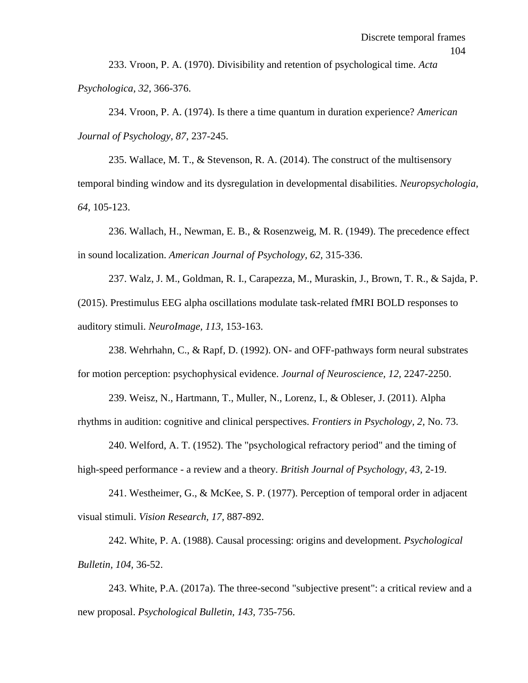233. Vroon, P. A. (1970). Divisibility and retention of psychological time. *Acta Psychologica, 32,* 366-376.

 234. Vroon, P. A. (1974). Is there a time quantum in duration experience? *American Journal of Psychology, 87,* 237-245.

 235. Wallace, M. T., & Stevenson, R. A. (2014). The construct of the multisensory temporal binding window and its dysregulation in developmental disabilities. *Neuropsychologia, 64,* 105-123.

 236. Wallach, H., Newman, E. B., & Rosenzweig, M. R. (1949). The precedence effect in sound localization. *American Journal of Psychology, 62,* 315-336.

 237. Walz, J. M., Goldman, R. I., Carapezza, M., Muraskin, J., Brown, T. R., & Sajda, P. (2015). Prestimulus EEG alpha oscillations modulate task-related fMRI BOLD responses to auditory stimuli. *NeuroImage, 113,* 153-163.

 238. Wehrhahn, C., & Rapf, D. (1992). ON- and OFF-pathways form neural substrates for motion perception: psychophysical evidence. *Journal of Neuroscience, 12,* 2247-2250.

239. Weisz, N., Hartmann, T., Muller, N., Lorenz, I., & Obleser, J. (2011). Alpha

rhythms in audition: cognitive and clinical perspectives. *Frontiers in Psychology, 2,* No. 73.

 240. Welford, A. T. (1952). The "psychological refractory period" and the timing of high-speed performance - a review and a theory. *British Journal of Psychology, 43,* 2-19.

 241. Westheimer, G., & McKee, S. P. (1977). Perception of temporal order in adjacent visual stimuli. *Vision Research, 17,* 887-892.

 242. White, P. A. (1988). Causal processing: origins and development. *Psychological Bulletin, 104,* 36-52.

 243. White, P.A. (2017a). The three-second "subjective present": a critical review and a new proposal. *Psychological Bulletin, 143,* 735-756.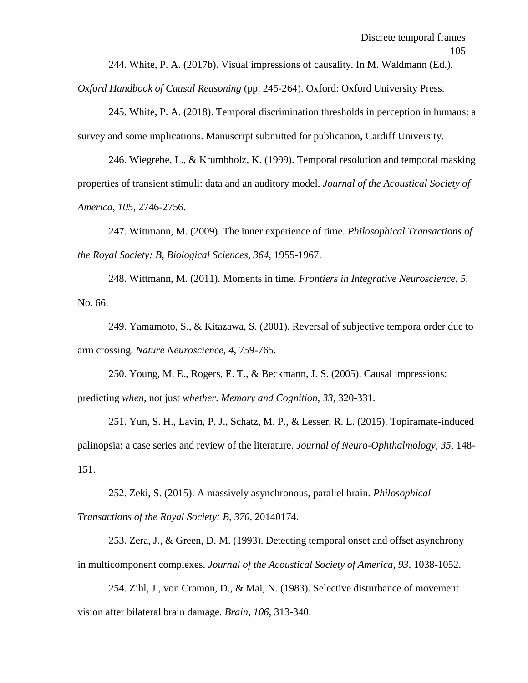244. White, P. A. (2017b). Visual impressions of causality. In M. Waldmann (Ed.),

*Oxford Handbook of Causal Reasoning* (pp. 245-264). Oxford: Oxford University Press.

 245. White, P. A. (2018). Temporal discrimination thresholds in perception in humans: a survey and some implications. Manuscript submitted for publication, Cardiff University.

 246. Wiegrebe, L., & Krumbholz, K. (1999). Temporal resolution and temporal masking properties of transient stimuli: data and an auditory model. *Journal of the Acoustical Society of America, 105*, 2746-2756.

 247. Wittmann, M. (2009). The inner experience of time. *Philosophical Transactions of the Royal Society: B, Biological Sciences, 364,* 1955-1967.

 248. Wittmann, M. (2011). Moments in time. *Frontiers in Integrative Neuroscience, 5,* No. 66.

 249. Yamamoto, S., & Kitazawa, S. (2001). Reversal of subjective tempora order due to arm crossing. *Nature Neuroscience, 4,* 759-765.

 250. Young, M. E., Rogers, E. T., & Beckmann, J. S. (2005). Causal impressions: predicting *when*, not just *whether*. *Memory and Cognition, 33,* 320-331.

 251. Yun, S. H., Lavin, P. J., Schatz, M. P., & Lesser, R. L. (2015). Topiramate-induced palinopsia: a case series and review of the literature. *Journal of Neuro-Ophthalmology, 35,* 148- 151.

 252. Zeki, S. (2015). A massively asynchronous, parallel brain. *Philosophical Transactions of the Royal Society: B, 370,* 20140174.

 253. Zera, J., & Green, D. M. (1993). Detecting temporal onset and offset asynchrony in multicomponent complexes. *Journal of the Acoustical Society of America, 93,* 1038-1052.

 254. Zihl, J., von Cramon, D., & Mai, N. (1983). Selective disturbance of movement vision after bilateral brain damage. *Brain, 106,* 313-340.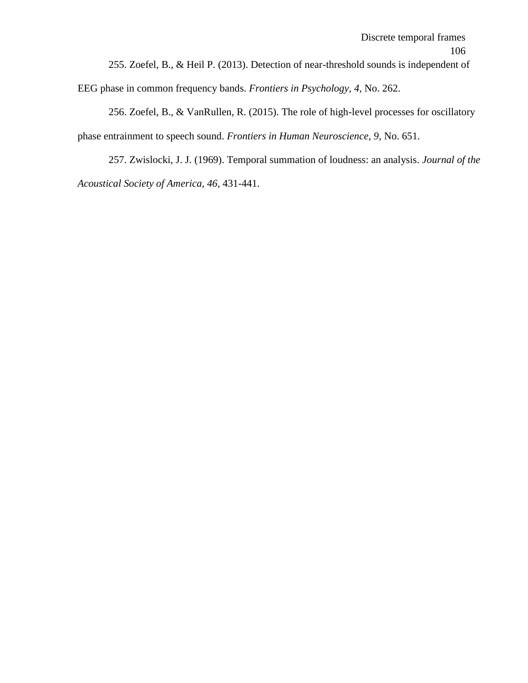256. Zoefel, B., & VanRullen, R. (2015). The role of high-level processes for oscillatory phase entrainment to speech sound. *Frontiers in Human Neuroscience, 9,* No. 651.

 257. Zwislocki, J. J. (1969). Temporal summation of loudness: an analysis. *Journal of the Acoustical Society of America, 46,* 431-441.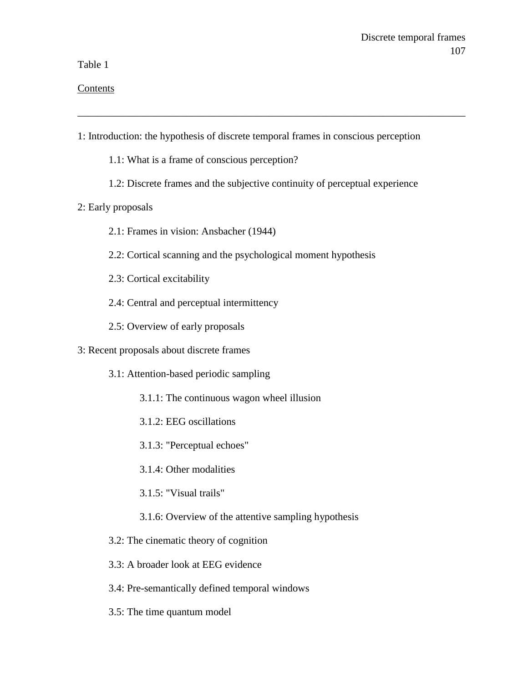## Table 1

## **Contents**

1: Introduction: the hypothesis of discrete temporal frames in conscious perception

- 1.1: What is a frame of conscious perception?
- 1.2: Discrete frames and the subjective continuity of perceptual experience

\_\_\_\_\_\_\_\_\_\_\_\_\_\_\_\_\_\_\_\_\_\_\_\_\_\_\_\_\_\_\_\_\_\_\_\_\_\_\_\_\_\_\_\_\_\_\_\_\_\_\_\_\_\_\_\_\_\_\_\_\_\_\_\_\_\_\_\_\_\_\_\_\_\_\_

# 2: Early proposals

- 2.1: Frames in vision: Ansbacher (1944)
- 2.2: Cortical scanning and the psychological moment hypothesis
- 2.3: Cortical excitability
- 2.4: Central and perceptual intermittency
- 2.5: Overview of early proposals

## 3: Recent proposals about discrete frames

- 3.1: Attention-based periodic sampling
	- 3.1.1: The continuous wagon wheel illusion
	- 3.1.2: EEG oscillations
	- 3.1.3: "Perceptual echoes"
	- 3.1.4: Other modalities
	- 3.1.5: "Visual trails"
	- 3.1.6: Overview of the attentive sampling hypothesis
- 3.2: The cinematic theory of cognition
- 3.3: A broader look at EEG evidence
- 3.4: Pre-semantically defined temporal windows
- 3.5: The time quantum model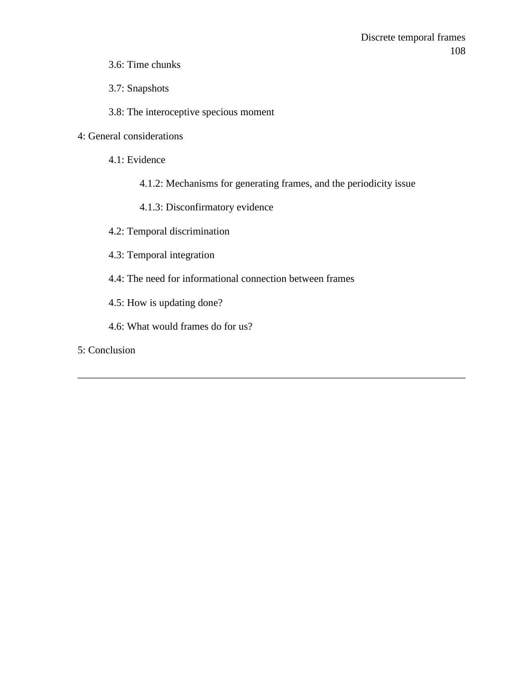3.6: Time chunks

3.7: Snapshots

3.8: The interoceptive specious moment

4: General considerations

4.1: Evidence

4.1.2: Mechanisms for generating frames, and the periodicity issue

\_\_\_\_\_\_\_\_\_\_\_\_\_\_\_\_\_\_\_\_\_\_\_\_\_\_\_\_\_\_\_\_\_\_\_\_\_\_\_\_\_\_\_\_\_\_\_\_\_\_\_\_\_\_\_\_\_\_\_\_\_\_\_\_\_\_\_\_\_\_\_\_\_\_\_

4.1.3: Disconfirmatory evidence

4.2: Temporal discrimination

4.3: Temporal integration

4.4: The need for informational connection between frames

4.5: How is updating done?

4.6: What would frames do for us?

5: Conclusion